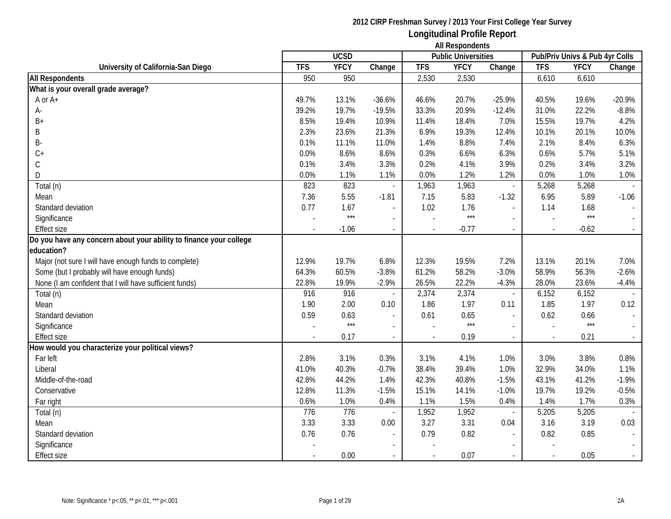|                                                                    | <b>All Respondents</b> |             |                          |                |                            |                          |                                |             |                             |
|--------------------------------------------------------------------|------------------------|-------------|--------------------------|----------------|----------------------------|--------------------------|--------------------------------|-------------|-----------------------------|
|                                                                    |                        | <b>UCSD</b> |                          |                | <b>Public Universities</b> |                          | Pub/Priv Univs & Pub 4yr Colls |             |                             |
| University of California-San Diego                                 | <b>TFS</b>             | <b>YFCY</b> | Change                   | <b>TFS</b>     | <b>YFCY</b>                | Change                   | <b>TFS</b>                     | <b>YFCY</b> | Change                      |
| <b>All Respondents</b>                                             | 950                    | 950         |                          | 2,530          | 2,530                      |                          | 6,610                          | 6,610       |                             |
| What is your overall grade average?                                |                        |             |                          |                |                            |                          |                                |             |                             |
| A or A+                                                            | 49.7%                  | 13.1%       | $-36.6%$                 | 46.6%          | 20.7%                      | $-25.9%$                 | 40.5%                          | 19.6%       | $-20.9%$                    |
| A-                                                                 | 39.2%                  | 19.7%       | $-19.5%$                 | 33.3%          | 20.9%                      | $-12.4%$                 | 31.0%                          | 22.2%       | $-8.8%$                     |
| $B+$                                                               | 8.5%                   | 19.4%       | 10.9%                    | 11.4%          | 18.4%                      | 7.0%                     | 15.5%                          | 19.7%       | 4.2%                        |
| B                                                                  | 2.3%                   | 23.6%       | 21.3%                    | 6.9%           | 19.3%                      | 12.4%                    | 10.1%                          | 20.1%       | 10.0%                       |
| B-                                                                 | 0.1%                   | 11.1%       | 11.0%                    | 1.4%           | 8.8%                       | 7.4%                     | 2.1%                           | 8.4%        | 6.3%                        |
| $C +$                                                              | 0.0%                   | 8.6%        | 8.6%                     | 0.3%           | 6.6%                       | 6.3%                     | 0.6%                           | 5.7%        | 5.1%                        |
| $\mathsf C$                                                        | 0.1%                   | 3.4%        | 3.3%                     | 0.2%           | 4.1%                       | 3.9%                     | 0.2%                           | 3.4%        | 3.2%                        |
| D                                                                  | 0.0%                   | 1.1%        | 1.1%                     | 0.0%           | 1.2%                       | 1.2%                     | 0.0%                           | 1.0%        | 1.0%                        |
| Total (n)                                                          | 823                    | 823         | ÷,                       | 1,963          | 1,963                      | $\overline{\phantom{a}}$ | 5,268                          | 5,268       |                             |
| Mean                                                               | 7.36                   | 5.55        | $-1.81$                  | 7.15           | 5.83                       | $-1.32$                  | 6.95                           | 5.89        | $-1.06$                     |
| Standard deviation                                                 | 0.77                   | 1.67        | $\overline{a}$           | 1.02           | 1.76                       | $\overline{a}$           | 1.14                           | 1.68        |                             |
| Significance                                                       |                        | $***$       | $\sim$                   |                | $***$                      |                          |                                | $***$       |                             |
| <b>Effect size</b>                                                 |                        | $-1.06$     | $\blacksquare$           | $\overline{a}$ | $-0.77$                    | $\blacksquare$           |                                | $-0.62$     |                             |
| Do you have any concern about your ability to finance your college |                        |             |                          |                |                            |                          |                                |             |                             |
| education?                                                         |                        |             |                          |                |                            |                          |                                |             |                             |
| Major (not sure I will have enough funds to complete)              | 12.9%                  | 19.7%       | 6.8%                     | 12.3%          | 19.5%                      | 7.2%                     | 13.1%                          | 20.1%       | 7.0%                        |
| Some (but I probably will have enough funds)                       | 64.3%                  | 60.5%       | $-3.8%$                  | 61.2%          | 58.2%                      | $-3.0%$                  | 58.9%                          | 56.3%       | $-2.6%$                     |
| None (I am confident that I will have sufficient funds)            | 22.8%                  | 19.9%       | $-2.9%$                  | 26.5%          | 22.2%                      | $-4.3%$                  | 28.0%                          | 23.6%       | $-4.4%$                     |
| Total (n)                                                          | 916                    | 916         |                          | 2,374          | 2,374                      | $\overline{\phantom{a}}$ | 6,152                          | 6,152       |                             |
| Mean                                                               | 1.90                   | 2.00        | 0.10                     | 1.86           | 1.97                       | 0.11                     | 1.85                           | 1.97        | 0.12                        |
| Standard deviation                                                 | 0.59                   | 0.63        |                          | 0.61           | 0.65                       | $\blacksquare$           | 0.62                           | 0.66        |                             |
| Significance                                                       |                        | $***$       | ÷,                       |                | $***$                      |                          |                                | $***$       | $\overline{\phantom{a}}$    |
| <b>Effect size</b>                                                 |                        | 0.17        | $\sim$                   | $\overline{a}$ | 0.19                       | $\sim$                   |                                | 0.21        | $\mathcal{L}_{\mathcal{A}}$ |
| How would you characterize your political views?                   |                        |             |                          |                |                            |                          |                                |             |                             |
| Far left                                                           | 2.8%                   | 3.1%        | 0.3%                     | 3.1%           | 4.1%                       | 1.0%                     | 3.0%                           | 3.8%        | 0.8%                        |
| Liberal                                                            | 41.0%                  | 40.3%       | $-0.7%$                  | 38.4%          | 39.4%                      | 1.0%                     | 32.9%                          | 34.0%       | 1.1%                        |
| Middle-of-the-road                                                 | 42.8%                  | 44.2%       | 1.4%                     | 42.3%          | 40.8%                      | $-1.5%$                  | 43.1%                          | 41.2%       | $-1.9%$                     |
| Conservative                                                       | 12.8%                  | 11.3%       | $-1.5%$                  | 15.1%          | 14.1%                      | $-1.0%$                  | 19.7%                          | 19.2%       | $-0.5%$                     |
| Far right                                                          | 0.6%                   | 1.0%        | 0.4%                     | 1.1%           | 1.5%                       | 0.4%                     | 1.4%                           | 1.7%        | 0.3%                        |
| Total (n)                                                          | 776                    | 776         |                          | 1,952          | 1,952                      | $\overline{\phantom{a}}$ | 5,205                          | 5,205       |                             |
| Mean                                                               | 3.33                   | 3.33        | 0.00                     | 3.27           | 3.31                       | 0.04                     | 3.16                           | 3.19        | 0.03                        |
| Standard deviation                                                 | 0.76                   | 0.76        | $\overline{\phantom{a}}$ | 0.79           | 0.82                       | $\overline{\phantom{a}}$ | 0.82                           | 0.85        | $\overline{\phantom{a}}$    |
| Significance                                                       |                        |             |                          |                |                            |                          |                                |             |                             |
| <b>Effect size</b>                                                 |                        | 0.00        |                          |                | 0.07                       |                          |                                | 0.05        |                             |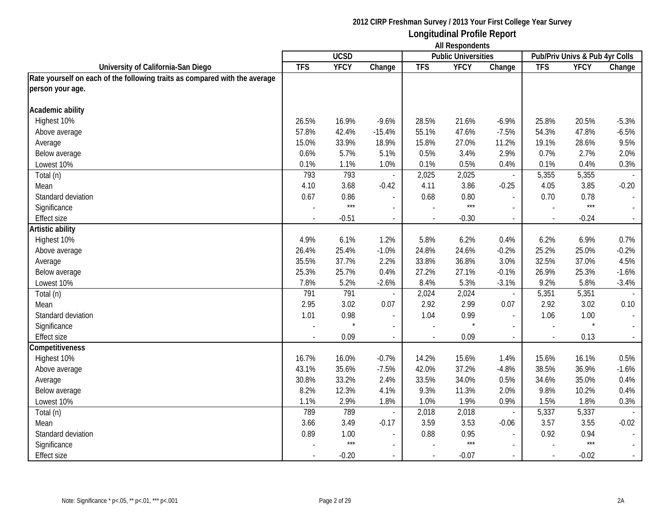|                                                                            |            | <b>UCSD</b> |                          |            | $1.11.103$ ponuonio<br><b>Public Universities</b> |                          |                          | Pub/Priv Univs & Pub 4yr Colls |         |
|----------------------------------------------------------------------------|------------|-------------|--------------------------|------------|---------------------------------------------------|--------------------------|--------------------------|--------------------------------|---------|
| University of California-San Diego                                         | <b>TFS</b> | <b>YFCY</b> | Change                   | <b>TFS</b> | <b>YFCY</b>                                       | Change                   | <b>TFS</b>               | <b>YFCY</b>                    | Change  |
| Rate yourself on each of the following traits as compared with the average |            |             |                          |            |                                                   |                          |                          |                                |         |
| person your age.                                                           |            |             |                          |            |                                                   |                          |                          |                                |         |
|                                                                            |            |             |                          |            |                                                   |                          |                          |                                |         |
| Academic ability                                                           |            |             |                          |            |                                                   |                          |                          |                                |         |
| Highest 10%                                                                | 26.5%      | 16.9%       | $-9.6%$                  | 28.5%      | 21.6%                                             | $-6.9%$                  | 25.8%                    | 20.5%                          | $-5.3%$ |
| Above average                                                              | 57.8%      | 42.4%       | $-15.4%$                 | 55.1%      | 47.6%                                             | $-7.5%$                  | 54.3%                    | 47.8%                          | $-6.5%$ |
| Average                                                                    | 15.0%      | 33.9%       | 18.9%                    | 15.8%      | 27.0%                                             | 11.2%                    | 19.1%                    | 28.6%                          | 9.5%    |
| Below average                                                              | 0.6%       | 5.7%        | 5.1%                     | 0.5%       | 3.4%                                              | 2.9%                     | 0.7%                     | 2.7%                           | 2.0%    |
| Lowest 10%                                                                 | 0.1%       | 1.1%        | 1.0%                     | 0.1%       | 0.5%                                              | 0.4%                     | 0.1%                     | 0.4%                           | 0.3%    |
| Total (n)                                                                  | 793        | 793         |                          | 2,025      | 2,025                                             | $\blacksquare$           | 5,355                    | 5,355                          |         |
| Mean                                                                       | 4.10       | 3.68        | $-0.42$                  | 4.11       | 3.86                                              | $-0.25$                  | 4.05                     | 3.85                           | $-0.20$ |
| Standard deviation                                                         | 0.67       | 0.86        |                          | 0.68       | 0.80                                              |                          | 0.70                     | 0.78                           |         |
| Significance                                                               |            | $***$       |                          |            | $***$                                             |                          |                          | $***$                          |         |
| Effect size                                                                |            | $-0.51$     | $\overline{\phantom{a}}$ |            | $-0.30$                                           | $\overline{\phantom{a}}$ | $\overline{\phantom{a}}$ | $-0.24$                        |         |
| Artistic ability                                                           |            |             |                          |            |                                                   |                          |                          |                                |         |
| Highest 10%                                                                | 4.9%       | 6.1%        | 1.2%                     | 5.8%       | 6.2%                                              | 0.4%                     | 6.2%                     | 6.9%                           | 0.7%    |
| Above average                                                              | 26.4%      | 25.4%       | $-1.0%$                  | 24.8%      | 24.6%                                             | $-0.2%$                  | 25.2%                    | 25.0%                          | $-0.2%$ |
| Average                                                                    | 35.5%      | 37.7%       | 2.2%                     | 33.8%      | 36.8%                                             | 3.0%                     | 32.5%                    | 37.0%                          | 4.5%    |
| Below average                                                              | 25.3%      | 25.7%       | 0.4%                     | 27.2%      | 27.1%                                             | $-0.1%$                  | 26.9%                    | 25.3%                          | $-1.6%$ |
| Lowest 10%                                                                 | 7.8%       | 5.2%        | $-2.6%$                  | 8.4%       | 5.3%                                              | $-3.1%$                  | 9.2%                     | 5.8%                           | $-3.4%$ |
| Total (n)                                                                  | 791        | 791         | $\blacksquare$           | 2,024      | 2,024                                             | $\overline{\phantom{a}}$ | 5,351                    | 5,351                          |         |
| Mean                                                                       | 2.95       | 3.02        | 0.07                     | 2.92       | 2.99                                              | 0.07                     | 2.92                     | 3.02                           | 0.10    |
| Standard deviation                                                         | 1.01       | 0.98        | $\overline{\phantom{a}}$ | 1.04       | 0.99                                              | $\overline{\phantom{a}}$ | 1.06                     | 1.00                           |         |
| Significance                                                               |            |             | $\overline{\phantom{a}}$ |            |                                                   |                          |                          | $\star$                        |         |
| <b>Effect size</b>                                                         |            | 0.09        | $\overline{\phantom{a}}$ |            | 0.09                                              | $\overline{\phantom{a}}$ | $\overline{\phantom{a}}$ | 0.13                           |         |
| Competitiveness                                                            |            |             |                          |            |                                                   |                          |                          |                                |         |
| Highest 10%                                                                | 16.7%      | 16.0%       | $-0.7%$                  | 14.2%      | 15.6%                                             | 1.4%                     | 15.6%                    | 16.1%                          | 0.5%    |
| Above average                                                              | 43.1%      | 35.6%       | $-7.5%$                  | 42.0%      | 37.2%                                             | $-4.8%$                  | 38.5%                    | 36.9%                          | $-1.6%$ |
| Average                                                                    | 30.8%      | 33.2%       | 2.4%                     | 33.5%      | 34.0%                                             | 0.5%                     | 34.6%                    | 35.0%                          | 0.4%    |
| Below average                                                              | 8.2%       | 12.3%       | 4.1%                     | 9.3%       | 11.3%                                             | 2.0%                     | 9.8%                     | 10.2%                          | 0.4%    |
| Lowest 10%                                                                 | 1.1%       | 2.9%        | 1.8%                     | 1.0%       | 1.9%                                              | 0.9%                     | 1.5%                     | 1.8%                           | 0.3%    |
| Total (n)                                                                  | 789        | 789         | $\overline{\phantom{a}}$ | 2,018      | 2,018                                             | $\overline{\phantom{a}}$ | 5,337                    | 5,337                          |         |
| Mean                                                                       | 3.66       | 3.49        | $-0.17$                  | 3.59       | 3.53                                              | $-0.06$                  | 3.57                     | 3.55                           | $-0.02$ |
| Standard deviation                                                         | 0.89       | 1.00        | $\blacksquare$           | 0.88       | 0.95                                              |                          | 0.92                     | 0.94                           |         |
| Significance                                                               |            | $***$       |                          |            | $***$                                             |                          |                          | $***$                          |         |
| Effect size                                                                |            | $-0.20$     |                          |            | $-0.07$                                           | $\blacksquare$           | $\sim$                   | $-0.02$                        |         |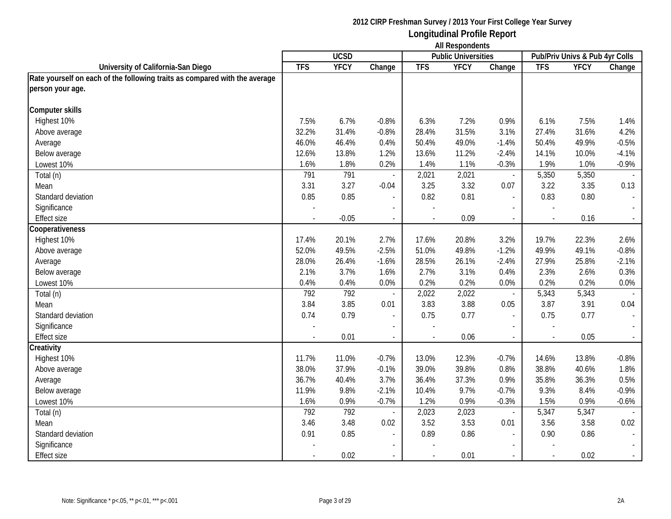**Longitudinal Profile Report All Respondents**

|                                                                            |            | <b>UCSD</b> |                          |                          | 1.0011<br><b>Public Universities</b> |                          |                          | Pub/Priv Univs & Pub 4yr Colls |                             |
|----------------------------------------------------------------------------|------------|-------------|--------------------------|--------------------------|--------------------------------------|--------------------------|--------------------------|--------------------------------|-----------------------------|
| University of California-San Diego                                         | <b>TFS</b> | <b>YFCY</b> | Change                   | <b>TFS</b>               | <b>YFCY</b>                          | Change                   | <b>TFS</b>               | <b>YFCY</b>                    | Change                      |
| Rate yourself on each of the following traits as compared with the average |            |             |                          |                          |                                      |                          |                          |                                |                             |
| person your age.                                                           |            |             |                          |                          |                                      |                          |                          |                                |                             |
|                                                                            |            |             |                          |                          |                                      |                          |                          |                                |                             |
| <b>Computer skills</b>                                                     |            |             |                          |                          |                                      |                          |                          |                                |                             |
| Highest 10%                                                                | 7.5%       | 6.7%        | $-0.8%$                  | 6.3%                     | 7.2%                                 | 0.9%                     | 6.1%                     | 7.5%                           | 1.4%                        |
| Above average                                                              | 32.2%      | 31.4%       | $-0.8%$                  | 28.4%                    | 31.5%                                | 3.1%                     | 27.4%                    | 31.6%                          | 4.2%                        |
| Average                                                                    | 46.0%      | 46.4%       | 0.4%                     | 50.4%                    | 49.0%                                | $-1.4%$                  | 50.4%                    | 49.9%                          | $-0.5%$                     |
| Below average                                                              | 12.6%      | 13.8%       | 1.2%                     | 13.6%                    | 11.2%                                | $-2.4%$                  | 14.1%                    | 10.0%                          | $-4.1%$                     |
| Lowest 10%                                                                 | 1.6%       | 1.8%        | 0.2%                     | 1.4%                     | 1.1%                                 | $-0.3%$                  | 1.9%                     | 1.0%                           | $-0.9%$                     |
| Total (n)                                                                  | 791        | 791         |                          | 2,021                    | 2,021                                | $\blacksquare$           | 5,350                    | 5,350                          |                             |
| Mean                                                                       | 3.31       | 3.27        | $-0.04$                  | 3.25                     | 3.32                                 | 0.07                     | 3.22                     | 3.35                           | 0.13                        |
| Standard deviation                                                         | 0.85       | 0.85        |                          | 0.82                     | 0.81                                 | $\overline{a}$           | 0.83                     | 0.80                           | $\blacksquare$              |
| Significance                                                               |            |             |                          |                          |                                      |                          |                          |                                |                             |
| <b>Effect size</b>                                                         |            | $-0.05$     | $\overline{\phantom{a}}$ |                          | 0.09                                 | $\blacksquare$           |                          | 0.16                           | $\mathcal{L}_{\mathcal{A}}$ |
| Cooperativeness                                                            |            |             |                          |                          |                                      |                          |                          |                                |                             |
| Highest 10%                                                                | 17.4%      | 20.1%       | 2.7%                     | 17.6%                    | 20.8%                                | 3.2%                     | 19.7%                    | 22.3%                          | 2.6%                        |
| Above average                                                              | 52.0%      | 49.5%       | $-2.5%$                  | 51.0%                    | 49.8%                                | $-1.2%$                  | 49.9%                    | 49.1%                          | $-0.8%$                     |
| Average                                                                    | 28.0%      | 26.4%       | $-1.6%$                  | 28.5%                    | 26.1%                                | $-2.4%$                  | 27.9%                    | 25.8%                          | $-2.1%$                     |
| Below average                                                              | 2.1%       | 3.7%        | 1.6%                     | 2.7%                     | 3.1%                                 | 0.4%                     | 2.3%                     | 2.6%                           | 0.3%                        |
| Lowest 10%                                                                 | 0.4%       | 0.4%        | 0.0%                     | 0.2%                     | 0.2%                                 | 0.0%                     | 0.2%                     | 0.2%                           | 0.0%                        |
| Total (n)                                                                  | 792        | 792         |                          | 2,022                    | 2,022                                | $\overline{\phantom{a}}$ | 5,343                    | 5,343                          |                             |
| Mean                                                                       | 3.84       | 3.85        | 0.01                     | 3.83                     | 3.88                                 | 0.05                     | 3.87                     | 3.91                           | 0.04                        |
| Standard deviation                                                         | 0.74       | 0.79        | $\mathbb{L}$             | 0.75                     | 0.77                                 | $\overline{\phantom{a}}$ | 0.75                     | 0.77                           | $\overline{\phantom{a}}$    |
| Significance                                                               |            |             | $\blacksquare$           |                          |                                      | $\blacksquare$           |                          |                                |                             |
| Effect size                                                                |            | 0.01        | $\overline{\phantom{a}}$ | $\overline{\phantom{a}}$ | 0.06                                 | $\overline{\phantom{a}}$ | $\overline{\phantom{a}}$ | 0.05                           | $\blacksquare$              |
| Creativity                                                                 |            |             |                          |                          |                                      |                          |                          |                                |                             |
| Highest 10%                                                                | 11.7%      | 11.0%       | $-0.7%$                  | 13.0%                    | 12.3%                                | $-0.7%$                  | 14.6%                    | 13.8%                          | $-0.8%$                     |
| Above average                                                              | 38.0%      | 37.9%       | $-0.1%$                  | 39.0%                    | 39.8%                                | 0.8%                     | 38.8%                    | 40.6%                          | 1.8%                        |
| Average                                                                    | 36.7%      | 40.4%       | 3.7%                     | 36.4%                    | 37.3%                                | 0.9%                     | 35.8%                    | 36.3%                          | 0.5%                        |
| Below average                                                              | 11.9%      | 9.8%        | $-2.1%$                  | 10.4%                    | 9.7%                                 | $-0.7%$                  | 9.3%                     | 8.4%                           | $-0.9%$                     |
| Lowest 10%                                                                 | 1.6%       | 0.9%        | $-0.7%$                  | 1.2%                     | 0.9%                                 | $-0.3%$                  | 1.5%                     | 0.9%                           | $-0.6%$                     |
| Total (n)                                                                  | 792        | 792         | $\overline{\phantom{a}}$ | 2,023                    | 2,023                                | $\overline{\phantom{a}}$ | 5,347                    | 5,347                          |                             |
| Mean                                                                       | 3.46       | 3.48        | 0.02                     | 3.52                     | 3.53                                 | 0.01                     | 3.56                     | 3.58                           | 0.02                        |
| Standard deviation                                                         | 0.91       | 0.85        | $\overline{\phantom{a}}$ | 0.89                     | 0.86                                 | $\blacksquare$           | 0.90                     | 0.86                           | $\sim$                      |
| Significance                                                               |            |             | $\blacksquare$           |                          |                                      | $\overline{\phantom{a}}$ |                          |                                |                             |
| <b>Effect size</b>                                                         |            | 0.02        |                          |                          | 0.01                                 |                          |                          | 0.02                           | $\omega_{\rm c}$            |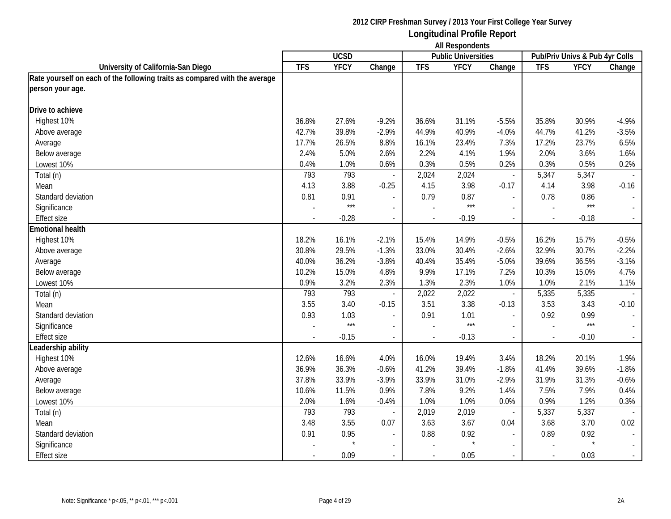|                                                                            |                          | <b>UCSD</b> |                          |                          | AIL NUJUURURJ<br><b>Public Universities</b> |                          |                          | Pub/Priv Univs & Pub 4yr Colls |         |
|----------------------------------------------------------------------------|--------------------------|-------------|--------------------------|--------------------------|---------------------------------------------|--------------------------|--------------------------|--------------------------------|---------|
| University of California-San Diego                                         | <b>TFS</b>               | <b>YFCY</b> | Change                   | <b>TFS</b>               | <b>YFCY</b>                                 | Change                   | <b>TFS</b>               | <b>YFCY</b>                    | Change  |
| Rate yourself on each of the following traits as compared with the average |                          |             |                          |                          |                                             |                          |                          |                                |         |
| person your age.                                                           |                          |             |                          |                          |                                             |                          |                          |                                |         |
|                                                                            |                          |             |                          |                          |                                             |                          |                          |                                |         |
| Drive to achieve                                                           |                          |             |                          |                          |                                             |                          |                          |                                |         |
| Highest 10%                                                                | 36.8%                    | 27.6%       | $-9.2%$                  | 36.6%                    | 31.1%                                       | $-5.5%$                  | 35.8%                    | 30.9%                          | $-4.9%$ |
| Above average                                                              | 42.7%                    | 39.8%       | $-2.9%$                  | 44.9%                    | 40.9%                                       | $-4.0%$                  | 44.7%                    | 41.2%                          | $-3.5%$ |
| Average                                                                    | 17.7%                    | 26.5%       | 8.8%                     | 16.1%                    | 23.4%                                       | 7.3%                     | 17.2%                    | 23.7%                          | 6.5%    |
| Below average                                                              | 2.4%                     | 5.0%        | 2.6%                     | 2.2%                     | 4.1%                                        | 1.9%                     | 2.0%                     | 3.6%                           | 1.6%    |
| Lowest 10%                                                                 | 0.4%                     | 1.0%        | 0.6%                     | 0.3%                     | 0.5%                                        | 0.2%                     | 0.3%                     | 0.5%                           | 0.2%    |
| Total (n)                                                                  | 793                      | 793         |                          | 2,024                    | 2,024                                       | $\overline{\phantom{a}}$ | 5,347                    | 5,347                          |         |
| Mean                                                                       | 4.13                     | 3.88        | $-0.25$                  | 4.15                     | 3.98                                        | $-0.17$                  | 4.14                     | 3.98                           | $-0.16$ |
| Standard deviation                                                         | 0.81                     | 0.91        |                          | 0.79                     | 0.87                                        | $\blacksquare$           | 0.78                     | 0.86                           |         |
| Significance                                                               |                          | $***$       |                          |                          | $***$                                       | $\sim$                   |                          | $***$                          |         |
| <b>Effect size</b>                                                         |                          | $-0.28$     | $\sim$                   |                          | $-0.19$                                     | $\sim$                   |                          | $-0.18$                        |         |
| <b>Emotional health</b>                                                    |                          |             |                          |                          |                                             |                          |                          |                                |         |
| Highest 10%                                                                | 18.2%                    | 16.1%       | $-2.1%$                  | 15.4%                    | 14.9%                                       | $-0.5%$                  | 16.2%                    | 15.7%                          | $-0.5%$ |
| Above average                                                              | 30.8%                    | 29.5%       | $-1.3%$                  | 33.0%                    | 30.4%                                       | $-2.6%$                  | 32.9%                    | 30.7%                          | $-2.2%$ |
| Average                                                                    | 40.0%                    | 36.2%       | $-3.8%$                  | 40.4%                    | 35.4%                                       | $-5.0%$                  | 39.6%                    | 36.5%                          | $-3.1%$ |
| Below average                                                              | 10.2%                    | 15.0%       | 4.8%                     | 9.9%                     | 17.1%                                       | 7.2%                     | 10.3%                    | 15.0%                          | 4.7%    |
| Lowest 10%                                                                 | 0.9%                     | 3.2%        | 2.3%                     | 1.3%                     | 2.3%                                        | 1.0%                     | 1.0%                     | 2.1%                           | 1.1%    |
| Total (n)                                                                  | 793                      | 793         | $\overline{\phantom{a}}$ | 2,022                    | 2,022                                       | $\overline{\phantom{a}}$ | 5,335                    | 5,335                          |         |
| Mean                                                                       | 3.55                     | 3.40        | $-0.15$                  | 3.51                     | 3.38                                        | $-0.13$                  | 3.53                     | 3.43                           | $-0.10$ |
| Standard deviation                                                         | 0.93                     | 1.03        | $\blacksquare$           | 0.91                     | 1.01                                        | $\overline{\phantom{a}}$ | 0.92                     | 0.99                           |         |
| Significance                                                               |                          | $***$       | $\overline{\phantom{a}}$ |                          | $***$                                       | $\blacksquare$           |                          | $***$                          |         |
| <b>Effect size</b>                                                         | $\overline{\phantom{a}}$ | $-0.15$     | $\overline{\phantom{a}}$ | $\overline{\phantom{a}}$ | $-0.13$                                     | $\overline{\phantom{a}}$ | $\overline{\phantom{a}}$ | $-0.10$                        |         |
| Leadership ability                                                         |                          |             |                          |                          |                                             |                          |                          |                                |         |
| Highest 10%                                                                | 12.6%                    | 16.6%       | 4.0%                     | 16.0%                    | 19.4%                                       | 3.4%                     | 18.2%                    | 20.1%                          | 1.9%    |
| Above average                                                              | 36.9%                    | 36.3%       | $-0.6%$                  | 41.2%                    | 39.4%                                       | $-1.8%$                  | 41.4%                    | 39.6%                          | $-1.8%$ |
| Average                                                                    | 37.8%                    | 33.9%       | $-3.9%$                  | 33.9%                    | 31.0%                                       | $-2.9%$                  | 31.9%                    | 31.3%                          | $-0.6%$ |
| Below average                                                              | 10.6%                    | 11.5%       | 0.9%                     | 7.8%                     | 9.2%                                        | 1.4%                     | 7.5%                     | 7.9%                           | 0.4%    |
| Lowest 10%                                                                 | 2.0%                     | 1.6%        | $-0.4%$                  | 1.0%                     | 1.0%                                        | 0.0%                     | 0.9%                     | 1.2%                           | 0.3%    |
| Total (n)                                                                  | 793                      | 793         | $\sim$                   | 2,019                    | 2,019                                       | $\overline{\phantom{a}}$ | 5,337                    | 5,337                          |         |
| Mean                                                                       | 3.48                     | 3.55        | 0.07                     | 3.63                     | 3.67                                        | 0.04                     | 3.68                     | 3.70                           | 0.02    |
| Standard deviation                                                         | 0.91                     | 0.95        | $\overline{\phantom{a}}$ | 0.88                     | 0.92                                        | $\blacksquare$           | 0.89                     | 0.92                           |         |
| Significance                                                               |                          |             | $\sim$                   |                          | $\star$                                     | $\sim$                   |                          |                                |         |
| <b>Effect size</b>                                                         |                          | 0.09        |                          |                          | 0.05                                        | $\sim$                   |                          | 0.03                           |         |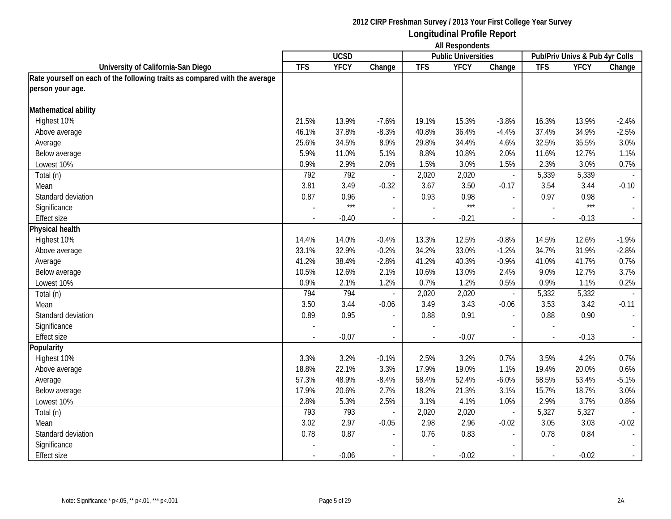|                                                                            |            | <b>UCSD</b> |                          |            | <b>THE HOSPOTIONING</b><br><b>Public Universities</b> |                          |                          | Pub/Priv Univs & Pub 4yr Colls |         |
|----------------------------------------------------------------------------|------------|-------------|--------------------------|------------|-------------------------------------------------------|--------------------------|--------------------------|--------------------------------|---------|
| University of California-San Diego                                         | <b>TFS</b> | <b>YFCY</b> | Change                   | <b>TFS</b> | <b>YFCY</b>                                           | Change                   | <b>TFS</b>               | <b>YFCY</b>                    | Change  |
| Rate yourself on each of the following traits as compared with the average |            |             |                          |            |                                                       |                          |                          |                                |         |
| person your age.                                                           |            |             |                          |            |                                                       |                          |                          |                                |         |
|                                                                            |            |             |                          |            |                                                       |                          |                          |                                |         |
| Mathematical ability                                                       |            |             |                          |            |                                                       |                          |                          |                                |         |
| Highest 10%                                                                | 21.5%      | 13.9%       | $-7.6%$                  | 19.1%      | 15.3%                                                 | $-3.8%$                  | 16.3%                    | 13.9%                          | $-2.4%$ |
| Above average                                                              | 46.1%      | 37.8%       | $-8.3%$                  | 40.8%      | 36.4%                                                 | $-4.4%$                  | 37.4%                    | 34.9%                          | $-2.5%$ |
| Average                                                                    | 25.6%      | 34.5%       | 8.9%                     | 29.8%      | 34.4%                                                 | 4.6%                     | 32.5%                    | 35.5%                          | 3.0%    |
| Below average                                                              | 5.9%       | 11.0%       | 5.1%                     | 8.8%       | 10.8%                                                 | 2.0%                     | 11.6%                    | 12.7%                          | 1.1%    |
| Lowest 10%                                                                 | 0.9%       | 2.9%        | 2.0%                     | 1.5%       | 3.0%                                                  | 1.5%                     | 2.3%                     | 3.0%                           | 0.7%    |
| Total (n)                                                                  | 792        | 792         |                          | 2,020      | 2,020                                                 | $\overline{\phantom{a}}$ | 5,339                    | 5,339                          |         |
| Mean                                                                       | 3.81       | 3.49        | $-0.32$                  | 3.67       | 3.50                                                  | $-0.17$                  | 3.54                     | 3.44                           | $-0.10$ |
| Standard deviation                                                         | 0.87       | 0.96        | $\overline{\phantom{a}}$ | 0.93       | 0.98                                                  | $\overline{\phantom{a}}$ | 0.97                     | 0.98                           |         |
| Significance                                                               |            | $***$       |                          |            | $***$                                                 |                          |                          | $***$                          |         |
| Effect size                                                                |            | $-0.40$     | $\overline{\phantom{a}}$ |            | $-0.21$                                               | $\overline{\phantom{a}}$ | $\overline{\phantom{a}}$ | $-0.13$                        |         |
| Physical health                                                            |            |             |                          |            |                                                       |                          |                          |                                |         |
| Highest 10%                                                                | 14.4%      | 14.0%       | $-0.4%$                  | 13.3%      | 12.5%                                                 | $-0.8%$                  | 14.5%                    | 12.6%                          | $-1.9%$ |
| Above average                                                              | 33.1%      | 32.9%       | $-0.2%$                  | 34.2%      | 33.0%                                                 | $-1.2%$                  | 34.7%                    | 31.9%                          | $-2.8%$ |
| Average                                                                    | 41.2%      | 38.4%       | $-2.8%$                  | 41.2%      | 40.3%                                                 | $-0.9%$                  | 41.0%                    | 41.7%                          | 0.7%    |
| Below average                                                              | 10.5%      | 12.6%       | 2.1%                     | 10.6%      | 13.0%                                                 | 2.4%                     | 9.0%                     | 12.7%                          | 3.7%    |
| Lowest 10%                                                                 | 0.9%       | 2.1%        | 1.2%                     | 0.7%       | 1.2%                                                  | 0.5%                     | 0.9%                     | 1.1%                           | 0.2%    |
| Total (n)                                                                  | 794        | 794         | $\overline{\phantom{a}}$ | 2,020      | 2,020                                                 | $\Box$                   | 5,332                    | 5,332                          |         |
| Mean                                                                       | 3.50       | 3.44        | $-0.06$                  | 3.49       | 3.43                                                  | $-0.06$                  | 3.53                     | 3.42                           | $-0.11$ |
| Standard deviation                                                         | 0.89       | 0.95        | $\overline{\phantom{a}}$ | 0.88       | 0.91                                                  | $\overline{\phantom{a}}$ | 0.88                     | 0.90                           |         |
| Significance                                                               |            |             | $\overline{a}$           |            |                                                       |                          |                          |                                |         |
| <b>Effect size</b>                                                         |            | $-0.07$     | $\overline{\phantom{a}}$ |            | $-0.07$                                               | $\overline{\phantom{a}}$ | $\overline{\phantom{a}}$ | $-0.13$                        |         |
| Popularity                                                                 |            |             |                          |            |                                                       |                          |                          |                                |         |
| Highest 10%                                                                | 3.3%       | 3.2%        | $-0.1%$                  | 2.5%       | 3.2%                                                  | 0.7%                     | 3.5%                     | 4.2%                           | 0.7%    |
| Above average                                                              | 18.8%      | 22.1%       | 3.3%                     | 17.9%      | 19.0%                                                 | 1.1%                     | 19.4%                    | 20.0%                          | 0.6%    |
| Average                                                                    | 57.3%      | 48.9%       | $-8.4%$                  | 58.4%      | 52.4%                                                 | $-6.0%$                  | 58.5%                    | 53.4%                          | $-5.1%$ |
| Below average                                                              | 17.9%      | 20.6%       | 2.7%                     | 18.2%      | 21.3%                                                 | 3.1%                     | 15.7%                    | 18.7%                          | 3.0%    |
| Lowest 10%                                                                 | 2.8%       | 5.3%        | 2.5%                     | 3.1%       | 4.1%                                                  | 1.0%                     | 2.9%                     | 3.7%                           | 0.8%    |
| Total (n)                                                                  | 793        | 793         | $\overline{\phantom{a}}$ | 2,020      | 2,020                                                 | $\overline{\phantom{a}}$ | 5,327                    | 5,327                          |         |
| Mean                                                                       | 3.02       | 2.97        | $-0.05$                  | 2.98       | 2.96                                                  | $-0.02$                  | 3.05                     | 3.03                           | $-0.02$ |
| Standard deviation                                                         | 0.78       | 0.87        | $\overline{\phantom{0}}$ | 0.76       | 0.83                                                  |                          | 0.78                     | 0.84                           |         |
| Significance                                                               |            |             |                          |            |                                                       |                          |                          |                                |         |
| Effect size                                                                |            | $-0.06$     |                          |            | $-0.02$                                               |                          | $\blacksquare$           | $-0.02$                        |         |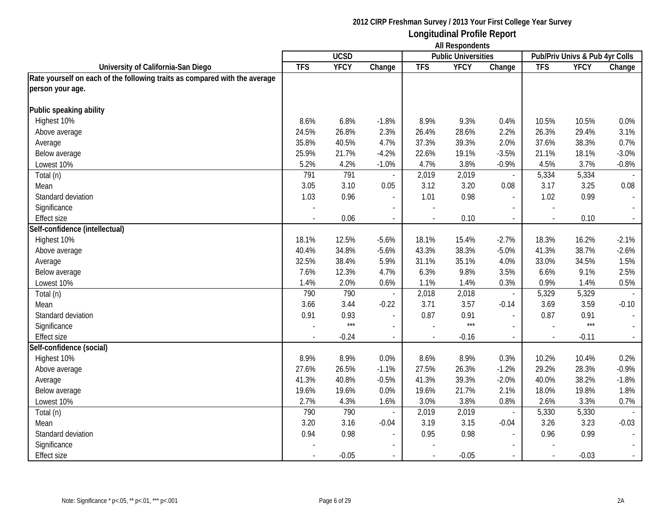|                                                                            | <b>All Respondents</b>   |             |                          |                          |                            |                          |                          |                                |         |
|----------------------------------------------------------------------------|--------------------------|-------------|--------------------------|--------------------------|----------------------------|--------------------------|--------------------------|--------------------------------|---------|
|                                                                            |                          | <b>UCSD</b> |                          |                          | <b>Public Universities</b> |                          |                          | Pub/Priv Univs & Pub 4yr Colls |         |
| University of California-San Diego                                         | <b>TFS</b>               | <b>YFCY</b> | Change                   | <b>TFS</b>               | <b>YFCY</b>                | Change                   | <b>TFS</b>               | <b>YFCY</b>                    | Change  |
| Rate yourself on each of the following traits as compared with the average |                          |             |                          |                          |                            |                          |                          |                                |         |
| person your age.                                                           |                          |             |                          |                          |                            |                          |                          |                                |         |
| Public speaking ability                                                    |                          |             |                          |                          |                            |                          |                          |                                |         |
| Highest 10%                                                                | 8.6%                     | 6.8%        | $-1.8%$                  | 8.9%                     | 9.3%                       | 0.4%                     | 10.5%                    | 10.5%                          | 0.0%    |
| Above average                                                              | 24.5%                    | 26.8%       | 2.3%                     | 26.4%                    | 28.6%                      | 2.2%                     | 26.3%                    | 29.4%                          | 3.1%    |
| Average                                                                    | 35.8%                    | 40.5%       | 4.7%                     | 37.3%                    | 39.3%                      | 2.0%                     | 37.6%                    | 38.3%                          | 0.7%    |
| Below average                                                              | 25.9%                    | 21.7%       | $-4.2%$                  | 22.6%                    | 19.1%                      | $-3.5%$                  | 21.1%                    | 18.1%                          | $-3.0%$ |
| Lowest 10%                                                                 | 5.2%                     | 4.2%        | $-1.0%$                  | 4.7%                     | 3.8%                       | $-0.9%$                  | 4.5%                     | 3.7%                           | $-0.8%$ |
| Total (n)                                                                  | 791                      | 791         |                          | 2,019                    | 2,019                      | $\overline{\phantom{a}}$ | 5,334                    | 5,334                          |         |
| Mean                                                                       | 3.05                     | 3.10        | 0.05                     | 3.12                     | 3.20                       | 0.08                     | 3.17                     | 3.25                           | 0.08    |
| Standard deviation                                                         | 1.03                     | 0.96        |                          | 1.01                     | 0.98                       | $\overline{\phantom{a}}$ | 1.02                     | 0.99                           |         |
| Significance                                                               |                          |             | $\overline{\phantom{a}}$ |                          |                            | $\overline{\phantom{a}}$ |                          |                                |         |
| <b>Effect size</b>                                                         | $\overline{\phantom{a}}$ | 0.06        | $\sim$                   | $\overline{\phantom{a}}$ | 0.10                       | $\sim$                   | $\overline{\phantom{a}}$ | 0.10                           | $\sim$  |
| Self-confidence (intellectual)                                             |                          |             |                          |                          |                            |                          |                          |                                |         |
| Highest 10%                                                                | 18.1%                    | 12.5%       | $-5.6%$                  | 18.1%                    | 15.4%                      | $-2.7%$                  | 18.3%                    | 16.2%                          | $-2.1%$ |
| Above average                                                              | 40.4%                    | 34.8%       | $-5.6%$                  | 43.3%                    | 38.3%                      | $-5.0%$                  | 41.3%                    | 38.7%                          | $-2.6%$ |
| Average                                                                    | 32.5%                    | 38.4%       | 5.9%                     | 31.1%                    | 35.1%                      | 4.0%                     | 33.0%                    | 34.5%                          | 1.5%    |
| Below average                                                              | 7.6%                     | 12.3%       | 4.7%                     | 6.3%                     | 9.8%                       | 3.5%                     | 6.6%                     | 9.1%                           | 2.5%    |
| Lowest 10%                                                                 | 1.4%                     | 2.0%        | 0.6%                     | 1.1%                     | 1.4%                       | 0.3%                     | 0.9%                     | 1.4%                           | 0.5%    |
| Total (n)                                                                  | 790                      | 790         |                          | 2,018                    | 2,018                      | $\overline{\phantom{a}}$ | 5,329                    | 5,329                          |         |
| Mean                                                                       | 3.66                     | 3.44        | $-0.22$                  | 3.71                     | 3.57                       | $-0.14$                  | 3.69                     | 3.59                           | $-0.10$ |
| Standard deviation                                                         | 0.91                     | 0.93        | $\overline{\phantom{a}}$ | 0.87                     | 0.91                       | $\overline{\phantom{a}}$ | 0.87                     | 0.91                           |         |
| Significance                                                               |                          | $***$       |                          |                          | $***$                      | $\overline{a}$           |                          | $***$                          |         |
| <b>Effect size</b>                                                         |                          | $-0.24$     | $\overline{\phantom{a}}$ |                          | $-0.16$                    | $\overline{\phantom{a}}$ | $\overline{a}$           | $-0.11$                        |         |
| Self-confidence (social)                                                   |                          |             |                          |                          |                            |                          |                          |                                |         |
| Highest 10%                                                                | 8.9%                     | 8.9%        | 0.0%                     | 8.6%                     | 8.9%                       | 0.3%                     | 10.2%                    | 10.4%                          | 0.2%    |
| Above average                                                              | 27.6%                    | 26.5%       | $-1.1%$                  | 27.5%                    | 26.3%                      | $-1.2%$                  | 29.2%                    | 28.3%                          | $-0.9%$ |
| Average                                                                    | 41.3%                    | 40.8%       | $-0.5%$                  | 41.3%                    | 39.3%                      | $-2.0%$                  | 40.0%                    | 38.2%                          | $-1.8%$ |
| Below average                                                              | 19.6%                    | 19.6%       | 0.0%                     | 19.6%                    | 21.7%                      | 2.1%                     | 18.0%                    | 19.8%                          | 1.8%    |
| Lowest 10%                                                                 | 2.7%                     | 4.3%        | 1.6%                     | 3.0%                     | 3.8%                       | 0.8%                     | 2.6%                     | 3.3%                           | 0.7%    |
| Total (n)                                                                  | 790                      | 790         |                          | 2,019                    | 2,019                      | $\overline{\phantom{a}}$ | 5,330                    | 5,330                          |         |
| Mean                                                                       | 3.20                     | 3.16        | $-0.04$                  | 3.19                     | 3.15                       | $-0.04$                  | 3.26                     | 3.23                           | $-0.03$ |
| Standard deviation                                                         | 0.94                     | 0.98        |                          | 0.95                     | 0.98                       | $\overline{a}$           | 0.96                     | 0.99                           |         |
| Significance                                                               |                          |             |                          |                          |                            |                          |                          |                                |         |
| <b>Effect size</b>                                                         |                          | $-0.05$     |                          |                          | $-0.05$                    |                          |                          | $-0.03$                        |         |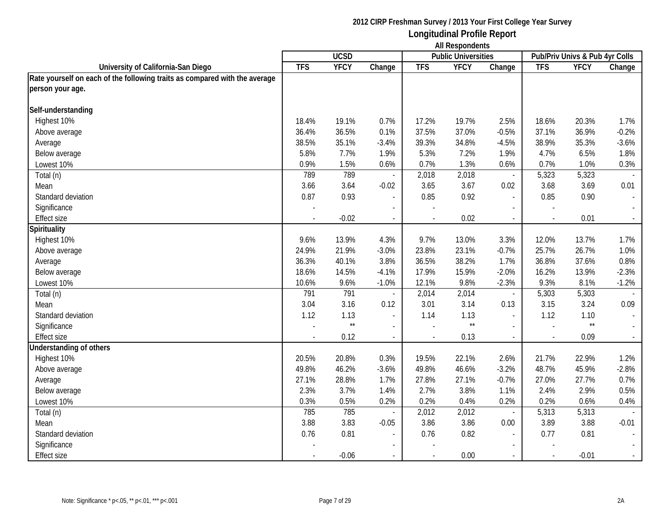|                                                                            |            | <b>UCSD</b>  |                          |            | <b>THE INDUPOTION</b><br><b>Public Universities</b> |                          |                          | Pub/Priv Univs & Pub 4yr Colls |         |
|----------------------------------------------------------------------------|------------|--------------|--------------------------|------------|-----------------------------------------------------|--------------------------|--------------------------|--------------------------------|---------|
| University of California-San Diego                                         | <b>TFS</b> | <b>YFCY</b>  | Change                   | <b>TFS</b> | <b>YFCY</b>                                         | Change                   | <b>TFS</b>               | <b>YFCY</b>                    | Change  |
| Rate yourself on each of the following traits as compared with the average |            |              |                          |            |                                                     |                          |                          |                                |         |
| person your age.                                                           |            |              |                          |            |                                                     |                          |                          |                                |         |
|                                                                            |            |              |                          |            |                                                     |                          |                          |                                |         |
| Self-understanding                                                         |            |              |                          |            |                                                     |                          |                          |                                |         |
| Highest 10%                                                                | 18.4%      | 19.1%        | 0.7%                     | 17.2%      | 19.7%                                               | 2.5%                     | 18.6%                    | 20.3%                          | 1.7%    |
| Above average                                                              | 36.4%      | 36.5%        | 0.1%                     | 37.5%      | 37.0%                                               | $-0.5%$                  | 37.1%                    | 36.9%                          | $-0.2%$ |
| Average                                                                    | 38.5%      | 35.1%        | $-3.4%$                  | 39.3%      | 34.8%                                               | $-4.5%$                  | 38.9%                    | 35.3%                          | $-3.6%$ |
| Below average                                                              | 5.8%       | 7.7%         | 1.9%                     | 5.3%       | 7.2%                                                | 1.9%                     | 4.7%                     | 6.5%                           | 1.8%    |
| Lowest 10%                                                                 | 0.9%       | 1.5%         | 0.6%                     | 0.7%       | 1.3%                                                | 0.6%                     | 0.7%                     | 1.0%                           | 0.3%    |
| Total (n)                                                                  | 789        | 789          |                          | 2,018      | 2,018                                               | $\overline{\phantom{a}}$ | 5,323                    | 5,323                          |         |
| Mean                                                                       | 3.66       | 3.64         | $-0.02$                  | 3.65       | 3.67                                                | 0.02                     | 3.68                     | 3.69                           | 0.01    |
| Standard deviation                                                         | 0.87       | 0.93         |                          | 0.85       | 0.92                                                | $\mathcal{L}$            | 0.85                     | 0.90                           |         |
| Significance                                                               |            |              |                          |            |                                                     |                          |                          |                                |         |
| Effect size                                                                |            | $-0.02$      |                          |            | 0.02                                                | $\overline{\phantom{a}}$ |                          | 0.01                           |         |
| Spirituality                                                               |            |              |                          |            |                                                     |                          |                          |                                |         |
| Highest 10%                                                                | 9.6%       | 13.9%        | 4.3%                     | 9.7%       | 13.0%                                               | 3.3%                     | 12.0%                    | 13.7%                          | 1.7%    |
| Above average                                                              | 24.9%      | 21.9%        | $-3.0%$                  | 23.8%      | 23.1%                                               | $-0.7%$                  | 25.7%                    | 26.7%                          | 1.0%    |
| Average                                                                    | 36.3%      | 40.1%        | 3.8%                     | 36.5%      | 38.2%                                               | 1.7%                     | 36.8%                    | 37.6%                          | 0.8%    |
| Below average                                                              | 18.6%      | 14.5%        | $-4.1%$                  | 17.9%      | 15.9%                                               | $-2.0%$                  | 16.2%                    | 13.9%                          | $-2.3%$ |
| Lowest 10%                                                                 | 10.6%      | 9.6%         | $-1.0%$                  | 12.1%      | 9.8%                                                | $-2.3%$                  | 9.3%                     | 8.1%                           | $-1.2%$ |
| Total (n)                                                                  | 791        | 791          | $\overline{\phantom{a}}$ | 2,014      | 2,014                                               | $\overline{\phantom{a}}$ | 5,303                    | 5,303                          |         |
| Mean                                                                       | 3.04       | 3.16         | 0.12                     | 3.01       | 3.14                                                | 0.13                     | 3.15                     | 3.24                           | 0.09    |
| Standard deviation                                                         | 1.12       | 1.13         | $\overline{\phantom{a}}$ | 1.14       | 1.13                                                | $\blacksquare$           | 1.12                     | 1.10                           |         |
| Significance                                                               |            | $\star\star$ |                          |            | $\star\star$                                        |                          |                          | $\star\star$                   |         |
| <b>Effect size</b>                                                         |            | 0.12         | $\blacksquare$           |            | 0.13                                                | $\overline{\phantom{a}}$ | $\overline{\phantom{a}}$ | 0.09                           |         |
| <b>Jnderstanding of others</b>                                             |            |              |                          |            |                                                     |                          |                          |                                |         |
| Highest 10%                                                                | 20.5%      | 20.8%        | 0.3%                     | 19.5%      | 22.1%                                               | 2.6%                     | 21.7%                    | 22.9%                          | 1.2%    |
| Above average                                                              | 49.8%      | 46.2%        | $-3.6%$                  | 49.8%      | 46.6%                                               | $-3.2%$                  | 48.7%                    | 45.9%                          | $-2.8%$ |
| Average                                                                    | 27.1%      | 28.8%        | 1.7%                     | 27.8%      | 27.1%                                               | $-0.7%$                  | 27.0%                    | 27.7%                          | 0.7%    |
| Below average                                                              | 2.3%       | 3.7%         | 1.4%                     | 2.7%       | 3.8%                                                | 1.1%                     | 2.4%                     | 2.9%                           | 0.5%    |
| Lowest 10%                                                                 | 0.3%       | 0.5%         | 0.2%                     | 0.2%       | 0.4%                                                | 0.2%                     | 0.2%                     | 0.6%                           | 0.4%    |
| Total (n)                                                                  | 785        | 785          |                          | 2,012      | 2,012                                               | $\overline{\phantom{a}}$ | 5,313                    | 5,313                          |         |
| Mean                                                                       | 3.88       | 3.83         | $-0.05$                  | 3.86       | 3.86                                                | 0.00                     | 3.89                     | 3.88                           | $-0.01$ |
| Standard deviation                                                         | 0.76       | 0.81         |                          | 0.76       | 0.82                                                |                          | 0.77                     | 0.81                           |         |
| Significance                                                               |            |              |                          |            |                                                     |                          |                          |                                |         |
| Effect size                                                                |            | $-0.06$      |                          |            | 0.00                                                | $\blacksquare$           | $\sim$                   | $-0.01$                        |         |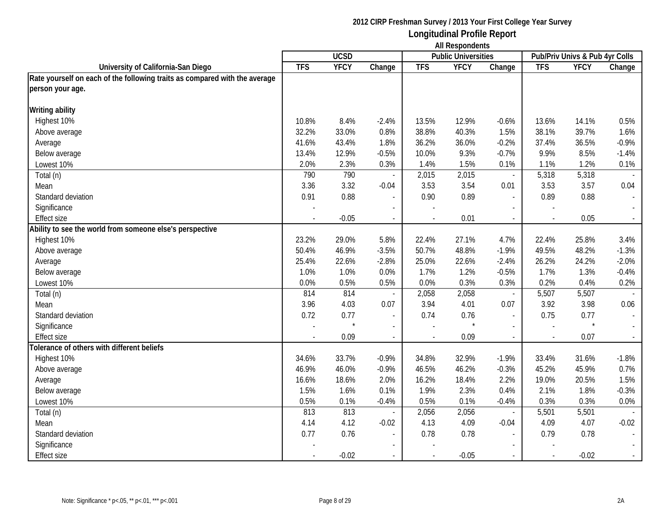|                                                                            |            | <b>UCSD</b> |                          |            | $1.11.103$ ponuonio<br><b>Public Universities</b> |                          |                          | Pub/Priv Univs & Pub 4yr Colls |         |
|----------------------------------------------------------------------------|------------|-------------|--------------------------|------------|---------------------------------------------------|--------------------------|--------------------------|--------------------------------|---------|
| University of California-San Diego                                         | <b>TFS</b> | <b>YFCY</b> | Change                   | <b>TFS</b> | <b>YFCY</b>                                       | Change                   | <b>TFS</b>               | <b>YFCY</b>                    | Change  |
| Rate yourself on each of the following traits as compared with the average |            |             |                          |            |                                                   |                          |                          |                                |         |
| person your age.                                                           |            |             |                          |            |                                                   |                          |                          |                                |         |
| <b>Writing ability</b>                                                     |            |             |                          |            |                                                   |                          |                          |                                |         |
| Highest 10%                                                                | 10.8%      | 8.4%        | $-2.4%$                  | 13.5%      | 12.9%                                             | $-0.6%$                  | 13.6%                    | 14.1%                          | 0.5%    |
| Above average                                                              | 32.2%      | 33.0%       | 0.8%                     | 38.8%      | 40.3%                                             | 1.5%                     | 38.1%                    | 39.7%                          | 1.6%    |
| Average                                                                    | 41.6%      | 43.4%       | 1.8%                     | 36.2%      | 36.0%                                             | $-0.2%$                  | 37.4%                    | 36.5%                          | $-0.9%$ |
| Below average                                                              | 13.4%      | 12.9%       | $-0.5%$                  | 10.0%      | 9.3%                                              | $-0.7%$                  | 9.9%                     | 8.5%                           | $-1.4%$ |
| Lowest 10%                                                                 | 2.0%       | 2.3%        | 0.3%                     | 1.4%       | 1.5%                                              | 0.1%                     | 1.1%                     | 1.2%                           | 0.1%    |
| Total (n)                                                                  | 790        | 790         | $\overline{\phantom{a}}$ | 2,015      | 2,015                                             | $\overline{\phantom{a}}$ | 5,318                    | 5,318                          |         |
| Mean                                                                       | 3.36       | 3.32        | $-0.04$                  | 3.53       | 3.54                                              | 0.01                     | 3.53                     | 3.57                           | 0.04    |
| Standard deviation                                                         | 0.91       | 0.88        | $\sim$                   | 0.90       | 0.89                                              | $\mathcal{L}$            | 0.89                     | 0.88                           |         |
| Significance                                                               |            |             |                          |            |                                                   |                          |                          |                                |         |
| <b>Effect size</b>                                                         |            | $-0.05$     | $\overline{\phantom{a}}$ |            | 0.01                                              | $\overline{\phantom{a}}$ |                          | 0.05                           |         |
| Ability to see the world from someone else's perspective                   |            |             |                          |            |                                                   |                          |                          |                                |         |
| Highest 10%                                                                | 23.2%      | 29.0%       | 5.8%                     | 22.4%      | 27.1%                                             | 4.7%                     | 22.4%                    | 25.8%                          | 3.4%    |
| Above average                                                              | 50.4%      | 46.9%       | $-3.5%$                  | 50.7%      | 48.8%                                             | $-1.9%$                  | 49.5%                    | 48.2%                          | $-1.3%$ |
| Average                                                                    | 25.4%      | 22.6%       | $-2.8%$                  | 25.0%      | 22.6%                                             | $-2.4%$                  | 26.2%                    | 24.2%                          | $-2.0%$ |
| Below average                                                              | 1.0%       | 1.0%        | 0.0%                     | 1.7%       | 1.2%                                              | $-0.5%$                  | 1.7%                     | 1.3%                           | $-0.4%$ |
| Lowest 10%                                                                 | 0.0%       | 0.5%        | 0.5%                     | 0.0%       | 0.3%                                              | 0.3%                     | 0.2%                     | 0.4%                           | 0.2%    |
| Total (n)                                                                  | 814        | 814         | $\sim$                   | 2,058      | 2,058                                             | $\blacksquare$           | 5,507                    | 5,507                          |         |
| Mean                                                                       | 3.96       | 4.03        | 0.07                     | 3.94       | 4.01                                              | 0.07                     | 3.92                     | 3.98                           | 0.06    |
| Standard deviation                                                         | 0.72       | 0.77        | $\blacksquare$           | 0.74       | 0.76                                              | $\blacksquare$           | 0.75                     | 0.77                           |         |
| Significance                                                               |            | $\star$     | $\sim$                   |            |                                                   | $\blacksquare$           |                          | $\star$                        |         |
| <b>Effect size</b>                                                         |            | 0.09        | $\blacksquare$           |            | 0.09                                              | $\blacksquare$           | $\overline{\phantom{a}}$ | 0.07                           |         |
| Tolerance of others with different beliefs                                 |            |             |                          |            |                                                   |                          |                          |                                |         |
| Highest 10%                                                                | 34.6%      | 33.7%       | $-0.9%$                  | 34.8%      | 32.9%                                             | $-1.9%$                  | 33.4%                    | 31.6%                          | $-1.8%$ |
| Above average                                                              | 46.9%      | 46.0%       | $-0.9%$                  | 46.5%      | 46.2%                                             | $-0.3%$                  | 45.2%                    | 45.9%                          | 0.7%    |
| Average                                                                    | 16.6%      | 18.6%       | 2.0%                     | 16.2%      | 18.4%                                             | 2.2%                     | 19.0%                    | 20.5%                          | 1.5%    |
| Below average                                                              | 1.5%       | 1.6%        | 0.1%                     | 1.9%       | 2.3%                                              | 0.4%                     | 2.1%                     | 1.8%                           | $-0.3%$ |
| Lowest 10%                                                                 | 0.5%       | 0.1%        | $-0.4%$                  | 0.5%       | 0.1%                                              | $-0.4%$                  | 0.3%                     | 0.3%                           | 0.0%    |
| Total (n)                                                                  | 813        | 813         | $\overline{\phantom{a}}$ | 2,056      | 2,056                                             | $\overline{\phantom{a}}$ | 5,501                    | 5,501                          |         |
| Mean                                                                       | 4.14       | 4.12        | $-0.02$                  | 4.13       | 4.09                                              | $-0.04$                  | 4.09                     | 4.07                           | $-0.02$ |
| Standard deviation                                                         | 0.77       | 0.76        | $\sim$                   | 0.78       | 0.78                                              |                          | 0.79                     | 0.78                           |         |
| Significance                                                               |            |             |                          |            |                                                   |                          |                          |                                |         |
| Effect size                                                                |            | $-0.02$     |                          |            | $-0.05$                                           |                          |                          | $-0.02$                        |         |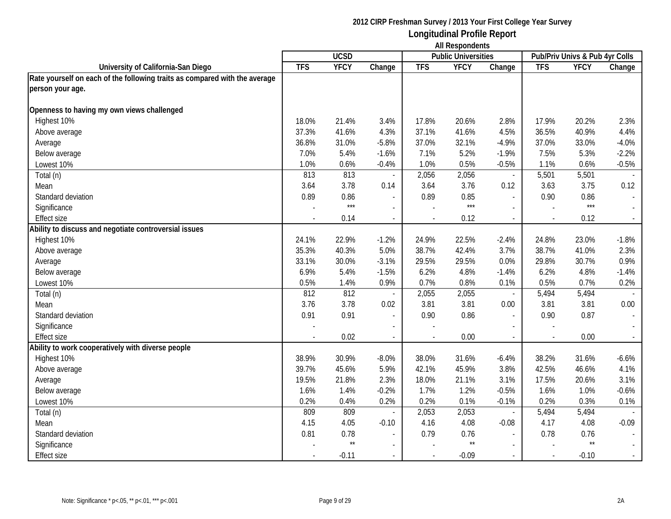|                                                                            |                          | <b>UCSD</b>  |                          |            | m nooponuonio<br><b>Public Universities</b> |                          |            | Pub/Priv Univs & Pub 4yr Colls |                             |
|----------------------------------------------------------------------------|--------------------------|--------------|--------------------------|------------|---------------------------------------------|--------------------------|------------|--------------------------------|-----------------------------|
| University of California-San Diego                                         | <b>TFS</b>               | <b>YFCY</b>  | Change                   | <b>TFS</b> | <b>YFCY</b>                                 | Change                   | <b>TFS</b> | <b>YFCY</b>                    | Change                      |
| Rate yourself on each of the following traits as compared with the average |                          |              |                          |            |                                             |                          |            |                                |                             |
| person your age.                                                           |                          |              |                          |            |                                             |                          |            |                                |                             |
|                                                                            |                          |              |                          |            |                                             |                          |            |                                |                             |
| Openness to having my own views challenged                                 |                          |              |                          |            |                                             |                          |            |                                |                             |
| Highest 10%                                                                | 18.0%                    | 21.4%        | 3.4%                     | 17.8%      | 20.6%                                       | 2.8%                     | 17.9%      | 20.2%                          | 2.3%                        |
| Above average                                                              | 37.3%                    | 41.6%        | 4.3%                     | 37.1%      | 41.6%                                       | 4.5%                     | 36.5%      | 40.9%                          | 4.4%                        |
| Average                                                                    | 36.8%                    | 31.0%        | $-5.8%$                  | 37.0%      | 32.1%                                       | $-4.9%$                  | 37.0%      | 33.0%                          | $-4.0%$                     |
| Below average                                                              | 7.0%                     | 5.4%         | $-1.6%$                  | 7.1%       | 5.2%                                        | $-1.9%$                  | 7.5%       | 5.3%                           | $-2.2%$                     |
| Lowest 10%                                                                 | 1.0%                     | 0.6%         | $-0.4%$                  | 1.0%       | 0.5%                                        | $-0.5%$                  | 1.1%       | 0.6%                           | $-0.5%$                     |
| Total (n)                                                                  | 813                      | 813          |                          | 2,056      | 2,056                                       | $\overline{\phantom{a}}$ | 5,501      | 5,501                          |                             |
| Mean                                                                       | 3.64                     | 3.78         | 0.14                     | 3.64       | 3.76                                        | 0.12                     | 3.63       | 3.75                           | 0.12                        |
| Standard deviation                                                         | 0.89                     | 0.86         |                          | 0.89       | 0.85                                        | $\overline{a}$           | 0.90       | 0.86                           |                             |
| Significance                                                               |                          | $***$        | $\mathbf{r}$             |            | $***$                                       |                          |            | $***$                          |                             |
| <b>Effect size</b>                                                         |                          | 0.14         | $\sim$                   |            | 0.12                                        | $\sim$                   |            | 0.12                           | $\sim$                      |
| Ability to discuss and negotiate controversial issues                      |                          |              |                          |            |                                             |                          |            |                                |                             |
| Highest 10%                                                                | 24.1%                    | 22.9%        | $-1.2%$                  | 24.9%      | 22.5%                                       | $-2.4%$                  | 24.8%      | 23.0%                          | $-1.8%$                     |
| Above average                                                              | 35.3%                    | 40.3%        | 5.0%                     | 38.7%      | 42.4%                                       | 3.7%                     | 38.7%      | 41.0%                          | 2.3%                        |
| Average                                                                    | 33.1%                    | 30.0%        | $-3.1%$                  | 29.5%      | 29.5%                                       | 0.0%                     | 29.8%      | 30.7%                          | 0.9%                        |
| Below average                                                              | 6.9%                     | 5.4%         | $-1.5%$                  | 6.2%       | 4.8%                                        | $-1.4%$                  | 6.2%       | 4.8%                           | $-1.4%$                     |
| Lowest 10%                                                                 | 0.5%                     | 1.4%         | 0.9%                     | 0.7%       | 0.8%                                        | 0.1%                     | 0.5%       | 0.7%                           | 0.2%                        |
| Total (n)                                                                  | 812                      | 812          | $\overline{\phantom{a}}$ | 2,055      | 2,055                                       | $\overline{\phantom{a}}$ | 5,494      | 5,494                          |                             |
| Mean                                                                       | 3.76                     | 3.78         | 0.02                     | 3.81       | 3.81                                        | 0.00                     | 3.81       | 3.81                           | 0.00                        |
| Standard deviation                                                         | 0.91                     | 0.91         | $\overline{\phantom{a}}$ | 0.90       | 0.86                                        | $\overline{a}$           | 0.90       | 0.87                           |                             |
| Significance                                                               | $\overline{\phantom{a}}$ |              | $\overline{\phantom{a}}$ |            |                                             |                          |            |                                |                             |
| <b>Effect size</b>                                                         | $\overline{\phantom{a}}$ | 0.02         | $\blacksquare$           |            | 0.00                                        | $\overline{\phantom{a}}$ |            | 0.00                           | $\omega_{\rm c}$            |
| Ability to work cooperatively with diverse people                          |                          |              |                          |            |                                             |                          |            |                                |                             |
| Highest 10%                                                                | 38.9%                    | 30.9%        | $-8.0%$                  | 38.0%      | 31.6%                                       | $-6.4%$                  | 38.2%      | 31.6%                          | $-6.6%$                     |
| Above average                                                              | 39.7%                    | 45.6%        | 5.9%                     | 42.1%      | 45.9%                                       | 3.8%                     | 42.5%      | 46.6%                          | 4.1%                        |
| Average                                                                    | 19.5%                    | 21.8%        | 2.3%                     | 18.0%      | 21.1%                                       | 3.1%                     | 17.5%      | 20.6%                          | 3.1%                        |
| Below average                                                              | 1.6%                     | 1.4%         | $-0.2%$                  | 1.7%       | 1.2%                                        | $-0.5%$                  | 1.6%       | 1.0%                           | $-0.6%$                     |
| Lowest 10%                                                                 | 0.2%                     | 0.4%         | 0.2%                     | 0.2%       | 0.1%                                        | $-0.1%$                  | 0.2%       | 0.3%                           | 0.1%                        |
| Total (n)                                                                  | 809                      | 809          | $\overline{\phantom{a}}$ | 2,053      | 2,053                                       | $\overline{\phantom{a}}$ | 5,494      | 5,494                          |                             |
| Mean                                                                       | 4.15                     | 4.05         | $-0.10$                  | 4.16       | 4.08                                        | $-0.08$                  | 4.17       | 4.08                           | $-0.09$                     |
| Standard deviation                                                         | 0.81                     | 0.78         | $\sim$                   | 0.79       | 0.76                                        |                          | 0.78       | 0.76                           | $\mathcal{L}_{\mathcal{A}}$ |
| Significance                                                               |                          | $\star\star$ | $\sim$                   |            | $\star\star$                                |                          |            | $^{\star\star}$                |                             |
| <b>Effect size</b>                                                         |                          | $-0.11$      | $\overline{\phantom{a}}$ |            | $-0.09$                                     |                          |            | $-0.10$                        | $\sim$                      |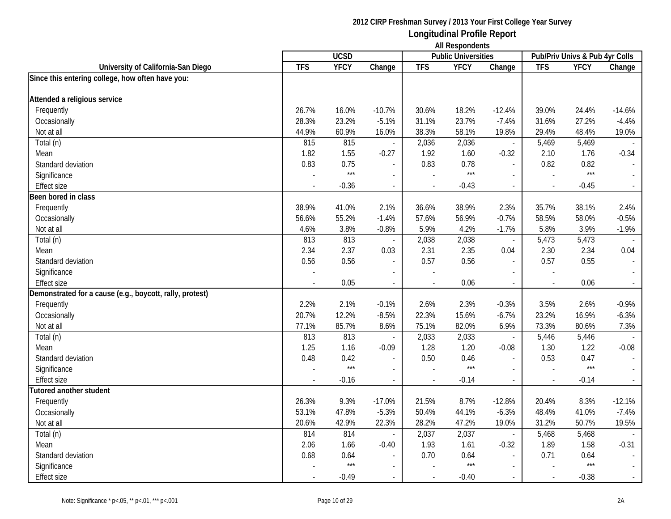|                                                          |                | <b>UCSD</b> |               |            | <b>THE INVOLUTION</b><br><b>Public Universities</b> |                                     |                          | Pub/Priv Univs & Pub 4yr Colls |          |
|----------------------------------------------------------|----------------|-------------|---------------|------------|-----------------------------------------------------|-------------------------------------|--------------------------|--------------------------------|----------|
| University of California-San Diego                       | <b>TFS</b>     | <b>YFCY</b> | Change        | <b>TFS</b> | <b>YFCY</b>                                         | Change                              | <b>TFS</b>               | <b>YFCY</b>                    | Change   |
| Since this entering college, how often have you:         |                |             |               |            |                                                     |                                     |                          |                                |          |
| Attended a religious service                             |                |             |               |            |                                                     |                                     |                          |                                |          |
| Frequently                                               | 26.7%          | 16.0%       | $-10.7%$      | 30.6%      | 18.2%                                               | $-12.4%$                            | 39.0%                    | 24.4%                          | $-14.6%$ |
| Occasionally                                             | 28.3%          | 23.2%       | $-5.1%$       | 31.1%      | 23.7%                                               | $-7.4%$                             | 31.6%                    | 27.2%                          | $-4.4%$  |
| Not at all                                               | 44.9%          | 60.9%       | 16.0%         | 38.3%      | 58.1%                                               | 19.8%                               | 29.4%                    | 48.4%                          | 19.0%    |
| Total (n)                                                | 815            | 815         |               | 2,036      | 2,036                                               | $\overline{\phantom{a}}$            | 5,469                    | 5,469                          |          |
| Mean                                                     | 1.82           | 1.55        | $-0.27$       | 1.92       | 1.60                                                | $-0.32$                             | 2.10                     | 1.76                           | $-0.34$  |
| Standard deviation                                       | 0.83           | 0.75        |               | 0.83       | 0.78                                                | $\overline{\phantom{a}}$            | 0.82                     | 0.82                           |          |
| Significance                                             |                | $***$       |               |            | $***$                                               |                                     |                          | $***$                          |          |
| <b>Effect size</b>                                       | $\overline{a}$ | $-0.36$     | $\sim$        |            | $-0.43$                                             | $\sim$                              | $\sim$                   | $-0.45$                        |          |
| Been bored in class                                      |                |             |               |            |                                                     |                                     |                          |                                |          |
| Frequently                                               | 38.9%          | 41.0%       | 2.1%          | 36.6%      | 38.9%                                               | 2.3%                                | 35.7%                    | 38.1%                          | 2.4%     |
| Occasionally                                             | 56.6%          | 55.2%       | $-1.4%$       | 57.6%      | 56.9%                                               | $-0.7%$                             | 58.5%                    | 58.0%                          | $-0.5%$  |
| Not at all                                               | 4.6%           | 3.8%        | $-0.8%$       | 5.9%       | 4.2%                                                | $-1.7%$                             | 5.8%                     | 3.9%                           | $-1.9%$  |
| Total (n)                                                | 813            | 813         |               | 2,038      | 2,038                                               | $\overline{\phantom{a}}$            | 5,473                    | 5,473                          |          |
| Mean                                                     | 2.34           | 2.37        | 0.03          | 2.31       | 2.35                                                | 0.04                                | 2.30                     | 2.34                           | 0.04     |
| Standard deviation                                       | 0.56           | 0.56        |               | 0.57       | 0.56                                                | $\blacksquare$                      | 0.57                     | 0.55                           |          |
|                                                          |                |             |               |            |                                                     |                                     | $\overline{\phantom{a}}$ |                                |          |
| Significance<br><b>Effect size</b>                       |                | 0.05        | $\mathcal{L}$ |            | 0.06                                                |                                     |                          | 0.06                           |          |
| Demonstrated for a cause (e.g., boycott, rally, protest) |                |             |               |            |                                                     | $\overline{\phantom{a}}$            | $\blacksquare$           |                                |          |
| Frequently                                               | 2.2%           | 2.1%        | $-0.1%$       | 2.6%       | 2.3%                                                | $-0.3%$                             | 3.5%                     | 2.6%                           | $-0.9%$  |
| Occasionally                                             | 20.7%          | 12.2%       | $-8.5%$       | 22.3%      | 15.6%                                               | $-6.7%$                             | 23.2%                    | 16.9%                          | $-6.3%$  |
| Not at all                                               | 77.1%          | 85.7%       | 8.6%          | 75.1%      | 82.0%                                               | 6.9%                                | 73.3%                    | 80.6%                          | 7.3%     |
| Total (n)                                                | 813            | 813         |               | 2,033      | 2,033                                               | $\overline{\phantom{a}}$            | 5,446                    | 5,446                          |          |
| Mean                                                     | 1.25           | 1.16        | $-0.09$       | 1.28       | 1.20                                                |                                     | 1.30                     | 1.22                           | $-0.08$  |
| Standard deviation                                       | 0.48           | 0.42        |               | 0.50       | 0.46                                                | $-0.08$<br>$\overline{\phantom{a}}$ | 0.53                     | 0.47                           |          |
| Significance                                             |                | $***$       |               |            | $***$                                               | $\sim$                              |                          | $***$                          |          |
| <b>Effect size</b>                                       |                | $-0.16$     | $\mathcal{L}$ | $\sim$     | $-0.14$                                             | $\overline{\phantom{a}}$            | $\overline{a}$           | $-0.14$                        |          |
| <b>Tutored another student</b>                           |                |             |               |            |                                                     |                                     |                          |                                |          |
| Frequently                                               | 26.3%          | 9.3%        | $-17.0%$      | 21.5%      | 8.7%                                                | $-12.8%$                            | 20.4%                    | 8.3%                           | $-12.1%$ |
| Occasionally                                             | 53.1%          | 47.8%       | $-5.3%$       | 50.4%      | 44.1%                                               | $-6.3%$                             | 48.4%                    | 41.0%                          | $-7.4%$  |
| Not at all                                               | 20.6%          | 42.9%       | 22.3%         | 28.2%      | 47.2%                                               | 19.0%                               | 31.2%                    | 50.7%                          | 19.5%    |
| Total (n)                                                | 814            | 814         |               | 2,037      | 2,037                                               | $\overline{\phantom{a}}$            | 5,468                    | 5,468                          |          |
| Mean                                                     | 2.06           | 1.66        | $-0.40$       | 1.93       | 1.61                                                | $-0.32$                             | 1.89                     | 1.58                           | $-0.31$  |
| Standard deviation                                       | 0.68           | 0.64        |               | 0.70       | 0.64                                                | $\overline{\phantom{a}}$            | 0.71                     | 0.64                           |          |
| Significance                                             |                | $***$       |               |            | $***$                                               | $\sim$                              |                          | $***$                          |          |
| Effect size                                              |                | $-0.49$     |               |            | $-0.40$                                             | $\sim$                              | $\mathbb{Z}^2$           | $-0.38$                        |          |
|                                                          |                |             |               |            |                                                     |                                     |                          |                                |          |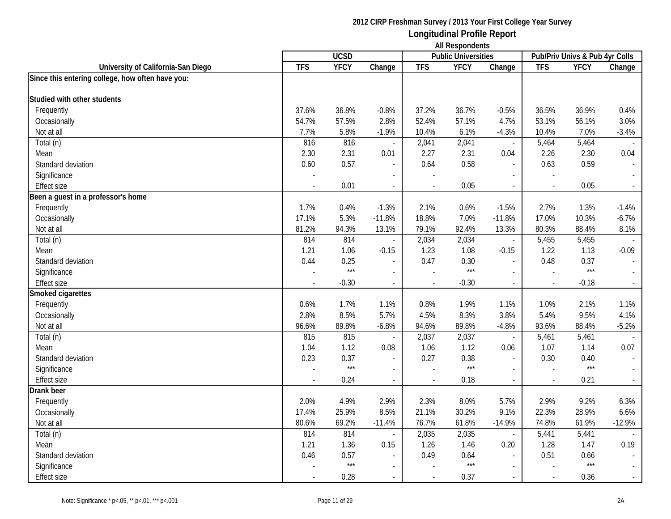|                                                  |                |             |                          | <b>All Respondents</b> |                            |                          |                                |             |          |
|--------------------------------------------------|----------------|-------------|--------------------------|------------------------|----------------------------|--------------------------|--------------------------------|-------------|----------|
|                                                  |                | <b>UCSD</b> |                          |                        | <b>Public Universities</b> |                          | Pub/Priv Univs & Pub 4yr Colls |             |          |
| University of California-San Diego               | <b>TFS</b>     | <b>YFCY</b> | Change                   | <b>TFS</b>             | <b>YFCY</b>                | Change                   | <b>TFS</b>                     | <b>YFCY</b> | Change   |
| Since this entering college, how often have you: |                |             |                          |                        |                            |                          |                                |             |          |
| Studied with other students                      |                |             |                          |                        |                            |                          |                                |             |          |
| Frequently                                       | 37.6%          | 36.8%       | $-0.8%$                  | 37.2%                  | 36.7%                      | $-0.5%$                  | 36.5%                          | 36.9%       | 0.4%     |
| Occasionally                                     | 54.7%          | 57.5%       | 2.8%                     | 52.4%                  | 57.1%                      | 4.7%                     | 53.1%                          | 56.1%       | 3.0%     |
| Not at all                                       | 7.7%           | 5.8%        | $-1.9%$                  | 10.4%                  | 6.1%                       | $-4.3%$                  | 10.4%                          | 7.0%        | $-3.4%$  |
| Total (n)                                        | 816            | 816         | $\sim$                   | 2,041                  | 2,041                      | $\overline{\phantom{a}}$ | 5,464                          | 5,464       |          |
| Mean                                             | 2.30           | 2.31        | 0.01                     | 2.27                   | 2.31                       | 0.04                     | 2.26                           | 2.30        | 0.04     |
| Standard deviation                               | 0.60           | 0.57        | $\blacksquare$           | 0.64                   | 0.58                       | $\overline{\phantom{a}}$ | 0.63                           | 0.59        |          |
| Significance                                     |                |             |                          |                        |                            |                          |                                |             |          |
| <b>Effect size</b>                               |                | 0.01        | $\overline{\phantom{a}}$ | $\sim$                 | 0.05                       | $\overline{a}$           | $\sim$                         | 0.05        |          |
| Been a guest in a professor's home               |                |             |                          |                        |                            |                          |                                |             |          |
| Frequently                                       | 1.7%           | 0.4%        | $-1.3%$                  | 2.1%                   | 0.6%                       | $-1.5%$                  | 2.7%                           | 1.3%        | $-1.4%$  |
| Occasionally                                     | 17.1%          | 5.3%        | $-11.8%$                 | 18.8%                  | 7.0%                       | $-11.8%$                 | 17.0%                          | 10.3%       | $-6.7%$  |
| Not at all                                       | 81.2%          | 94.3%       | 13.1%                    | 79.1%                  | 92.4%                      | 13.3%                    | 80.3%                          | 88.4%       | 8.1%     |
| $\overline{\mathrm{Total}}$ (n)                  | 814            | 814         |                          | 2,034                  | 2,034                      | $\overline{\phantom{a}}$ | 5,455                          | 5,455       |          |
| Mean                                             | 1.21           | 1.06        | $-0.15$                  | 1.23                   | 1.08                       | $-0.15$                  | 1.22                           | 1.13        | $-0.09$  |
| Standard deviation                               | 0.44           | 0.25        | $\overline{a}$           | 0.47                   | 0.30                       | $\overline{\phantom{a}}$ | 0.48                           | 0.37        |          |
| Significance                                     |                | $***$       |                          |                        | $***$                      |                          |                                | $***$       |          |
| <b>Effect size</b>                               |                | $-0.30$     | $\overline{a}$           | $\overline{a}$         | $-0.30$                    | $\overline{a}$           | $\sim$                         | $-0.18$     |          |
| Smoked cigarettes                                |                |             |                          |                        |                            |                          |                                |             |          |
| Frequently                                       | 0.6%           | 1.7%        | 1.1%                     | 0.8%                   | 1.9%                       | 1.1%                     | 1.0%                           | 2.1%        | 1.1%     |
| Occasionally                                     | 2.8%           | 8.5%        | 5.7%                     | 4.5%                   | 8.3%                       | 3.8%                     | 5.4%                           | 9.5%        | 4.1%     |
| Not at all                                       | 96.6%          | 89.8%       | $-6.8%$                  | 94.6%                  | 89.8%                      | $-4.8%$                  | 93.6%                          | 88.4%       | $-5.2%$  |
| Total (n)                                        | 815            | 815         | $\overline{\phantom{a}}$ | 2,037                  | 2,037                      | $\overline{\phantom{a}}$ | 5,461                          | 5,461       |          |
| Mean                                             | 1.04           | 1.12        | 0.08                     | 1.06                   | 1.12                       | 0.06                     | 1.07                           | 1.14        | 0.07     |
| Standard deviation                               | 0.23           | 0.37        | $\overline{a}$           | 0.27                   | 0.38                       |                          | 0.30                           | 0.40        |          |
| Significance                                     |                | $***$       | $\overline{a}$           |                        | $***$                      | $\overline{a}$           |                                | $***$       |          |
| <b>Effect size</b>                               | $\overline{a}$ | 0.24        | $\blacksquare$           | $\sim$                 | 0.18                       | $\overline{\phantom{a}}$ | $\mathbb{L}$                   | 0.21        | $\sim$   |
| Drank beer                                       |                |             |                          |                        |                            |                          |                                |             |          |
| Frequently                                       | 2.0%           | 4.9%        | 2.9%                     | 2.3%                   | 8.0%                       | 5.7%                     | 2.9%                           | 9.2%        | 6.3%     |
| Occasionally                                     | 17.4%          | 25.9%       | 8.5%                     | 21.1%                  | 30.2%                      | 9.1%                     | 22.3%                          | 28.9%       | 6.6%     |
| Not at all                                       | 80.6%          | 69.2%       | $-11.4%$                 | 76.7%                  | 61.8%                      | $-14.9%$                 | 74.8%                          | 61.9%       | $-12.9%$ |
| Total (n)                                        | 814            | 814         |                          | 2,035                  | 2,035                      | $\overline{\phantom{a}}$ | 5,441                          | 5,441       |          |
| Mean                                             | 1.21           | 1.36        | 0.15                     | 1.26                   | 1.46                       | 0.20                     | 1.28                           | 1.47        | 0.19     |
| Standard deviation                               | 0.46           | 0.57        | $\overline{a}$           | 0.49                   | 0.64                       |                          | 0.51                           | 0.66        |          |
| Significance                                     |                | $***$       | $\overline{\phantom{a}}$ |                        | $***$                      | $\overline{\phantom{a}}$ |                                | $***$       |          |
| Effect size                                      |                | 0.28        | $\blacksquare$           | $\sim$                 | 0.37                       | $\blacksquare$           | $\overline{a}$                 | 0.36        |          |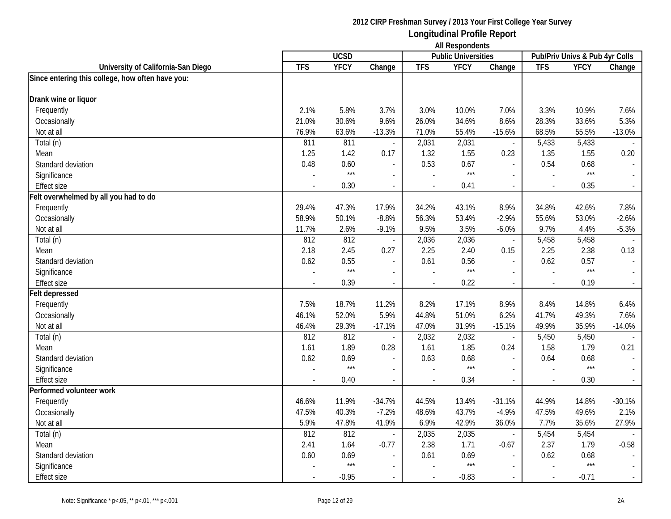|                                                  | <b>UCSD</b> |             |                          |            | <b>THE INVOLUTION</b><br><b>Public Universities</b> |                          | Pub/Priv Univs & Pub 4yr Colls |             |          |
|--------------------------------------------------|-------------|-------------|--------------------------|------------|-----------------------------------------------------|--------------------------|--------------------------------|-------------|----------|
| University of California-San Diego               | <b>TFS</b>  | <b>YFCY</b> | Change                   | <b>TFS</b> | <b>YFCY</b>                                         | Change                   | <b>TFS</b>                     | <b>YFCY</b> | Change   |
| Since entering this college, how often have you: |             |             |                          |            |                                                     |                          |                                |             |          |
|                                                  |             |             |                          |            |                                                     |                          |                                |             |          |
| Drank wine or liquor                             |             |             |                          |            |                                                     |                          |                                |             |          |
| Frequently                                       | 2.1%        | 5.8%        | 3.7%                     | 3.0%       | 10.0%                                               | 7.0%                     | 3.3%                           | 10.9%       | 7.6%     |
| Occasionally                                     | 21.0%       | 30.6%       | 9.6%                     | 26.0%      | 34.6%                                               | 8.6%                     | 28.3%                          | 33.6%       | 5.3%     |
| Not at all                                       | 76.9%       | 63.6%       | $-13.3%$                 | 71.0%      | 55.4%                                               | $-15.6%$                 | 68.5%                          | 55.5%       | $-13.0%$ |
| Total (n)                                        | 811         | 811         | ÷,                       | 2,031      | 2,031                                               | $\overline{\phantom{a}}$ | 5,433                          | 5,433       |          |
| Mean                                             | 1.25        | 1.42        | 0.17                     | 1.32       | 1.55                                                | 0.23                     | 1.35                           | 1.55        | 0.20     |
| Standard deviation                               | 0.48        | 0.60        | $\overline{\phantom{a}}$ | 0.53       | 0.67                                                | $\blacksquare$           | 0.54                           | 0.68        |          |
| Significance                                     |             | $***$       |                          |            | $***$                                               |                          |                                | $***$       |          |
| <b>Effect size</b>                               |             | 0.30        | $\overline{\phantom{a}}$ |            | 0.41                                                | $\overline{\phantom{a}}$ | $\overline{\phantom{a}}$       | 0.35        |          |
| Felt overwhelmed by all you had to do            |             |             |                          |            |                                                     |                          |                                |             |          |
| Frequently                                       | 29.4%       | 47.3%       | 17.9%                    | 34.2%      | 43.1%                                               | 8.9%                     | 34.8%                          | 42.6%       | 7.8%     |
| Occasionally                                     | 58.9%       | 50.1%       | $-8.8%$                  | 56.3%      | 53.4%                                               | $-2.9%$                  | 55.6%                          | 53.0%       | $-2.6%$  |
| Not at all                                       | 11.7%       | 2.6%        | $-9.1%$                  | 9.5%       | 3.5%                                                | $-6.0\%$                 | 9.7%                           | 4.4%        | $-5.3%$  |
| Total (n)                                        | 812         | 812         |                          | 2,036      | 2,036                                               | $\blacksquare$           | 5,458                          | 5,458       |          |
| Mean                                             | 2.18        | 2.45        | 0.27                     | 2.25       | 2.40                                                | 0.15                     | 2.25                           | 2.38        | 0.13     |
| Standard deviation                               | 0.62        | 0.55        | $\overline{\phantom{a}}$ | 0.61       | 0.56                                                | $\blacksquare$           | 0.62                           | 0.57        |          |
| Significance                                     |             | $***$       | $\blacksquare$           |            | $***$                                               | $\overline{\phantom{a}}$ | $\sim$                         | $***$       |          |
| <b>Effect size</b>                               |             | 0.39        | $\overline{\phantom{a}}$ |            | 0.22                                                | $\sim$                   | $\sim$                         | 0.19        | $\sim$   |
| Felt depressed                                   |             |             |                          |            |                                                     |                          |                                |             |          |
| Frequently                                       | 7.5%        | 18.7%       | 11.2%                    | 8.2%       | 17.1%                                               | 8.9%                     | 8.4%                           | 14.8%       | 6.4%     |
| Occasionally                                     | 46.1%       | 52.0%       | 5.9%                     | 44.8%      | 51.0%                                               | 6.2%                     | 41.7%                          | 49.3%       | 7.6%     |
| Not at all                                       | 46.4%       | 29.3%       | $-17.1%$                 | 47.0%      | 31.9%                                               | $-15.1%$                 | 49.9%                          | 35.9%       | $-14.0%$ |
| Total (n)                                        | 812         | 812         |                          | 2,032      | 2,032                                               | $\overline{\phantom{a}}$ | 5,450                          | 5,450       |          |
| Mean                                             | 1.61        | 1.89        | 0.28                     | 1.61       | 1.85                                                | 0.24                     | 1.58                           | 1.79        | 0.21     |
| Standard deviation                               | 0.62        | 0.69        | $\blacksquare$           | 0.63       | 0.68                                                | $\overline{\phantom{a}}$ | 0.64                           | 0.68        |          |
| Significance                                     |             | $***$       | $\blacksquare$           |            | $***$                                               | $\sim$                   |                                | $***$       |          |
| <b>Effect size</b>                               |             | 0.40        | $\blacksquare$           |            | 0.34                                                | $\overline{\phantom{a}}$ | $\overline{a}$                 | 0.30        |          |
| Performed volunteer work                         |             |             |                          |            |                                                     |                          |                                |             |          |
| Frequently                                       | 46.6%       | 11.9%       | $-34.7%$                 | 44.5%      | 13.4%                                               | $-31.1%$                 | 44.9%                          | 14.8%       | $-30.1%$ |
| Occasionally                                     | 47.5%       | 40.3%       | $-7.2%$                  | 48.6%      | 43.7%                                               | $-4.9%$                  | 47.5%                          | 49.6%       | 2.1%     |
| Not at all                                       | 5.9%        | 47.8%       | 41.9%                    | 6.9%       | 42.9%                                               | 36.0%                    | 7.7%                           | 35.6%       | 27.9%    |
| Total (n)                                        | 812         | 812         | $\sim$                   | 2,035      | 2,035                                               | $\overline{\phantom{a}}$ | 5,454                          | 5,454       |          |
| Mean                                             | 2.41        | 1.64        | $-0.77$                  | 2.38       | 1.71                                                | $-0.67$                  | 2.37                           | 1.79        | $-0.58$  |
| Standard deviation                               | 0.60        | 0.69        | $\overline{\phantom{a}}$ | 0.61       | 0.69                                                | $\overline{\phantom{a}}$ | 0.62                           | 0.68        |          |
| Significance                                     |             | $***$       | $\overline{a}$           |            | $***$                                               | $\sim$                   |                                | $***$       |          |
| Effect size                                      |             | $-0.95$     | $\overline{\phantom{a}}$ |            | $-0.83$                                             | $\sim$                   | $\mathbb{Z}^2$                 | $-0.71$     |          |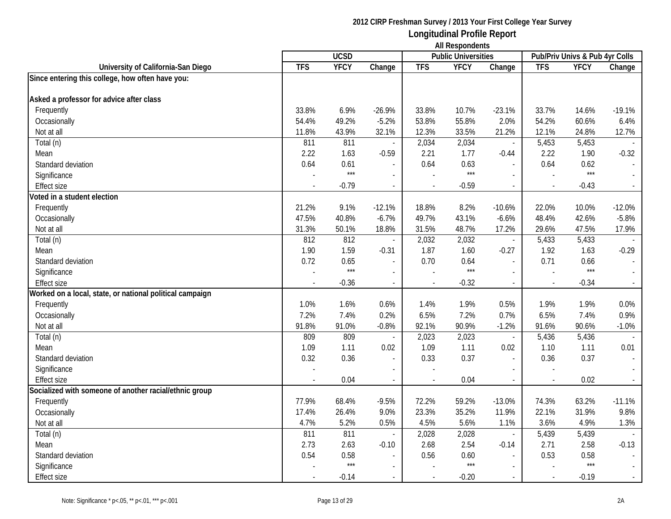|                                                          |                | <b>UCSD</b> |                |            | <b>THE INVOLUTION</b><br><b>Public Universities</b> |                          |                          | Pub/Priv Univs & Pub 4yr Colls |          |
|----------------------------------------------------------|----------------|-------------|----------------|------------|-----------------------------------------------------|--------------------------|--------------------------|--------------------------------|----------|
| University of California-San Diego                       | <b>TFS</b>     | <b>YFCY</b> | Change         | <b>TFS</b> | <b>YFCY</b>                                         | Change                   | <b>TFS</b>               | <b>YFCY</b>                    | Change   |
| Since entering this college, how often have you:         |                |             |                |            |                                                     |                          |                          |                                |          |
|                                                          |                |             |                |            |                                                     |                          |                          |                                |          |
| Asked a professor for advice after class                 |                |             |                |            |                                                     |                          |                          |                                |          |
| Frequently                                               | 33.8%          | 6.9%        | $-26.9%$       | 33.8%      | 10.7%                                               | $-23.1%$                 | 33.7%                    | 14.6%                          | $-19.1%$ |
| Occasionally                                             | 54.4%          | 49.2%       | $-5.2%$        | 53.8%      | 55.8%                                               | 2.0%                     | 54.2%                    | 60.6%                          | 6.4%     |
| Not at all                                               | 11.8%          | 43.9%       | 32.1%          | 12.3%      | 33.5%                                               | 21.2%                    | 12.1%                    | 24.8%                          | 12.7%    |
| Total (n)                                                | 811            | 811         |                | 2,034      | 2,034                                               | $\overline{\phantom{a}}$ | 5,453                    | 5,453                          |          |
| Mean                                                     | 2.22           | 1.63        | $-0.59$        | 2.21       | 1.77                                                | $-0.44$                  | 2.22                     | 1.90                           | $-0.32$  |
| Standard deviation                                       | 0.64           | 0.61        |                | 0.64       | 0.63                                                |                          | 0.64                     | 0.62                           |          |
| Significance                                             |                | $***$       |                |            | $***$                                               |                          |                          | $***$                          |          |
| <b>Effect size</b>                                       | $\overline{a}$ | $-0.79$     | $\sim$         |            | $-0.59$                                             | $\sim$                   | $\sim$                   | $-0.43$                        |          |
| Voted in a student election                              |                |             |                |            |                                                     |                          |                          |                                |          |
| Frequently                                               | 21.2%          | 9.1%        | $-12.1%$       | 18.8%      | 8.2%                                                | $-10.6%$                 | 22.0%                    | 10.0%                          | $-12.0%$ |
| Occasionally                                             | 47.5%          | 40.8%       | $-6.7%$        | 49.7%      | 43.1%                                               | $-6.6%$                  | 48.4%                    | 42.6%                          | $-5.8%$  |
| Not at all                                               | 31.3%          | 50.1%       | 18.8%          | 31.5%      | 48.7%                                               | 17.2%                    | 29.6%                    | 47.5%                          | 17.9%    |
| Total (n)                                                | 812            | 812         |                | 2,032      | 2,032                                               | $\blacksquare$           | 5,433                    | 5,433                          |          |
| Mean                                                     | 1.90           | 1.59        | $-0.31$        | 1.87       | 1.60                                                | $-0.27$                  | 1.92                     | 1.63                           | $-0.29$  |
| Standard deviation                                       | 0.72           | 0.65        |                | 0.70       | 0.64                                                | $\overline{\phantom{a}}$ | 0.71                     | 0.66                           |          |
| Significance                                             |                | $***$       | $\blacksquare$ |            | $***$                                               | $\sim$                   | $\overline{\phantom{a}}$ | $***$                          |          |
| <b>Effect size</b>                                       |                | $-0.36$     | $\mathcal{L}$  |            | $-0.32$                                             | $\overline{\phantom{a}}$ | $\overline{\phantom{a}}$ | $-0.34$                        |          |
| Worked on a local, state, or national political campaign |                |             |                |            |                                                     |                          |                          |                                |          |
| Frequently                                               | 1.0%           | 1.6%        | 0.6%           | 1.4%       | 1.9%                                                | 0.5%                     | 1.9%                     | 1.9%                           | 0.0%     |
| Occasionally                                             | 7.2%           | 7.4%        | 0.2%           | 6.5%       | 7.2%                                                | 0.7%                     | 6.5%                     | 7.4%                           | 0.9%     |
| Not at all                                               | 91.8%          | 91.0%       | $-0.8%$        | 92.1%      | 90.9%                                               | $-1.2%$                  | 91.6%                    | 90.6%                          | $-1.0%$  |
| Total (n)                                                | 809            | 809         |                | 2,023      | 2,023                                               | $\overline{\phantom{a}}$ | 5,436                    | 5,436                          |          |
| Mean                                                     | 1.09           | 1.11        | 0.02           | 1.09       | 1.11                                                | 0.02                     | 1.10                     | 1.11                           | 0.01     |
| Standard deviation                                       | 0.32           | 0.36        | $\mathcal{L}$  | 0.33       | 0.37                                                | $\overline{\phantom{a}}$ | 0.36                     | 0.37                           |          |
| Significance                                             |                |             |                |            |                                                     |                          |                          |                                |          |
| <b>Effect size</b>                                       |                | 0.04        | $\blacksquare$ |            | 0.04                                                |                          | $\overline{a}$           | 0.02                           |          |
| Socialized with someone of another racial/ethnic group   |                |             |                |            |                                                     |                          |                          |                                |          |
| Frequently                                               | 77.9%          | 68.4%       | $-9.5%$        | 72.2%      | 59.2%                                               | $-13.0%$                 | 74.3%                    | 63.2%                          | $-11.1%$ |
| Occasionally                                             | 17.4%          | 26.4%       | 9.0%           | 23.3%      | 35.2%                                               | 11.9%                    | 22.1%                    | 31.9%                          | 9.8%     |
| Not at all                                               | 4.7%           | 5.2%        | 0.5%           | 4.5%       | 5.6%                                                | 1.1%                     | 3.6%                     | 4.9%                           | 1.3%     |
| Total (n)                                                | 811            | 811         | $\sim$         | 2,028      | 2,028                                               | $\overline{\phantom{a}}$ | 5,439                    | 5,439                          |          |
| Mean                                                     | 2.73           | 2.63        | $-0.10$        | 2.68       | 2.54                                                | $-0.14$                  | 2.71                     | 2.58                           | $-0.13$  |
| Standard deviation                                       | 0.54           | 0.58        |                | 0.56       | 0.60                                                | $\overline{\phantom{a}}$ | 0.53                     | 0.58                           |          |
| Significance                                             |                | $***$       |                |            | $***$                                               | $\sim$                   |                          | $***$                          |          |
| Effect size                                              |                | $-0.14$     |                |            | $-0.20$                                             | $\sim$                   | $\sim$                   | $-0.19$                        |          |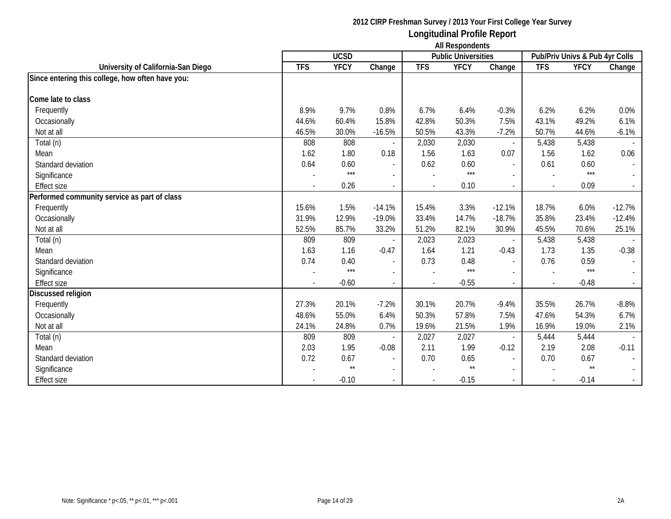|                                                  |            | <b>UCSD</b>   |                          |                | <b>Public Universities</b> |                          |            | Pub/Priv Univs & Pub 4yr Colls |                          |
|--------------------------------------------------|------------|---------------|--------------------------|----------------|----------------------------|--------------------------|------------|--------------------------------|--------------------------|
| University of California-San Diego               | <b>TFS</b> | <b>YFCY</b>   | Change                   | <b>TFS</b>     | <b>YFCY</b>                | Change                   | <b>TFS</b> | <b>YFCY</b>                    | Change                   |
| Since entering this college, how often have you: |            |               |                          |                |                            |                          |            |                                |                          |
| Come late to class                               |            |               |                          |                |                            |                          |            |                                |                          |
| Frequently                                       | 8.9%       | 9.7%          | 0.8%                     | 6.7%           | 6.4%                       | $-0.3%$                  | 6.2%       | 6.2%                           | 0.0%                     |
| Occasionally                                     | 44.6%      | 60.4%         | 15.8%                    | 42.8%          | 50.3%                      | 7.5%                     | 43.1%      | 49.2%                          | 6.1%                     |
| Not at all                                       | 46.5%      | 30.0%         | $-16.5%$                 | 50.5%          | 43.3%                      | $-7.2%$                  | 50.7%      | 44.6%                          | $-6.1%$                  |
|                                                  | 808        | 808           |                          |                | 2,030                      |                          | 5,438      | 5,438                          |                          |
| Total (n)                                        |            |               |                          | 2,030          |                            | $\overline{\phantom{a}}$ |            |                                |                          |
| Mean                                             | 1.62       | 1.80          | 0.18                     | 1.56           | 1.63                       | 0.07                     | 1.56       | 1.62                           | 0.06                     |
| Standard deviation                               | 0.64       | 0.60<br>$***$ |                          | 0.62           | 0.60<br>$***$              | $\overline{a}$           | 0.61       | 0.60<br>$***$                  | $\blacksquare$           |
| Significance                                     |            |               |                          |                |                            |                          |            |                                | $\sim$                   |
| <b>Effect size</b>                               |            | 0.26          |                          | $\overline{a}$ | 0.10                       | $\overline{a}$           |            | 0.09                           | $\sim$                   |
| Performed community service as part of class     |            |               |                          |                |                            |                          |            |                                |                          |
| Frequently                                       | 15.6%      | 1.5%          | $-14.1%$                 | 15.4%          | 3.3%                       | $-12.1%$                 | 18.7%      | 6.0%                           | $-12.7%$                 |
| Occasionally                                     | 31.9%      | 12.9%         | $-19.0%$                 | 33.4%          | 14.7%                      | $-18.7%$                 | 35.8%      | 23.4%                          | $-12.4%$                 |
| Not at all                                       | 52.5%      | 85.7%         | 33.2%                    | 51.2%          | 82.1%                      | 30.9%                    | 45.5%      | 70.6%                          | 25.1%                    |
| Total (n)                                        | 809        | 809           |                          | 2,023          | 2,023                      | $\overline{\phantom{0}}$ | 5,438      | 5,438                          |                          |
| Mean                                             | 1.63       | 1.16          | $-0.47$                  | 1.64           | 1.21                       | $-0.43$                  | 1.73       | 1.35                           | $-0.38$                  |
| Standard deviation                               | 0.74       | 0.40          |                          | 0.73           | 0.48                       | $\overline{\phantom{a}}$ | 0.76       | 0.59                           |                          |
| Significance                                     |            | $***$         |                          |                | $***$                      | $\overline{\phantom{0}}$ |            | $***$                          |                          |
| <b>Effect size</b>                               |            | $-0.60$       |                          |                | $-0.55$                    |                          |            | $-0.48$                        | $\sim$                   |
| Discussed religion                               |            |               |                          |                |                            |                          |            |                                |                          |
| Frequently                                       | 27.3%      | 20.1%         | $-7.2%$                  | 30.1%          | 20.7%                      | $-9.4%$                  | 35.5%      | 26.7%                          | $-8.8%$                  |
| Occasionally                                     | 48.6%      | 55.0%         | 6.4%                     | 50.3%          | 57.8%                      | 7.5%                     | 47.6%      | 54.3%                          | 6.7%                     |
| Not at all                                       | 24.1%      | 24.8%         | 0.7%                     | 19.6%          | 21.5%                      | 1.9%                     | 16.9%      | 19.0%                          | 2.1%                     |
| Total (n)                                        | 809        | 809           |                          | 2,027          | 2,027                      | $\overline{\phantom{a}}$ | 5,444      | 5,444                          |                          |
| Mean                                             | 2.03       | 1.95          | $-0.08$                  | 2.11           | 1.99                       | $-0.12$                  | 2.19       | 2.08                           | $-0.11$                  |
| Standard deviation                               | 0.72       | 0.67          | $\overline{\phantom{a}}$ | 0.70           | 0.65                       | $\overline{\phantom{a}}$ | 0.70       | 0.67                           | $\overline{\phantom{a}}$ |
| Significance                                     |            | $\star\star$  |                          |                | $^{\star\star}$            | $\overline{\phantom{0}}$ |            | $\star\star$                   | $\sim$                   |
| <b>Effect size</b>                               |            | $-0.10$       |                          | $\blacksquare$ | $-0.15$                    | $\overline{\phantom{a}}$ |            | $-0.14$                        | $\sim$                   |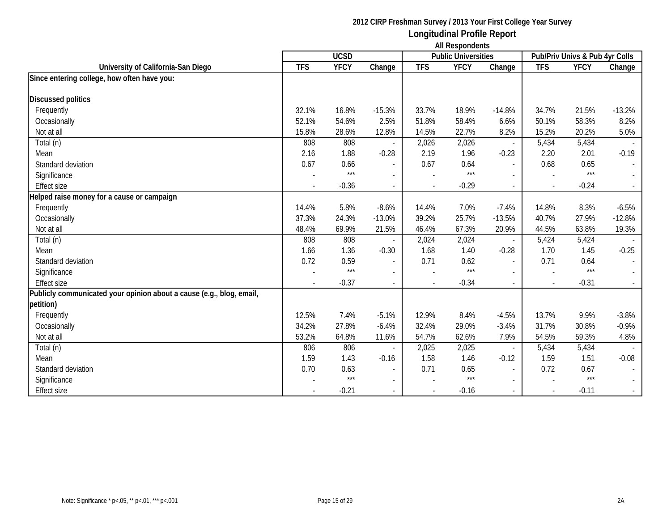|                                                                      |                          | <b>UCSD</b> |                          |                | <b>Public Universities</b> |                          |                          | Pub/Priv Univs & Pub 4yr Colls |          |
|----------------------------------------------------------------------|--------------------------|-------------|--------------------------|----------------|----------------------------|--------------------------|--------------------------|--------------------------------|----------|
| University of California-San Diego                                   | <b>TFS</b>               | <b>YFCY</b> | Change                   | <b>TFS</b>     | <b>YFCY</b>                | Change                   | <b>TFS</b>               | <b>YFCY</b>                    | Change   |
| Since entering college, how often have you:                          |                          |             |                          |                |                            |                          |                          |                                |          |
|                                                                      |                          |             |                          |                |                            |                          |                          |                                |          |
| <b>Discussed politics</b>                                            |                          |             |                          |                |                            |                          |                          |                                |          |
| Frequently                                                           | 32.1%                    | 16.8%       | $-15.3%$                 | 33.7%          | 18.9%                      | $-14.8%$                 | 34.7%                    | 21.5%                          | $-13.2%$ |
| Occasionally                                                         | 52.1%                    | 54.6%       | 2.5%                     | 51.8%          | 58.4%                      | 6.6%                     | 50.1%                    | 58.3%                          | 8.2%     |
| Not at all                                                           | 15.8%                    | 28.6%       | 12.8%                    | 14.5%          | 22.7%                      | 8.2%                     | 15.2%                    | 20.2%                          | 5.0%     |
| Total (n)                                                            | 808                      | 808         |                          | 2,026          | 2,026                      |                          | 5,434                    | 5,434                          |          |
| Mean                                                                 | 2.16                     | 1.88        | $-0.28$                  | 2.19           | 1.96                       | $-0.23$                  | 2.20                     | 2.01                           | $-0.19$  |
| Standard deviation                                                   | 0.67                     | 0.66        | $\blacksquare$           | 0.67           | 0.64                       | $\sim$                   | 0.68                     | 0.65                           |          |
| Significance                                                         |                          | $***$       | $\overline{\phantom{a}}$ |                | $***$                      |                          |                          | $***$                          |          |
| <b>Effect size</b>                                                   | $\overline{a}$           | $-0.36$     | $\blacksquare$           | $\sim$         | $-0.29$                    | $\overline{\phantom{a}}$ | $\overline{\phantom{a}}$ | $-0.24$                        |          |
| Helped raise money for a cause or campaign                           |                          |             |                          |                |                            |                          |                          |                                |          |
| Frequently                                                           | 14.4%                    | 5.8%        | $-8.6%$                  | 14.4%          | 7.0%                       | $-7.4%$                  | 14.8%                    | 8.3%                           | $-6.5%$  |
| Occasionally                                                         | 37.3%                    | 24.3%       | $-13.0%$                 | 39.2%          | 25.7%                      | $-13.5%$                 | 40.7%                    | 27.9%                          | $-12.8%$ |
| Not at all                                                           | 48.4%                    | 69.9%       | 21.5%                    | 46.4%          | 67.3%                      | 20.9%                    | 44.5%                    | 63.8%                          | 19.3%    |
| Total (n)                                                            | 808                      | 808         |                          | 2,024          | 2,024                      |                          | 5,424                    | 5,424                          |          |
| Mean                                                                 | 1.66                     | 1.36        | $-0.30$                  | 1.68           | 1.40                       | $-0.28$                  | 1.70                     | 1.45                           | $-0.25$  |
| Standard deviation                                                   | 0.72                     | 0.59        | $\sim$                   | 0.71           | 0.62                       | $\overline{a}$           | 0.71                     | 0.64                           |          |
| Significance                                                         |                          | $***$       | $\overline{\phantom{a}}$ |                | $***$                      |                          |                          | $***$                          |          |
| <b>Effect size</b>                                                   | $\overline{\phantom{a}}$ | $-0.37$     | $\overline{\phantom{a}}$ | $\blacksquare$ | $-0.34$                    | $\overline{\phantom{a}}$ | $\sim$                   | $-0.31$                        |          |
| Publicly communicated your opinion about a cause (e.g., blog, email, |                          |             |                          |                |                            |                          |                          |                                |          |
| petition)                                                            |                          |             |                          |                |                            |                          |                          |                                |          |
| Frequently                                                           | 12.5%                    | 7.4%        | $-5.1%$                  | 12.9%          | 8.4%                       | $-4.5%$                  | 13.7%                    | 9.9%                           | $-3.8%$  |
| Occasionally                                                         | 34.2%                    | 27.8%       | $-6.4%$                  | 32.4%          | 29.0%                      | $-3.4%$                  | 31.7%                    | 30.8%                          | $-0.9%$  |
| Not at all                                                           | 53.2%                    | 64.8%       | 11.6%                    | 54.7%          | 62.6%                      | 7.9%                     | 54.5%                    | 59.3%                          | 4.8%     |
| Total (n)                                                            | 806                      | 806         |                          | 2,025          | 2,025                      |                          | 5,434                    | 5,434                          |          |
| Mean                                                                 | 1.59                     | 1.43        | $-0.16$                  | 1.58           | 1.46                       | $-0.12$                  | 1.59                     | 1.51                           | $-0.08$  |
| Standard deviation                                                   | 0.70                     | 0.63        |                          | 0.71           | 0.65                       | $\sim$                   | 0.72                     | 0.67                           |          |
| Significance                                                         |                          | $***$       | $\overline{\phantom{a}}$ |                | $***$                      | $\overline{\phantom{a}}$ |                          | $***$                          |          |
| <b>Effect size</b>                                                   |                          | $-0.21$     | $\blacksquare$           |                | $-0.16$                    | $\overline{\phantom{a}}$ | $\sim$                   | $-0.11$                        |          |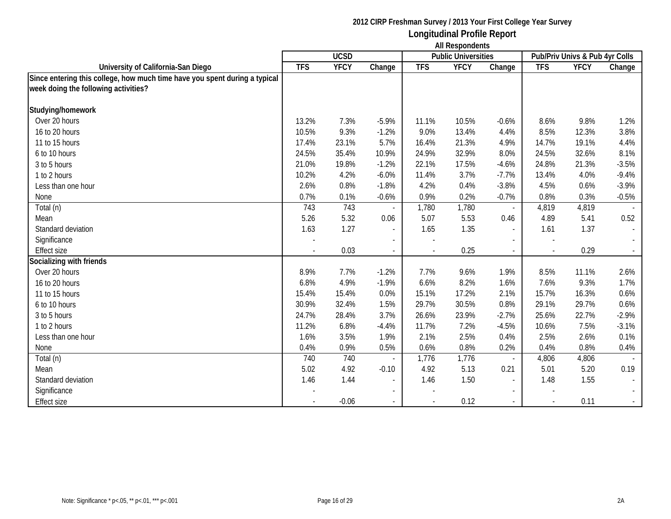|                                                                            | <b>All Respondents</b> |             |                          |            |                            |                          |            |                                |                             |
|----------------------------------------------------------------------------|------------------------|-------------|--------------------------|------------|----------------------------|--------------------------|------------|--------------------------------|-----------------------------|
|                                                                            |                        | <b>UCSD</b> |                          |            | <b>Public Universities</b> |                          |            | Pub/Priv Univs & Pub 4yr Colls |                             |
| University of California-San Diego                                         | <b>TFS</b>             | <b>YFCY</b> | Change                   | <b>TFS</b> | <b>YFCY</b>                | Change                   | <b>TFS</b> | <b>YFCY</b>                    | Change                      |
| Since entering this college, how much time have you spent during a typical |                        |             |                          |            |                            |                          |            |                                |                             |
| week doing the following activities?                                       |                        |             |                          |            |                            |                          |            |                                |                             |
| Studying/homework                                                          |                        |             |                          |            |                            |                          |            |                                |                             |
| Over 20 hours                                                              | 13.2%                  | 7.3%        | $-5.9%$                  | 11.1%      | 10.5%                      | $-0.6%$                  | 8.6%       | 9.8%                           | 1.2%                        |
| 16 to 20 hours                                                             | 10.5%                  | 9.3%        | $-1.2%$                  | 9.0%       | 13.4%                      | 4.4%                     | 8.5%       | 12.3%                          | 3.8%                        |
| 11 to 15 hours                                                             | 17.4%                  | 23.1%       | 5.7%                     | 16.4%      | 21.3%                      | 4.9%                     | 14.7%      | 19.1%                          | 4.4%                        |
| 6 to 10 hours                                                              | 24.5%                  | 35.4%       | 10.9%                    | 24.9%      | 32.9%                      | 8.0%                     | 24.5%      | 32.6%                          | 8.1%                        |
| 3 to 5 hours                                                               | 21.0%                  | 19.8%       | $-1.2%$                  | 22.1%      | 17.5%                      | $-4.6%$                  | 24.8%      | 21.3%                          | $-3.5%$                     |
| 1 to 2 hours                                                               | 10.2%                  | 4.2%        | $-6.0%$                  | 11.4%      | 3.7%                       | $-7.7%$                  | 13.4%      | 4.0%                           | $-9.4%$                     |
| Less than one hour                                                         | 2.6%                   | 0.8%        | $-1.8%$                  | 4.2%       | 0.4%                       | $-3.8%$                  | 4.5%       | 0.6%                           | $-3.9%$                     |
| None                                                                       | 0.7%                   | 0.1%        | $-0.6%$                  | 0.9%       | 0.2%                       | $-0.7%$                  | 0.8%       | 0.3%                           | $-0.5%$                     |
| Total (n)                                                                  | 743                    | 743         |                          | 1,780      | 1,780                      | $\sim$                   | 4,819      | 4,819                          |                             |
| Mean                                                                       | 5.26                   | 5.32        | 0.06                     | 5.07       | 5.53                       | 0.46                     | 4.89       | 5.41                           | 0.52                        |
| Standard deviation                                                         | 1.63                   | 1.27        | $\overline{\phantom{a}}$ | 1.65       | 1.35                       | $\overline{a}$           | 1.61       | 1.37                           | $\blacksquare$              |
| Significance                                                               |                        |             | $\blacksquare$           |            |                            |                          |            |                                |                             |
| <b>Effect size</b>                                                         |                        | 0.03        | $\sim$                   |            | 0.25                       | $\overline{\phantom{a}}$ |            | 0.29                           | $\mathcal{L}_{\mathcal{A}}$ |
| Socializing with friends                                                   |                        |             |                          |            |                            |                          |            |                                |                             |
| Over 20 hours                                                              | 8.9%                   | 7.7%        | $-1.2%$                  | 7.7%       | 9.6%                       | 1.9%                     | 8.5%       | 11.1%                          | 2.6%                        |
| 16 to 20 hours                                                             | 6.8%                   | 4.9%        | $-1.9%$                  | 6.6%       | 8.2%                       | 1.6%                     | 7.6%       | 9.3%                           | 1.7%                        |
| 11 to 15 hours                                                             | 15.4%                  | 15.4%       | 0.0%                     | 15.1%      | 17.2%                      | 2.1%                     | 15.7%      | 16.3%                          | 0.6%                        |
| 6 to 10 hours                                                              | 30.9%                  | 32.4%       | 1.5%                     | 29.7%      | 30.5%                      | 0.8%                     | 29.1%      | 29.7%                          | 0.6%                        |
| 3 to 5 hours                                                               | 24.7%                  | 28.4%       | 3.7%                     | 26.6%      | 23.9%                      | $-2.7%$                  | 25.6%      | 22.7%                          | $-2.9%$                     |
| 1 to 2 hours                                                               | 11.2%                  | 6.8%        | $-4.4%$                  | 11.7%      | 7.2%                       | $-4.5%$                  | 10.6%      | 7.5%                           | $-3.1%$                     |
| Less than one hour                                                         | 1.6%                   | 3.5%        | 1.9%                     | 2.1%       | 2.5%                       | 0.4%                     | 2.5%       | 2.6%                           | 0.1%                        |
| None                                                                       | 0.4%                   | 0.9%        | 0.5%                     | 0.6%       | 0.8%                       | 0.2%                     | 0.4%       | 0.8%                           | 0.4%                        |
| Total (n)                                                                  | 740                    | 740         |                          | 1,776      | 1,776                      |                          | 4,806      | 4,806                          |                             |
| Mean                                                                       | 5.02                   | 4.92        | $-0.10$                  | 4.92       | 5.13                       | 0.21                     | 5.01       | 5.20                           | 0.19                        |
| Standard deviation                                                         | 1.46                   | 1.44        | $\overline{\phantom{a}}$ | 1.46       | 1.50                       | $\overline{a}$           | 1.48       | 1.55                           |                             |
| Significance                                                               |                        |             | $\blacksquare$           |            |                            |                          |            |                                |                             |
| <b>Effect size</b>                                                         |                        | $-0.06$     |                          |            | 0.12                       |                          |            | 0.11                           | $\sim$                      |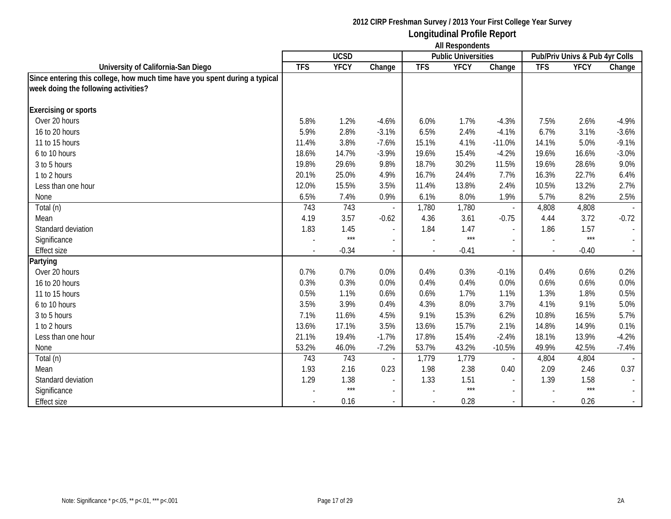|                                                                            | <b>All Respondents</b> |             |              |            |                            |                          |            |                                |          |
|----------------------------------------------------------------------------|------------------------|-------------|--------------|------------|----------------------------|--------------------------|------------|--------------------------------|----------|
|                                                                            |                        | <b>UCSD</b> |              |            | <b>Public Universities</b> |                          |            | Pub/Priv Univs & Pub 4yr Colls |          |
| University of California-San Diego                                         | <b>TFS</b>             | <b>YFCY</b> | Change       | <b>TFS</b> | <b>YFCY</b>                | Change                   | <b>TFS</b> | <b>YFCY</b>                    | Change   |
| Since entering this college, how much time have you spent during a typical |                        |             |              |            |                            |                          |            |                                |          |
| week doing the following activities?                                       |                        |             |              |            |                            |                          |            |                                |          |
| <b>Exercising or sports</b>                                                |                        |             |              |            |                            |                          |            |                                |          |
| Over 20 hours                                                              | 5.8%                   | 1.2%        | $-4.6%$      | 6.0%       | 1.7%                       | $-4.3%$                  | 7.5%       | 2.6%                           | $-4.9%$  |
| 16 to 20 hours                                                             | 5.9%                   | 2.8%        | $-3.1%$      | 6.5%       | 2.4%                       | $-4.1%$                  | 6.7%       | 3.1%                           | $-3.6%$  |
| 11 to 15 hours                                                             | 11.4%                  | 3.8%        | $-7.6%$      | 15.1%      | 4.1%                       | $-11.0%$                 | 14.1%      | 5.0%                           | $-9.1%$  |
| 6 to 10 hours                                                              | 18.6%                  | 14.7%       | $-3.9%$      | 19.6%      | 15.4%                      | $-4.2%$                  | 19.6%      | 16.6%                          | $-3.0%$  |
| 3 to 5 hours                                                               | 19.8%                  | 29.6%       | 9.8%         | 18.7%      | 30.2%                      | 11.5%                    | 19.6%      | 28.6%                          | 9.0%     |
| 1 to 2 hours                                                               | 20.1%                  | 25.0%       | 4.9%         | 16.7%      | 24.4%                      | 7.7%                     | 16.3%      | 22.7%                          | 6.4%     |
| Less than one hour                                                         | 12.0%                  | 15.5%       | 3.5%         | 11.4%      | 13.8%                      | 2.4%                     | 10.5%      | 13.2%                          | 2.7%     |
| None                                                                       | 6.5%                   | 7.4%        | 0.9%         | 6.1%       | 8.0%                       | 1.9%                     | 5.7%       | 8.2%                           | 2.5%     |
| Total (n)                                                                  | 743                    | 743         |              | 1,780      | 1,780                      | $\overline{\phantom{a}}$ | 4,808      | 4,808                          |          |
| Mean                                                                       | 4.19                   | 3.57        | $-0.62$      | 4.36       | 3.61                       | $-0.75$                  | 4.44       | 3.72                           | $-0.72$  |
| Standard deviation                                                         | 1.83                   | 1.45        | $\sim$       | 1.84       | 1.47                       | $\overline{a}$           | 1.86       | 1.57                           |          |
| Significance                                                               |                        | $***$       | $\mathbf{r}$ |            | $***$                      |                          |            | $***$                          |          |
| <b>Effect size</b>                                                         |                        | $-0.34$     |              |            | $-0.41$                    |                          |            | $-0.40$                        | $\sim$ . |
| Partying                                                                   |                        |             |              |            |                            |                          |            |                                |          |
| Over 20 hours                                                              | 0.7%                   | 0.7%        | 0.0%         | 0.4%       | 0.3%                       | $-0.1%$                  | 0.4%       | 0.6%                           | 0.2%     |
| 16 to 20 hours                                                             | 0.3%                   | 0.3%        | 0.0%         | 0.4%       | 0.4%                       | 0.0%                     | 0.6%       | 0.6%                           | 0.0%     |
| 11 to 15 hours                                                             | 0.5%                   | 1.1%        | 0.6%         | 0.6%       | 1.7%                       | 1.1%                     | 1.3%       | 1.8%                           | 0.5%     |
| 6 to 10 hours                                                              | 3.5%                   | 3.9%        | 0.4%         | 4.3%       | 8.0%                       | 3.7%                     | 4.1%       | 9.1%                           | 5.0%     |
| 3 to 5 hours                                                               | 7.1%                   | 11.6%       | 4.5%         | 9.1%       | 15.3%                      | 6.2%                     | 10.8%      | 16.5%                          | 5.7%     |
| 1 to 2 hours                                                               | 13.6%                  | 17.1%       | 3.5%         | 13.6%      | 15.7%                      | 2.1%                     | 14.8%      | 14.9%                          | 0.1%     |
| Less than one hour                                                         | 21.1%                  | 19.4%       | $-1.7%$      | 17.8%      | 15.4%                      | $-2.4%$                  | 18.1%      | 13.9%                          | $-4.2%$  |
| None                                                                       | 53.2%                  | 46.0%       | $-7.2%$      | 53.7%      | 43.2%                      | $-10.5%$                 | 49.9%      | 42.5%                          | $-7.4%$  |
| Total (n)                                                                  | 743                    | 743         |              | 1,779      | 1,779                      |                          | 4,804      | 4,804                          |          |
| Mean                                                                       | 1.93                   | 2.16        | 0.23         | 1.98       | 2.38                       | 0.40                     | 2.09       | 2.46                           | 0.37     |
| Standard deviation                                                         | 1.29                   | 1.38        | $\sim$       | 1.33       | 1.51                       | $\overline{\phantom{a}}$ | 1.39       | 1.58                           |          |
| Significance                                                               |                        | $***$       | $\sim$       |            | $***$                      | $\blacksquare$           |            | $***$                          | $\sim$   |
| <b>Effect size</b>                                                         |                        | 0.16        | $\sim$       |            | 0.28                       | $\overline{\phantom{a}}$ |            | 0.26                           | $\sim$   |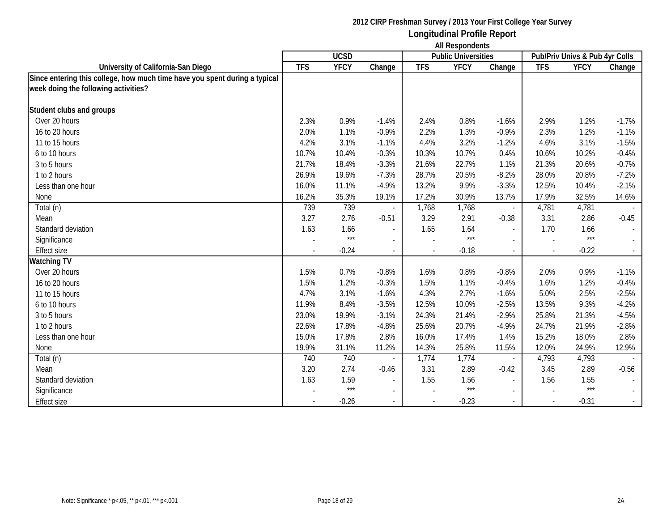|                                                                            | <b>All Respondents</b> |             |                          |            |                            |                          |            |                                |         |
|----------------------------------------------------------------------------|------------------------|-------------|--------------------------|------------|----------------------------|--------------------------|------------|--------------------------------|---------|
|                                                                            |                        | <b>UCSD</b> |                          |            | <b>Public Universities</b> |                          |            | Pub/Priv Univs & Pub 4yr Colls |         |
| University of California-San Diego                                         | <b>TFS</b>             | <b>YFCY</b> | Change                   | <b>TFS</b> | <b>YFCY</b>                | Change                   | <b>TFS</b> | <b>YFCY</b>                    | Change  |
| Since entering this college, how much time have you spent during a typical |                        |             |                          |            |                            |                          |            |                                |         |
| week doing the following activities?                                       |                        |             |                          |            |                            |                          |            |                                |         |
| Student clubs and groups                                                   |                        |             |                          |            |                            |                          |            |                                |         |
| Over 20 hours                                                              | 2.3%                   | 0.9%        | $-1.4%$                  | 2.4%       | 0.8%                       | $-1.6%$                  | 2.9%       | 1.2%                           | $-1.7%$ |
| 16 to 20 hours                                                             | 2.0%                   | 1.1%        | $-0.9%$                  | 2.2%       | 1.3%                       | $-0.9%$                  | 2.3%       | 1.2%                           | $-1.1%$ |
| 11 to 15 hours                                                             | 4.2%                   | 3.1%        | $-1.1%$                  | 4.4%       | 3.2%                       | $-1.2%$                  | 4.6%       | 3.1%                           | $-1.5%$ |
| 6 to 10 hours                                                              | 10.7%                  | 10.4%       | $-0.3%$                  | 10.3%      | 10.7%                      | 0.4%                     | 10.6%      | 10.2%                          | $-0.4%$ |
| 3 to 5 hours                                                               | 21.7%                  | 18.4%       | $-3.3%$                  | 21.6%      | 22.7%                      | 1.1%                     | 21.3%      | 20.6%                          | $-0.7%$ |
| 1 to 2 hours                                                               | 26.9%                  | 19.6%       | $-7.3%$                  | 28.7%      | 20.5%                      | $-8.2%$                  | 28.0%      | 20.8%                          | $-7.2%$ |
| Less than one hour                                                         | 16.0%                  | 11.1%       | $-4.9%$                  | 13.2%      | 9.9%                       | $-3.3%$                  | 12.5%      | 10.4%                          | $-2.1%$ |
| None                                                                       | 16.2%                  | 35.3%       | 19.1%                    | 17.2%      | 30.9%                      | 13.7%                    | 17.9%      | 32.5%                          | 14.6%   |
| Total (n)                                                                  | 739                    | 739         |                          | 1,768      | 1,768                      | $\blacksquare$           | 4,781      | 4,781                          |         |
| Mean                                                                       | 3.27                   | 2.76        | $-0.51$                  | 3.29       | 2.91                       | $-0.38$                  | 3.31       | 2.86                           | $-0.45$ |
| Standard deviation                                                         | 1.63                   | 1.66        | $\overline{\phantom{a}}$ | 1.65       | 1.64                       | $\blacksquare$           | 1.70       | 1.66                           |         |
| Significance                                                               |                        | ***         |                          |            | $***$                      |                          |            | $***$                          |         |
| <b>Effect size</b>                                                         |                        | $-0.24$     | $\sim$                   |            | $-0.18$                    | $\overline{\phantom{a}}$ |            | $-0.22$                        | $\sim$  |
| <b>Watching TV</b>                                                         |                        |             |                          |            |                            |                          |            |                                |         |
| Over 20 hours                                                              | 1.5%                   | 0.7%        | $-0.8%$                  | 1.6%       | 0.8%                       | $-0.8%$                  | 2.0%       | 0.9%                           | $-1.1%$ |
| 16 to 20 hours                                                             | 1.5%                   | 1.2%        | $-0.3%$                  | 1.5%       | 1.1%                       | $-0.4%$                  | 1.6%       | 1.2%                           | $-0.4%$ |
| 11 to 15 hours                                                             | 4.7%                   | 3.1%        | $-1.6%$                  | 4.3%       | 2.7%                       | $-1.6%$                  | 5.0%       | 2.5%                           | $-2.5%$ |
| 6 to 10 hours                                                              | 11.9%                  | 8.4%        | $-3.5%$                  | 12.5%      | 10.0%                      | $-2.5%$                  | 13.5%      | 9.3%                           | $-4.2%$ |
| 3 to 5 hours                                                               | 23.0%                  | 19.9%       | $-3.1%$                  | 24.3%      | 21.4%                      | $-2.9%$                  | 25.8%      | 21.3%                          | $-4.5%$ |
| 1 to 2 hours                                                               | 22.6%                  | 17.8%       | $-4.8%$                  | 25.6%      | 20.7%                      | $-4.9%$                  | 24.7%      | 21.9%                          | $-2.8%$ |
| Less than one hour                                                         | 15.0%                  | 17.8%       | 2.8%                     | 16.0%      | 17.4%                      | 1.4%                     | 15.2%      | 18.0%                          | 2.8%    |
| None                                                                       | 19.9%                  | 31.1%       | 11.2%                    | 14.3%      | 25.8%                      | 11.5%                    | 12.0%      | 24.9%                          | 12.9%   |
| Total (n)                                                                  | 740                    | 740         |                          | 1,774      | 1,774                      |                          | 4,793      | 4,793                          |         |
| Mean                                                                       | 3.20                   | 2.74        | $-0.46$                  | 3.31       | 2.89                       | $-0.42$                  | 3.45       | 2.89                           | $-0.56$ |
| Standard deviation                                                         | 1.63                   | 1.59        | $\blacksquare$           | 1.55       | 1.56                       | $\overline{\phantom{a}}$ | 1.56       | 1.55                           |         |
| Significance                                                               |                        | $***$       | $\blacksquare$           |            | $***$                      |                          |            | $***$                          |         |
| <b>Effect size</b>                                                         |                        | $-0.26$     | $\sim$                   |            | $-0.23$                    | $\overline{\phantom{a}}$ |            | $-0.31$                        | $\sim$  |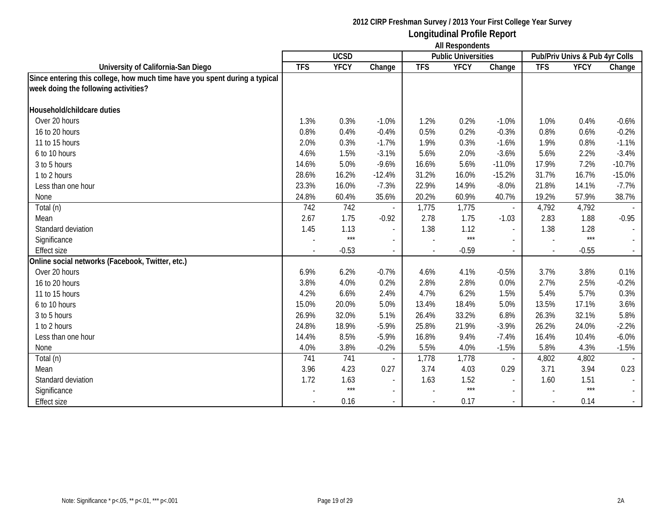|                                                                            | <b>All Respondents</b> |             |                          |            |                            |                          |            |                                |                             |
|----------------------------------------------------------------------------|------------------------|-------------|--------------------------|------------|----------------------------|--------------------------|------------|--------------------------------|-----------------------------|
|                                                                            |                        | <b>UCSD</b> |                          |            | <b>Public Universities</b> |                          |            | Pub/Priv Univs & Pub 4yr Colls |                             |
| University of California-San Diego                                         | <b>TFS</b>             | <b>YFCY</b> | Change                   | <b>TFS</b> | <b>YFCY</b>                | Change                   | <b>TFS</b> | <b>YFCY</b>                    | Change                      |
| Since entering this college, how much time have you spent during a typical |                        |             |                          |            |                            |                          |            |                                |                             |
| week doing the following activities?                                       |                        |             |                          |            |                            |                          |            |                                |                             |
| Household/childcare duties                                                 |                        |             |                          |            |                            |                          |            |                                |                             |
| Over 20 hours                                                              | 1.3%                   | 0.3%        | $-1.0%$                  | 1.2%       | 0.2%                       | $-1.0%$                  | 1.0%       | 0.4%                           | $-0.6%$                     |
| 16 to 20 hours                                                             | 0.8%                   | 0.4%        | $-0.4%$                  | 0.5%       | 0.2%                       | $-0.3%$                  | 0.8%       | 0.6%                           | $-0.2%$                     |
| 11 to 15 hours                                                             | 2.0%                   | 0.3%        | $-1.7%$                  | 1.9%       | 0.3%                       | $-1.6%$                  | 1.9%       | 0.8%                           | $-1.1%$                     |
| 6 to 10 hours                                                              | 4.6%                   | 1.5%        | $-3.1%$                  | 5.6%       | 2.0%                       | $-3.6%$                  | 5.6%       | 2.2%                           | $-3.4%$                     |
| 3 to 5 hours                                                               | 14.6%                  | 5.0%        | $-9.6%$                  | 16.6%      | 5.6%                       | $-11.0%$                 | 17.9%      | 7.2%                           | $-10.7%$                    |
| 1 to 2 hours                                                               | 28.6%                  | 16.2%       | $-12.4%$                 | 31.2%      | 16.0%                      | $-15.2%$                 | 31.7%      | 16.7%                          | $-15.0%$                    |
| Less than one hour                                                         | 23.3%                  | 16.0%       | $-7.3%$                  | 22.9%      | 14.9%                      | $-8.0%$                  | 21.8%      | 14.1%                          | $-7.7%$                     |
| None                                                                       | 24.8%                  | 60.4%       | 35.6%                    | 20.2%      | 60.9%                      | 40.7%                    | 19.2%      | 57.9%                          | 38.7%                       |
| Total (n)                                                                  | 742                    | 742         |                          | 1,775      | 1,775                      | $\overline{\phantom{a}}$ | 4,792      | 4,792                          |                             |
| Mean                                                                       | 2.67                   | 1.75        | $-0.92$                  | 2.78       | 1.75                       | $-1.03$                  | 2.83       | 1.88                           | $-0.95$                     |
| Standard deviation                                                         | 1.45                   | 1.13        | $\overline{\phantom{a}}$ | 1.38       | 1.12                       | $\blacksquare$           | 1.38       | 1.28                           |                             |
| Significance                                                               |                        | $***$       | $\sim$                   |            | $***$                      |                          |            | $***$                          |                             |
| <b>Effect size</b>                                                         |                        | $-0.53$     | $\sim$                   |            | $-0.59$                    | $\overline{\phantom{a}}$ |            | $-0.55$                        | $\mathcal{L}_{\mathcal{A}}$ |
| Online social networks (Facebook, Twitter, etc.)                           |                        |             |                          |            |                            |                          |            |                                |                             |
| Over 20 hours                                                              | 6.9%                   | 6.2%        | $-0.7%$                  | 4.6%       | 4.1%                       | $-0.5%$                  | 3.7%       | 3.8%                           | 0.1%                        |
| 16 to 20 hours                                                             | 3.8%                   | 4.0%        | 0.2%                     | 2.8%       | 2.8%                       | 0.0%                     | 2.7%       | 2.5%                           | $-0.2%$                     |
| 11 to 15 hours                                                             | 4.2%                   | 6.6%        | 2.4%                     | 4.7%       | 6.2%                       | 1.5%                     | 5.4%       | 5.7%                           | 0.3%                        |
| 6 to 10 hours                                                              | 15.0%                  | 20.0%       | 5.0%                     | 13.4%      | 18.4%                      | 5.0%                     | 13.5%      | 17.1%                          | 3.6%                        |
| 3 to 5 hours                                                               | 26.9%                  | 32.0%       | 5.1%                     | 26.4%      | 33.2%                      | 6.8%                     | 26.3%      | 32.1%                          | 5.8%                        |
| 1 to 2 hours                                                               | 24.8%                  | 18.9%       | $-5.9%$                  | 25.8%      | 21.9%                      | $-3.9%$                  | 26.2%      | 24.0%                          | $-2.2%$                     |
| Less than one hour                                                         | 14.4%                  | 8.5%        | $-5.9%$                  | 16.8%      | 9.4%                       | $-7.4%$                  | 16.4%      | 10.4%                          | $-6.0%$                     |
| None                                                                       | 4.0%                   | 3.8%        | $-0.2%$                  | 5.5%       | 4.0%                       | $-1.5%$                  | 5.8%       | 4.3%                           | $-1.5%$                     |
| Total (n)                                                                  | 741                    | 741         |                          | 1,778      | 1,778                      |                          | 4,802      | 4,802                          |                             |
| Mean                                                                       | 3.96                   | 4.23        | 0.27                     | 3.74       | 4.03                       | 0.29                     | 3.71       | 3.94                           | 0.23                        |
| Standard deviation                                                         | 1.72                   | 1.63        | $\sim$                   | 1.63       | 1.52                       | $\overline{\phantom{a}}$ | 1.60       | 1.51                           |                             |
| Significance                                                               |                        | $***$       | $\sim$                   |            | $***$                      |                          |            | $***$                          |                             |
| <b>Effect size</b>                                                         |                        | 0.16        |                          |            | 0.17                       |                          |            | 0.14                           | $\sim$                      |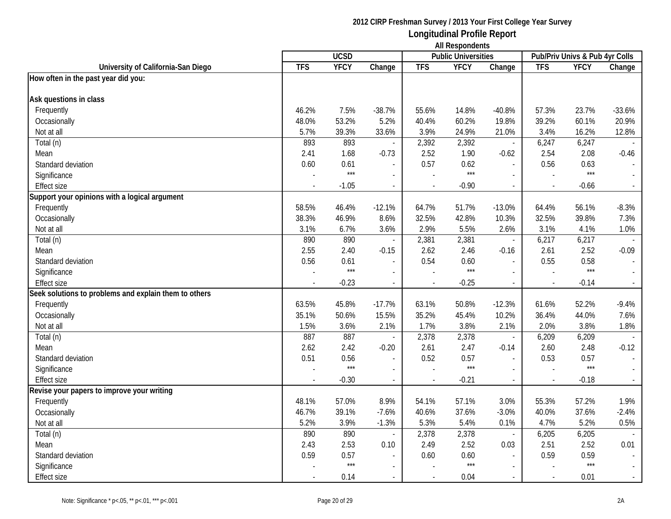|                                                       |                          | <b>UCSD</b> |                          |                          | <b>THE INCOPOTION IN</b><br><b>Public Universities</b> |                          |                | Pub/Priv Univs & Pub 4yr Colls |                             |
|-------------------------------------------------------|--------------------------|-------------|--------------------------|--------------------------|--------------------------------------------------------|--------------------------|----------------|--------------------------------|-----------------------------|
| University of California-San Diego                    | <b>TFS</b>               | <b>YFCY</b> | Change                   | <b>TFS</b>               | <b>YFCY</b>                                            | Change                   | <b>TFS</b>     | <b>YFCY</b>                    | Change                      |
| How often in the past year did you:                   |                          |             |                          |                          |                                                        |                          |                |                                |                             |
|                                                       |                          |             |                          |                          |                                                        |                          |                |                                |                             |
| Ask questions in class                                |                          |             |                          |                          |                                                        |                          |                |                                |                             |
| Frequently                                            | 46.2%                    | 7.5%        | $-38.7%$                 | 55.6%                    | 14.8%                                                  | $-40.8%$                 | 57.3%          | 23.7%                          | $-33.6%$                    |
| Occasionally                                          | 48.0%                    | 53.2%       | 5.2%                     | 40.4%                    | 60.2%                                                  | 19.8%                    | 39.2%          | 60.1%                          | 20.9%                       |
| Not at all                                            | 5.7%                     | 39.3%       | 33.6%                    | 3.9%                     | 24.9%                                                  | 21.0%                    | 3.4%           | 16.2%                          | 12.8%                       |
| Total (n)                                             | 893                      | 893         |                          | 2,392                    | 2,392                                                  | $\overline{\phantom{a}}$ | 6,247          | 6,247                          |                             |
| Mean                                                  | 2.41                     | 1.68        | $-0.73$                  | 2.52                     | 1.90                                                   | $-0.62$                  | 2.54           | 2.08                           | $-0.46$                     |
| Standard deviation                                    | 0.60                     | 0.61        |                          | 0.57                     | 0.62                                                   |                          | 0.56           | 0.63                           |                             |
| Significance                                          |                          | $***$       |                          |                          | $***$                                                  |                          |                | $***$                          |                             |
| <b>Effect size</b>                                    |                          | $-1.05$     | $\blacksquare$           | $\overline{\phantom{a}}$ | $-0.90$                                                | $\sim$                   |                | $-0.66$                        | $\sim$                      |
| Support your opinions with a logical argument         |                          |             |                          |                          |                                                        |                          |                |                                |                             |
| Frequently                                            | 58.5%                    | 46.4%       | $-12.1%$                 | 64.7%                    | 51.7%                                                  | $-13.0%$                 | 64.4%          | 56.1%                          | $-8.3%$                     |
| Occasionally                                          | 38.3%                    | 46.9%       | 8.6%                     | 32.5%                    | 42.8%                                                  | 10.3%                    | 32.5%          | 39.8%                          | 7.3%                        |
| Not at all                                            | 3.1%                     | 6.7%        | 3.6%                     | 2.9%                     | 5.5%                                                   | 2.6%                     | 3.1%           | 4.1%                           | 1.0%                        |
| Total (n)                                             | 890                      | 890         |                          | 2,381                    | 2,381                                                  | $\blacksquare$           | 6,217          | 6,217                          |                             |
| Mean                                                  | 2.55                     | 2.40        | $-0.15$                  | 2.62                     | 2.46                                                   | $-0.16$                  | 2.61           | 2.52                           | $-0.09$                     |
| Standard deviation                                    | 0.56                     | 0.61        |                          | 0.54                     | 0.60                                                   | $\overline{a}$           | 0.55           | 0.58                           |                             |
| Significance                                          |                          | $***$       | $\blacksquare$           |                          | $***$                                                  | $\overline{a}$           |                | $***$                          |                             |
| <b>Effect size</b>                                    |                          | $-0.23$     | $\overline{\phantom{a}}$ | $\overline{\phantom{a}}$ | $-0.25$                                                | $\blacksquare$           | $\blacksquare$ | $-0.14$                        | $\omega_{\rm c}$            |
| Seek solutions to problems and explain them to others |                          |             |                          |                          |                                                        |                          |                |                                |                             |
| Frequently                                            | 63.5%                    | 45.8%       | $-17.7%$                 | 63.1%                    | 50.8%                                                  | $-12.3%$                 | 61.6%          | 52.2%                          | $-9.4%$                     |
| Occasionally                                          | 35.1%                    | 50.6%       | 15.5%                    | 35.2%                    | 45.4%                                                  | 10.2%                    | 36.4%          | 44.0%                          | 7.6%                        |
| Not at all                                            | 1.5%                     | 3.6%        | 2.1%                     | 1.7%                     | 3.8%                                                   | 2.1%                     | 2.0%           | 3.8%                           | 1.8%                        |
| Total (n)                                             | 887                      | 887         |                          | 2,378                    | 2,378                                                  | $\overline{\phantom{a}}$ | 6,209          | 6,209                          |                             |
| Mean                                                  | 2.62                     | 2.42        | $-0.20$                  | 2.61                     | 2.47                                                   | $-0.14$                  | 2.60           | 2.48                           | $-0.12$                     |
| Standard deviation                                    | 0.51                     | 0.56        | $\overline{\phantom{a}}$ | 0.52                     | 0.57                                                   | $\overline{\phantom{a}}$ | 0.53           | 0.57                           | $\mathbb{L}$                |
| Significance                                          |                          | $***$       |                          |                          | $***$                                                  |                          |                | $***$                          |                             |
| <b>Effect size</b>                                    | $\overline{\phantom{a}}$ | $-0.30$     | $\sim$                   | $\overline{a}$           | $-0.21$                                                | $\sim$                   |                | $-0.18$                        | $\sim$                      |
| Revise your papers to improve your writing            |                          |             |                          |                          |                                                        |                          |                |                                |                             |
| Frequently                                            | 48.1%                    | 57.0%       | 8.9%                     | 54.1%                    | 57.1%                                                  | 3.0%                     | 55.3%          | 57.2%                          | 1.9%                        |
| Occasionally                                          | 46.7%                    | 39.1%       | $-7.6%$                  | 40.6%                    | 37.6%                                                  | $-3.0%$                  | 40.0%          | 37.6%                          | $-2.4%$                     |
| Not at all                                            | 5.2%                     | 3.9%        | $-1.3%$                  | 5.3%                     | 5.4%                                                   | 0.1%                     | 4.7%           | 5.2%                           | 0.5%                        |
| Total (n)                                             | 890                      | 890         | $\sim$                   | 2,378                    | 2,378                                                  | $\overline{\phantom{a}}$ | 6,205          | 6,205                          |                             |
| Mean                                                  | 2.43                     | 2.53        | 0.10                     | 2.49                     | 2.52                                                   | 0.03                     | 2.51           | 2.52                           | 0.01                        |
| Standard deviation                                    | 0.59                     | 0.57        |                          | 0.60                     | 0.60                                                   | $\overline{a}$           | 0.59           | 0.59                           |                             |
| Significance                                          |                          | $***$       | $\blacksquare$           |                          | $***$                                                  | $\blacksquare$           |                | $***$                          | $\omega$                    |
| Effect size                                           |                          | 0.14        |                          |                          | 0.04                                                   |                          |                | 0.01                           | $\mathcal{L}_{\mathcal{A}}$ |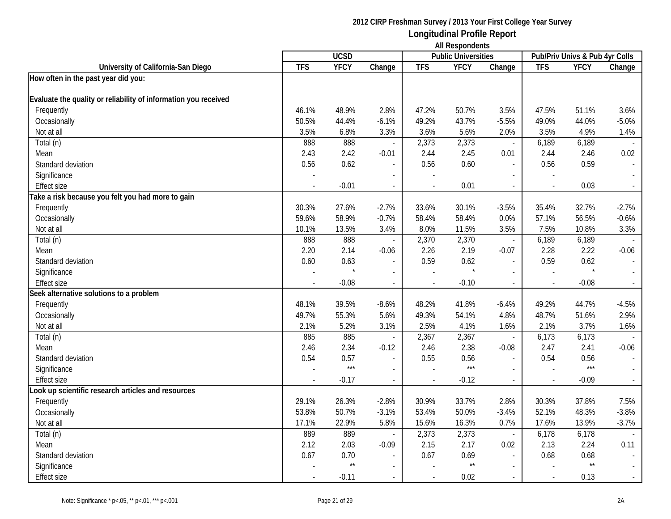|                                                                 |                | <b>UCSD</b>  |                          |              | <b>THE INCOPOTION IND</b><br><b>Public Universities</b> |                          |                | Pub/Priv Univs & Pub 4yr Colls |          |
|-----------------------------------------------------------------|----------------|--------------|--------------------------|--------------|---------------------------------------------------------|--------------------------|----------------|--------------------------------|----------|
| University of California-San Diego                              | <b>TFS</b>     | <b>YFCY</b>  | Change                   | <b>TFS</b>   | <b>YFCY</b>                                             | Change                   | <b>TFS</b>     | <b>YFCY</b>                    | Change   |
| How often in the past year did you:                             |                |              |                          |              |                                                         |                          |                |                                |          |
|                                                                 |                |              |                          |              |                                                         |                          |                |                                |          |
| Evaluate the quality or reliability of information you received |                |              |                          |              |                                                         |                          |                |                                |          |
| Frequently                                                      | 46.1%          | 48.9%        | 2.8%                     | 47.2%        | 50.7%                                                   | 3.5%                     | 47.5%          | 51.1%                          | 3.6%     |
| Occasionally                                                    | 50.5%          | 44.4%        | $-6.1%$                  | 49.2%        | 43.7%                                                   | $-5.5%$                  | 49.0%          | 44.0%                          | $-5.0\%$ |
| Not at all                                                      | 3.5%           | 6.8%         | 3.3%                     | 3.6%         | 5.6%                                                    | 2.0%                     | 3.5%           | 4.9%                           | 1.4%     |
| Total (n)                                                       | 888            | 888          | $\mathbf{r}$             | 2,373        | 2,373                                                   | $\blacksquare$           | 6,189          | 6,189                          |          |
| Mean                                                            | 2.43           | 2.42         | $-0.01$                  | 2.44         | 2.45                                                    | 0.01                     | 2.44           | 2.46                           | 0.02     |
| Standard deviation                                              | 0.56           | 0.62         |                          | 0.56         | 0.60                                                    | $\blacksquare$           | 0.56           | 0.59                           |          |
| Significance                                                    |                |              |                          |              |                                                         |                          |                |                                |          |
| <b>Effect size</b>                                              | $\overline{a}$ | $-0.01$      | $\overline{\phantom{a}}$ |              | 0.01                                                    | $\overline{\phantom{a}}$ | $\overline{a}$ | 0.03                           |          |
| Take a risk because you felt you had more to gain               |                |              |                          |              |                                                         |                          |                |                                |          |
| Frequently                                                      | 30.3%          | 27.6%        | $-2.7%$                  | 33.6%        | 30.1%                                                   | $-3.5%$                  | 35.4%          | 32.7%                          | $-2.7%$  |
| Occasionally                                                    | 59.6%          | 58.9%        | $-0.7%$                  | 58.4%        | 58.4%                                                   | 0.0%                     | 57.1%          | 56.5%                          | $-0.6%$  |
| Not at all                                                      | 10.1%          | 13.5%        | 3.4%                     | 8.0%         | 11.5%                                                   | 3.5%                     | 7.5%           | 10.8%                          | 3.3%     |
| Total (n)                                                       | 888            | 888          |                          | 2,370        | 2,370                                                   | $\Box$                   | 6,189          | 6,189                          |          |
| Mean                                                            | 2.20           | 2.14         | $-0.06$                  | 2.26         | 2.19                                                    | $-0.07$                  | 2.28           | 2.22                           | $-0.06$  |
| Standard deviation                                              | 0.60           | 0.63         | $\overline{\phantom{a}}$ | 0.59         | 0.62                                                    | $\overline{\phantom{a}}$ | 0.59           | 0.62                           |          |
| Significance                                                    |                |              | $\blacksquare$           |              |                                                         | $\overline{a}$           | $\sim$         |                                |          |
| <b>Effect size</b>                                              | $\blacksquare$ | $-0.08$      | $\blacksquare$           | $\mathbf{r}$ | $-0.10$                                                 | $\overline{\phantom{a}}$ | $\sim$         | $-0.08$                        | $\sim$   |
| Seek alternative solutions to a problem                         |                |              |                          |              |                                                         |                          |                |                                |          |
| Frequently                                                      | 48.1%          | 39.5%        | $-8.6%$                  | 48.2%        | 41.8%                                                   | $-6.4%$                  | 49.2%          | 44.7%                          | $-4.5%$  |
| Occasionally                                                    | 49.7%          | 55.3%        | 5.6%                     | 49.3%        | 54.1%                                                   | 4.8%                     | 48.7%          | 51.6%                          | 2.9%     |
| Not at all                                                      | 2.1%           | 5.2%         | 3.1%                     | 2.5%         | 4.1%                                                    | 1.6%                     | 2.1%           | 3.7%                           | 1.6%     |
| Total (n)                                                       | 885            | 885          |                          | 2,367        | 2,367                                                   | $\overline{\phantom{a}}$ | 6,173          | 6,173                          |          |
| Mean                                                            | 2.46           | 2.34         | $-0.12$                  | 2.46         | 2.38                                                    | $-0.08$                  | 2.47           | 2.41                           | $-0.06$  |
| Standard deviation                                              | 0.54           | 0.57         | $\mathcal{L}$            | 0.55         | 0.56                                                    | $\overline{\phantom{a}}$ | 0.54           | 0.56                           |          |
| Significance                                                    |                | $***$        | $\overline{\phantom{a}}$ |              | $***$                                                   | $\overline{\phantom{a}}$ |                | $***$                          |          |
| <b>Effect size</b>                                              |                | $-0.17$      |                          |              | $-0.12$                                                 | $\overline{\phantom{a}}$ |                | $-0.09$                        |          |
| Look up scientific research articles and resources              |                |              |                          |              |                                                         |                          |                |                                |          |
| Frequently                                                      | 29.1%          | 26.3%        | $-2.8%$                  | 30.9%        | 33.7%                                                   | 2.8%                     | 30.3%          | 37.8%                          | 7.5%     |
| Occasionally                                                    | 53.8%          | 50.7%        | $-3.1%$                  | 53.4%        | 50.0%                                                   | $-3.4%$                  | 52.1%          | 48.3%                          | $-3.8%$  |
| Not at all                                                      | 17.1%          | 22.9%        | 5.8%                     | 15.6%        | 16.3%                                                   | 0.7%                     | 17.6%          | 13.9%                          | $-3.7%$  |
| Total (n)                                                       | 889            | 889          | $\overline{\phantom{a}}$ | 2,373        | 2,373                                                   | $\overline{\phantom{a}}$ | 6,178          | 6,178                          |          |
| Mean                                                            | 2.12           | 2.03         | $-0.09$                  | 2.15         | 2.17                                                    | 0.02                     | 2.13           | 2.24                           | 0.11     |
| Standard deviation                                              | 0.67           | 0.70         | $\overline{\phantom{a}}$ | 0.67         | 0.69                                                    | $\blacksquare$           | 0.68           | 0.68                           |          |
| Significance                                                    |                | $\star\star$ | $\overline{a}$           |              | $^{\star\star}$                                         | $\overline{\phantom{a}}$ |                | $^{\star\star}$                |          |
| <b>Effect size</b>                                              |                | $-0.11$      | $\overline{\phantom{a}}$ |              | 0.02                                                    | $\sim$                   | $\overline{a}$ | 0.13                           |          |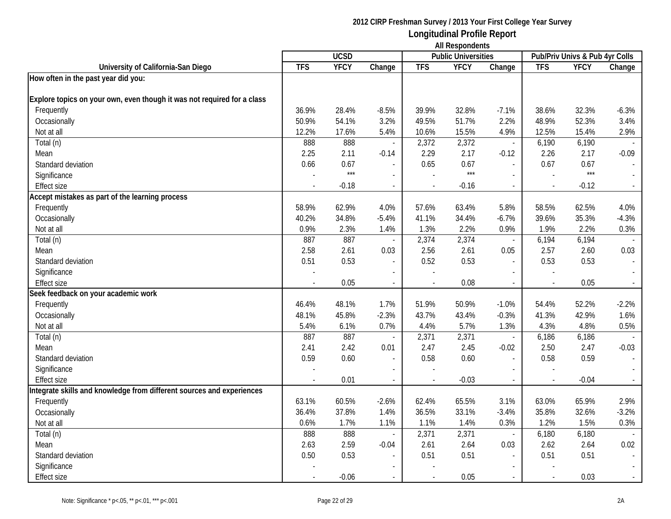|                                                                         |                | <b>UCSD</b> |               |            | <b>THE INVOLUTION</b><br><b>Public Universities</b> |                          |                          | Pub/Priv Univs & Pub 4yr Colls |         |
|-------------------------------------------------------------------------|----------------|-------------|---------------|------------|-----------------------------------------------------|--------------------------|--------------------------|--------------------------------|---------|
| University of California-San Diego                                      | <b>TFS</b>     | <b>YFCY</b> | Change        | <b>TFS</b> | <b>YFCY</b>                                         | Change                   | <b>TFS</b>               | <b>YFCY</b>                    | Change  |
| How often in the past year did you:                                     |                |             |               |            |                                                     |                          |                          |                                |         |
|                                                                         |                |             |               |            |                                                     |                          |                          |                                |         |
| Explore topics on your own, even though it was not required for a class |                |             |               |            |                                                     |                          |                          |                                |         |
| Frequently                                                              | 36.9%          | 28.4%       | $-8.5%$       | 39.9%      | 32.8%                                               | $-7.1%$                  | 38.6%                    | 32.3%                          | $-6.3%$ |
| Occasionally                                                            | 50.9%          | 54.1%       | 3.2%          | 49.5%      | 51.7%                                               | 2.2%                     | 48.9%                    | 52.3%                          | 3.4%    |
| Not at all                                                              | 12.2%          | 17.6%       | 5.4%          | 10.6%      | 15.5%                                               | 4.9%                     | 12.5%                    | 15.4%                          | 2.9%    |
| Total (n)                                                               | 888            | 888         |               | 2,372      | 2,372                                               | $\overline{\phantom{a}}$ | 6,190                    | 6,190                          |         |
| Mean                                                                    | 2.25           | 2.11        | $-0.14$       | 2.29       | 2.17                                                | $-0.12$                  | 2.26                     | 2.17                           | $-0.09$ |
| Standard deviation                                                      | 0.66           | 0.67        |               | 0.65       | 0.67                                                |                          | 0.67                     | 0.67                           |         |
| Significance                                                            |                | $***$       |               |            | $***$                                               |                          |                          | $***$                          |         |
| <b>Effect size</b>                                                      | $\overline{a}$ | $-0.18$     | $\sim$        |            | $-0.16$                                             | $\sim$                   | $\overline{\phantom{a}}$ | $-0.12$                        |         |
| Accept mistakes as part of the learning process                         |                |             |               |            |                                                     |                          |                          |                                |         |
| Frequently                                                              | 58.9%          | 62.9%       | 4.0%          | 57.6%      | 63.4%                                               | 5.8%                     | 58.5%                    | 62.5%                          | 4.0%    |
| Occasionally                                                            | 40.2%          | 34.8%       | $-5.4%$       | 41.1%      | 34.4%                                               | $-6.7%$                  | 39.6%                    | 35.3%                          | $-4.3%$ |
| Not at all                                                              | 0.9%           | 2.3%        | 1.4%          | 1.3%       | 2.2%                                                | 0.9%                     | 1.9%                     | 2.2%                           | 0.3%    |
| Total (n)                                                               | 887            | 887         |               | 2,374      | 2,374                                               | $\blacksquare$           | 6,194                    | 6,194                          |         |
| Mean                                                                    | 2.58           | 2.61        | 0.03          | 2.56       | 2.61                                                | 0.05                     | 2.57                     | 2.60                           | 0.03    |
| Standard deviation                                                      | 0.51           | 0.53        |               | 0.52       | 0.53                                                | $\blacksquare$           | 0.53                     | 0.53                           |         |
| Significance                                                            |                |             |               |            |                                                     |                          | $\overline{\phantom{a}}$ |                                |         |
| <b>Effect size</b>                                                      |                | 0.05        | $\mathcal{L}$ |            | 0.08                                                | $\overline{\phantom{a}}$ | $\sim$                   | 0.05                           | $\sim$  |
| Seek feedback on your academic work                                     |                |             |               |            |                                                     |                          |                          |                                |         |
| Frequently                                                              | 46.4%          | 48.1%       | 1.7%          | 51.9%      | 50.9%                                               | $-1.0%$                  | 54.4%                    | 52.2%                          | $-2.2%$ |
| Occasionally                                                            | 48.1%          | 45.8%       | $-2.3%$       | 43.7%      | 43.4%                                               | $-0.3%$                  | 41.3%                    | 42.9%                          | 1.6%    |
| Not at all                                                              | 5.4%           | 6.1%        | 0.7%          | 4.4%       | 5.7%                                                | 1.3%                     | 4.3%                     | 4.8%                           | 0.5%    |
| Total (n)                                                               | 887            | 887         |               | 2,371      | 2,371                                               | $\overline{\phantom{a}}$ | 6,186                    | 6,186                          |         |
| Mean                                                                    | 2.41           | 2.42        | 0.01          | 2.47       | 2.45                                                | $-0.02$                  | 2.50                     | 2.47                           | $-0.03$ |
| Standard deviation                                                      | 0.59           | 0.60        | $\mathcal{L}$ | 0.58       | 0.60                                                | $\overline{\phantom{a}}$ | 0.58                     | 0.59                           |         |
| Significance                                                            |                |             |               |            |                                                     |                          |                          |                                |         |
| <b>Effect size</b>                                                      |                | 0.01        |               |            | $-0.03$                                             |                          | $\overline{a}$           | $-0.04$                        |         |
| Integrate skills and knowledge from different sources and experiences   |                |             |               |            |                                                     |                          |                          |                                |         |
| Frequently                                                              | 63.1%          | 60.5%       | $-2.6%$       | 62.4%      | 65.5%                                               | 3.1%                     | 63.0%                    | 65.9%                          | 2.9%    |
| Occasionally                                                            | 36.4%          | 37.8%       | 1.4%          | 36.5%      | 33.1%                                               | $-3.4%$                  | 35.8%                    | 32.6%                          | $-3.2%$ |
| Not at all                                                              | 0.6%           | 1.7%        | 1.1%          | 1.1%       | 1.4%                                                | 0.3%                     | 1.2%                     | 1.5%                           | 0.3%    |
| Total (n)                                                               | 888            | 888         | $\sim$        | 2,371      | 2,371                                               | $\overline{\phantom{a}}$ | 6,180                    | 6,180                          |         |
| Mean                                                                    | 2.63           | 2.59        | $-0.04$       | 2.61       | 2.64                                                | 0.03                     | 2.62                     | 2.64                           | 0.02    |
| Standard deviation                                                      | $0.50\,$       | 0.53        |               | 0.51       | 0.51                                                |                          | 0.51                     | 0.51                           |         |
| Significance                                                            |                |             |               |            |                                                     |                          |                          |                                |         |
| <b>Effect size</b>                                                      |                | $-0.06$     |               |            | 0.05                                                |                          | $\overline{\phantom{a}}$ | 0.03                           |         |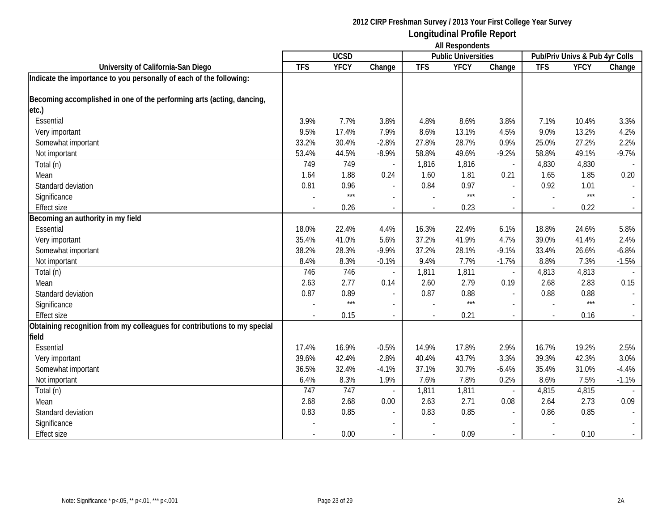|                                                                          | <b>All Respondents</b> |             |                          |            |                            |                          |            |                                |                             |
|--------------------------------------------------------------------------|------------------------|-------------|--------------------------|------------|----------------------------|--------------------------|------------|--------------------------------|-----------------------------|
|                                                                          |                        | <b>UCSD</b> |                          |            | <b>Public Universities</b> |                          |            | Pub/Priv Univs & Pub 4yr Colls |                             |
| University of California-San Diego                                       | <b>TFS</b>             | <b>YFCY</b> | Change                   | <b>TFS</b> | <b>YFCY</b>                | Change                   | <b>TFS</b> | <b>YFCY</b>                    | Change                      |
| Indicate the importance to you personally of each of the following:      |                        |             |                          |            |                            |                          |            |                                |                             |
| Becoming accomplished in one of the performing arts (acting, dancing,    |                        |             |                          |            |                            |                          |            |                                |                             |
| etc.)                                                                    |                        |             |                          |            |                            |                          |            |                                |                             |
| Essential                                                                | 3.9%                   | 7.7%        | 3.8%                     | 4.8%       | 8.6%                       | 3.8%                     | 7.1%       | 10.4%                          | 3.3%                        |
| Very important                                                           | 9.5%                   | 17.4%       | 7.9%                     | 8.6%       | 13.1%                      | 4.5%                     | 9.0%       | 13.2%                          | 4.2%                        |
| Somewhat important                                                       | 33.2%                  | 30.4%       | $-2.8%$                  | 27.8%      | 28.7%                      | 0.9%                     | 25.0%      | 27.2%                          | 2.2%                        |
| Not important                                                            | 53.4%                  | 44.5%       | $-8.9%$                  | 58.8%      | 49.6%                      | $-9.2%$                  | 58.8%      | 49.1%                          | $-9.7%$                     |
| Total (n)                                                                | 749                    | 749         |                          | 1,816      | 1,816                      | $\blacksquare$           | 4,830      | 4,830                          |                             |
| Mean                                                                     | 1.64                   | 1.88        | 0.24                     | 1.60       | 1.81                       | 0.21                     | 1.65       | 1.85                           | 0.20                        |
| Standard deviation                                                       | 0.81                   | 0.96        | $\blacksquare$           | 0.84       | 0.97                       | $\blacksquare$           | 0.92       | 1.01                           | $\blacksquare$              |
| Significance                                                             |                        | $***$       |                          |            | $***$                      | $\overline{\phantom{a}}$ |            | $***$                          | $\sim$                      |
| <b>Effect size</b>                                                       |                        | 0.26        |                          |            | 0.23                       | $\overline{a}$           |            | 0.22                           | $\sim$                      |
| Becoming an authority in my field                                        |                        |             |                          |            |                            |                          |            |                                |                             |
| Essential                                                                | 18.0%                  | 22.4%       | 4.4%                     | 16.3%      | 22.4%                      | 6.1%                     | 18.8%      | 24.6%                          | 5.8%                        |
| Very important                                                           | 35.4%                  | 41.0%       | 5.6%                     | 37.2%      | 41.9%                      | 4.7%                     | 39.0%      | 41.4%                          | 2.4%                        |
| Somewhat important                                                       | 38.2%                  | 28.3%       | $-9.9%$                  | 37.2%      | 28.1%                      | $-9.1%$                  | 33.4%      | 26.6%                          | $-6.8%$                     |
| Not important                                                            | 8.4%                   | 8.3%        | $-0.1%$                  | 9.4%       | 7.7%                       | $-1.7%$                  | 8.8%       | 7.3%                           | $-1.5%$                     |
| Total (n)                                                                | 746                    | 746         |                          | 1,811      | 1,811                      | $\overline{\phantom{a}}$ | 4,813      | 4,813                          |                             |
| Mean                                                                     | 2.63                   | 2.77        | 0.14                     | 2.60       | 2.79                       | 0.19                     | 2.68       | 2.83                           | 0.15                        |
| Standard deviation                                                       | 0.87                   | 0.89        | $\overline{\phantom{a}}$ | 0.87       | 0.88                       | $\blacksquare$           | 0.88       | 0.88                           |                             |
| Significance                                                             |                        | $***$       | $\overline{\phantom{a}}$ |            | $***$                      | $\overline{\phantom{a}}$ |            | $***$                          |                             |
| <b>Effect size</b>                                                       | $\overline{a}$         | 0.15        | $\blacksquare$           | $\sim$     | 0.21                       | $\overline{\phantom{a}}$ |            | 0.16                           | $\sim$                      |
| Obtaining recognition from my colleagues for contributions to my special |                        |             |                          |            |                            |                          |            |                                |                             |
| field                                                                    |                        |             |                          |            |                            |                          |            |                                |                             |
| Essential                                                                | 17.4%                  | 16.9%       | $-0.5%$                  | 14.9%      | 17.8%                      | 2.9%                     | 16.7%      | 19.2%                          | 2.5%                        |
| Very important                                                           | 39.6%                  | 42.4%       | 2.8%                     | 40.4%      | 43.7%                      | 3.3%                     | 39.3%      | 42.3%                          | 3.0%                        |
| Somewhat important                                                       | 36.5%                  | 32.4%       | $-4.1%$                  | 37.1%      | 30.7%                      | $-6.4%$                  | 35.4%      | 31.0%                          | $-4.4%$                     |
| Not important                                                            | 6.4%                   | 8.3%        | 1.9%                     | 7.6%       | 7.8%                       | 0.2%                     | 8.6%       | 7.5%                           | $-1.1%$                     |
| Total (n)                                                                | 747                    | 747         |                          | 1,811      | 1,811                      | $\blacksquare$           | 4,815      | 4,815                          |                             |
| Mean                                                                     | 2.68                   | 2.68        | 0.00                     | 2.63       | 2.71                       | 0.08                     | 2.64       | 2.73                           | 0.09                        |
| Standard deviation                                                       | 0.83                   | 0.85        |                          | 0.83       | 0.85                       |                          | 0.86       | 0.85                           |                             |
| Significance                                                             |                        |             |                          |            |                            | $\sim$                   |            |                                |                             |
| <b>Effect size</b>                                                       |                        | 0.00        |                          |            | 0.09                       |                          |            | 0.10                           | $\mathcal{L}_{\mathcal{A}}$ |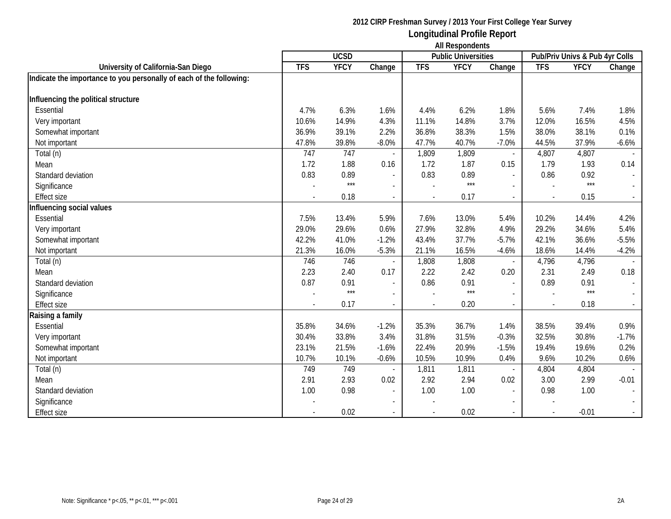|                                                                     |            | <b>UCSD</b> |                          |            | <b>Public Universities</b> |                          |            | Pub/Priv Univs & Pub 4yr Colls |                             |
|---------------------------------------------------------------------|------------|-------------|--------------------------|------------|----------------------------|--------------------------|------------|--------------------------------|-----------------------------|
| University of California-San Diego                                  | <b>TFS</b> | <b>YFCY</b> | Change                   | <b>TFS</b> | <b>YFCY</b>                | Change                   | <b>TFS</b> | <b>YFCY</b>                    | Change                      |
| Indicate the importance to you personally of each of the following: |            |             |                          |            |                            |                          |            |                                |                             |
|                                                                     |            |             |                          |            |                            |                          |            |                                |                             |
| Influencing the political structure                                 |            |             |                          |            |                            |                          |            |                                |                             |
| Essential                                                           | 4.7%       | 6.3%        | 1.6%                     | 4.4%       | 6.2%                       | 1.8%                     | 5.6%       | 7.4%                           | 1.8%                        |
| Very important                                                      | 10.6%      | 14.9%       | 4.3%                     | 11.1%      | 14.8%                      | 3.7%                     | 12.0%      | 16.5%                          | 4.5%                        |
| Somewhat important                                                  | 36.9%      | 39.1%       | 2.2%                     | 36.8%      | 38.3%                      | 1.5%                     | 38.0%      | 38.1%                          | 0.1%                        |
| Not important                                                       | 47.8%      | 39.8%       | $-8.0%$                  | 47.7%      | 40.7%                      | $-7.0%$                  | 44.5%      | 37.9%                          | $-6.6%$                     |
| Total (n)                                                           | 747        | 747         |                          | 1,809      | 1,809                      | $\overline{\phantom{a}}$ | 4,807      | 4,807                          |                             |
| Mean                                                                | 1.72       | 1.88        | 0.16                     | 1.72       | 1.87                       | 0.15                     | 1.79       | 1.93                           | 0.14                        |
| Standard deviation                                                  | 0.83       | 0.89        |                          | 0.83       | 0.89                       |                          | 0.86       | 0.92                           | $\mathbf{r}$                |
| Significance                                                        |            | $***$       |                          |            | $***$                      |                          |            | $***$                          | $\mathcal{L}_{\mathcal{A}}$ |
| <b>Effect size</b>                                                  |            | 0.18        | $\mathbf{r}$             |            | 0.17                       | $\overline{a}$           |            | 0.15                           | $\sim$                      |
| Influencing social values                                           |            |             |                          |            |                            |                          |            |                                |                             |
| Essential                                                           | 7.5%       | 13.4%       | 5.9%                     | 7.6%       | 13.0%                      | 5.4%                     | 10.2%      | 14.4%                          | 4.2%                        |
| Very important                                                      | 29.0%      | 29.6%       | 0.6%                     | 27.9%      | 32.8%                      | 4.9%                     | 29.2%      | 34.6%                          | 5.4%                        |
| Somewhat important                                                  | 42.2%      | 41.0%       | $-1.2%$                  | 43.4%      | 37.7%                      | $-5.7%$                  | 42.1%      | 36.6%                          | $-5.5%$                     |
| Not important                                                       | 21.3%      | 16.0%       | $-5.3%$                  | 21.1%      | 16.5%                      | $-4.6%$                  | 18.6%      | 14.4%                          | $-4.2%$                     |
| Total (n)                                                           | 746        | 746         |                          | 1,808      | 1,808                      | $\blacksquare$           | 4,796      | 4,796                          |                             |
| Mean                                                                | 2.23       | 2.40        | 0.17                     | 2.22       | 2.42                       | 0.20                     | 2.31       | 2.49                           | 0.18                        |
| Standard deviation                                                  | 0.87       | 0.91        | $\overline{\phantom{a}}$ | 0.86       | 0.91                       | $\blacksquare$           | 0.89       | 0.91                           |                             |
| Significance                                                        |            | $***$       | $\overline{\phantom{a}}$ |            | $***$                      |                          |            | $***$                          |                             |
| Effect size                                                         |            | 0.17        |                          |            | 0.20                       |                          |            | 0.18                           |                             |
| Raising a family                                                    |            |             |                          |            |                            |                          |            |                                |                             |
| Essential                                                           | 35.8%      | 34.6%       | $-1.2%$                  | 35.3%      | 36.7%                      | 1.4%                     | 38.5%      | 39.4%                          | 0.9%                        |
| Very important                                                      | 30.4%      | 33.8%       | 3.4%                     | 31.8%      | 31.5%                      | $-0.3%$                  | 32.5%      | 30.8%                          | $-1.7%$                     |
| Somewhat important                                                  | 23.1%      | 21.5%       | $-1.6%$                  | 22.4%      | 20.9%                      | $-1.5%$                  | 19.4%      | 19.6%                          | 0.2%                        |
| Not important                                                       | 10.7%      | 10.1%       | $-0.6%$                  | 10.5%      | 10.9%                      | 0.4%                     | 9.6%       | 10.2%                          | 0.6%                        |
| Total (n)                                                           | 749        | 749         |                          | 1,811      | 1,811                      | $\overline{\phantom{a}}$ | 4,804      | 4,804                          |                             |
| Mean                                                                | 2.91       | 2.93        | 0.02                     | 2.92       | 2.94                       | 0.02                     | 3.00       | 2.99                           | $-0.01$                     |
| Standard deviation                                                  | 1.00       | 0.98        | $\blacksquare$           | 1.00       | 1.00                       | $\blacksquare$           | 0.98       | 1.00                           | $\blacksquare$              |
| Significance                                                        |            |             | $\overline{\phantom{a}}$ |            |                            |                          |            |                                |                             |
| <b>Effect size</b>                                                  |            | 0.02        |                          |            | 0.02                       |                          |            | $-0.01$                        |                             |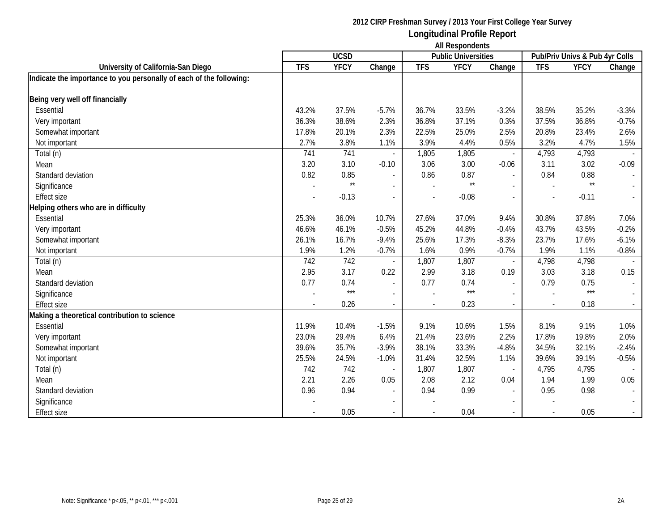| <b>All Respondents</b>                                              |                          |              |                          |            |                            |                          |                                |                 |         |
|---------------------------------------------------------------------|--------------------------|--------------|--------------------------|------------|----------------------------|--------------------------|--------------------------------|-----------------|---------|
|                                                                     |                          | <b>UCSD</b>  |                          |            | <b>Public Universities</b> |                          | Pub/Priv Univs & Pub 4yr Colls |                 |         |
| University of California-San Diego                                  | <b>TFS</b>               | <b>YFCY</b>  | Change                   | <b>TFS</b> | <b>YFCY</b>                | Change                   | <b>TFS</b>                     | <b>YFCY</b>     | Change  |
| Indicate the importance to you personally of each of the following: |                          |              |                          |            |                            |                          |                                |                 |         |
| Being very well off financially                                     |                          |              |                          |            |                            |                          |                                |                 |         |
| Essential                                                           | 43.2%                    | 37.5%        | $-5.7%$                  | 36.7%      | 33.5%                      | $-3.2%$                  | 38.5%                          | 35.2%           | $-3.3%$ |
| Very important                                                      | 36.3%                    | 38.6%        | 2.3%                     | 36.8%      | 37.1%                      | 0.3%                     | 37.5%                          | 36.8%           | $-0.7%$ |
| Somewhat important                                                  | 17.8%                    | 20.1%        | 2.3%                     | 22.5%      | 25.0%                      | 2.5%                     | 20.8%                          | 23.4%           | 2.6%    |
| Not important                                                       | 2.7%                     | 3.8%         | 1.1%                     | 3.9%       | 4.4%                       | 0.5%                     | 3.2%                           | 4.7%            | 1.5%    |
| Total (n)                                                           | 741                      | 741          | $\overline{\phantom{a}}$ | 1,805      | 1,805                      | $\overline{\phantom{a}}$ | 4,793                          | 4,793           |         |
| Mean                                                                | 3.20                     | 3.10         | $-0.10$                  | 3.06       | 3.00                       | $-0.06$                  | 3.11                           | 3.02            | $-0.09$ |
| Standard deviation                                                  | 0.82                     | 0.85         | $\overline{\phantom{a}}$ | 0.86       | 0.87                       | $\sim$                   | 0.84                           | 0.88            |         |
| Significance                                                        |                          | $\star\star$ |                          |            | $\star\star$               |                          |                                | $^{\star\star}$ |         |
| <b>Effect size</b>                                                  |                          | $-0.13$      | $\overline{\phantom{a}}$ |            | $-0.08$                    | $\sim$                   | $\overline{\phantom{a}}$       | $-0.11$         |         |
| Helping others who are in difficulty                                |                          |              |                          |            |                            |                          |                                |                 |         |
| Essential                                                           | 25.3%                    | 36.0%        | 10.7%                    | 27.6%      | 37.0%                      | 9.4%                     | 30.8%                          | 37.8%           | 7.0%    |
| Very important                                                      | 46.6%                    | 46.1%        | $-0.5%$                  | 45.2%      | 44.8%                      | $-0.4%$                  | 43.7%                          | 43.5%           | $-0.2%$ |
| Somewhat important                                                  | 26.1%                    | 16.7%        | $-9.4%$                  | 25.6%      | 17.3%                      | $-8.3%$                  | 23.7%                          | 17.6%           | $-6.1%$ |
| Not important                                                       | 1.9%                     | 1.2%         | $-0.7%$                  | 1.6%       | 0.9%                       | $-0.7%$                  | 1.9%                           | 1.1%            | $-0.8%$ |
| Total (n)                                                           | 742                      | 742          |                          | 1,807      | 1,807                      | $\overline{\phantom{a}}$ | 4,798                          | 4,798           |         |
| Mean                                                                | 2.95                     | 3.17         | 0.22                     | 2.99       | 3.18                       | 0.19                     | 3.03                           | 3.18            | 0.15    |
| Standard deviation                                                  | 0.77                     | 0.74         | ÷,                       | 0.77       | 0.74                       |                          | 0.79                           | 0.75            |         |
| Significance                                                        |                          | $***$        |                          |            | $***$                      |                          |                                | $***$           |         |
| <b>Effect size</b>                                                  | $\overline{\phantom{a}}$ | 0.26         | $\overline{\phantom{a}}$ |            | 0.23                       | $\overline{\phantom{a}}$ | $\overline{\phantom{a}}$       | 0.18            |         |
| Making a theoretical contribution to science                        |                          |              |                          |            |                            |                          |                                |                 |         |
| Essential                                                           | 11.9%                    | 10.4%        | $-1.5%$                  | 9.1%       | 10.6%                      | 1.5%                     | 8.1%                           | 9.1%            | 1.0%    |
| Very important                                                      | 23.0%                    | 29.4%        | 6.4%                     | 21.4%      | 23.6%                      | 2.2%                     | 17.8%                          | 19.8%           | 2.0%    |
| Somewhat important                                                  | 39.6%                    | 35.7%        | $-3.9%$                  | 38.1%      | 33.3%                      | $-4.8%$                  | 34.5%                          | 32.1%           | $-2.4%$ |
| Not important                                                       | 25.5%                    | 24.5%        | $-1.0%$                  | 31.4%      | 32.5%                      | 1.1%                     | 39.6%                          | 39.1%           | $-0.5%$ |
| Total (n)                                                           | 742                      | 742          |                          | 1,807      | 1,807                      |                          | 4,795                          | 4,795           |         |
| Mean                                                                | 2.21                     | 2.26         | 0.05                     | 2.08       | 2.12                       | 0.04                     | 1.94                           | 1.99            | 0.05    |
| Standard deviation                                                  | 0.96                     | 0.94         | $\blacksquare$           | 0.94       | 0.99                       |                          | 0.95                           | 0.98            |         |
| Significance                                                        |                          |              |                          |            |                            |                          |                                |                 |         |
| Effect size                                                         |                          | 0.05         |                          |            | 0.04                       | $\overline{\phantom{a}}$ | $\overline{\phantom{a}}$       | 0.05            |         |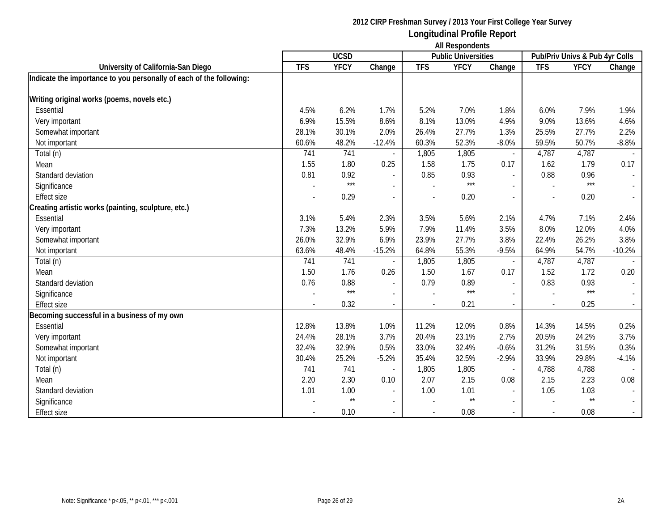|                                                                     | <b>UCSD</b> |              |                          |            | AIL INGSPOTIUGHIS<br><b>Public Universities</b> |                          | Pub/Priv Univs & Pub 4yr Colls |                 |          |
|---------------------------------------------------------------------|-------------|--------------|--------------------------|------------|-------------------------------------------------|--------------------------|--------------------------------|-----------------|----------|
| University of California-San Diego                                  | <b>TFS</b>  | <b>YFCY</b>  | Change                   | <b>TFS</b> | <b>YFCY</b>                                     | Change                   | <b>TFS</b>                     | <b>YFCY</b>     | Change   |
| Indicate the importance to you personally of each of the following: |             |              |                          |            |                                                 |                          |                                |                 |          |
| Writing original works (poems, novels etc.)                         |             |              |                          |            |                                                 |                          |                                |                 |          |
| Essential                                                           | 4.5%        | 6.2%         | 1.7%                     | 5.2%       | 7.0%                                            | 1.8%                     | 6.0%                           | 7.9%            | 1.9%     |
| Very important                                                      | 6.9%        | 15.5%        | 8.6%                     | 8.1%       | 13.0%                                           | 4.9%                     | 9.0%                           | 13.6%           | 4.6%     |
| Somewhat important                                                  | 28.1%       | 30.1%        | 2.0%                     | 26.4%      | 27.7%                                           | 1.3%                     | 25.5%                          | 27.7%           | 2.2%     |
| Not important                                                       | 60.6%       | 48.2%        | $-12.4%$                 | 60.3%      | 52.3%                                           | $-8.0%$                  | 59.5%                          | 50.7%           | $-8.8%$  |
| Total (n)                                                           | 741         | 741          |                          | 1,805      | 1,805                                           | $\overline{\phantom{a}}$ | 4,787                          | 4,787           |          |
| Mean                                                                | 1.55        | 1.80         | 0.25                     | 1.58       | 1.75                                            | 0.17                     | 1.62                           | 1.79            | 0.17     |
| Standard deviation                                                  | 0.81        | 0.92         |                          | 0.85       | 0.93                                            | $\blacksquare$           | 0.88                           | 0.96            |          |
| Significance                                                        |             | $***$        |                          |            | $***$                                           |                          |                                | $***$           |          |
| <b>Effect size</b>                                                  |             | 0.29         |                          |            | 0.20                                            | $\blacksquare$           | $\overline{\phantom{a}}$       | 0.20            |          |
| Creating artistic works (painting, sculpture, etc.)                 |             |              |                          |            |                                                 |                          |                                |                 |          |
| Essential                                                           | 3.1%        | 5.4%         | 2.3%                     | 3.5%       | 5.6%                                            | 2.1%                     | 4.7%                           | 7.1%            | 2.4%     |
| Very important                                                      | 7.3%        | 13.2%        | 5.9%                     | 7.9%       | 11.4%                                           | 3.5%                     | 8.0%                           | 12.0%           | 4.0%     |
| Somewhat important                                                  | 26.0%       | 32.9%        | 6.9%                     | 23.9%      | 27.7%                                           | 3.8%                     | 22.4%                          | 26.2%           | 3.8%     |
| Not important                                                       | 63.6%       | 48.4%        | $-15.2%$                 | 64.8%      | 55.3%                                           | $-9.5%$                  | 64.9%                          | 54.7%           | $-10.2%$ |
| Total (n)                                                           | 741         | 741          |                          | 1,805      | 1,805                                           |                          | 4,787                          | 4,787           |          |
| Mean                                                                | 1.50        | 1.76         | 0.26                     | 1.50       | 1.67                                            | 0.17                     | 1.52                           | 1.72            | 0.20     |
| Standard deviation                                                  | 0.76        | 0.88         | $\sim$                   | 0.79       | 0.89                                            | $\overline{a}$           | 0.83                           | 0.93            |          |
| Significance                                                        |             | $***$        |                          |            | $***$                                           |                          |                                | $***$           |          |
| <b>Effect size</b>                                                  |             | 0.32         |                          |            | 0.21                                            | $\overline{\phantom{a}}$ | $\overline{\phantom{a}}$       | 0.25            |          |
| Becoming successful in a business of my own                         |             |              |                          |            |                                                 |                          |                                |                 |          |
| Essential                                                           | 12.8%       | 13.8%        | 1.0%                     | 11.2%      | 12.0%                                           | 0.8%                     | 14.3%                          | 14.5%           | 0.2%     |
| Very important                                                      | 24.4%       | 28.1%        | 3.7%                     | 20.4%      | 23.1%                                           | 2.7%                     | 20.5%                          | 24.2%           | 3.7%     |
| Somewhat important                                                  | 32.4%       | 32.9%        | 0.5%                     | 33.0%      | 32.4%                                           | $-0.6%$                  | 31.2%                          | 31.5%           | 0.3%     |
| Not important                                                       | 30.4%       | 25.2%        | $-5.2%$                  | 35.4%      | 32.5%                                           | $-2.9%$                  | 33.9%                          | 29.8%           | $-4.1%$  |
| Total (n)                                                           | 741         | 741          |                          | 1,805      | 1,805                                           | $\blacksquare$           | 4,788                          | 4,788           |          |
| Mean                                                                | 2.20        | 2.30         | 0.10                     | 2.07       | 2.15                                            | 0.08                     | 2.15                           | 2.23            | 0.08     |
| Standard deviation                                                  | 1.01        | 1.00         |                          | 1.00       | 1.01                                            |                          | 1.05                           | 1.03            |          |
| Significance                                                        |             | $\star\star$ | $\overline{\phantom{a}}$ |            | $^{\star\star}$                                 | $\overline{\phantom{a}}$ |                                | $^{\star\star}$ |          |
| <b>Effect size</b>                                                  |             | 0.10         | $\overline{a}$           |            | 0.08                                            | $\sim$                   | $\sim$                         | 0.08            |          |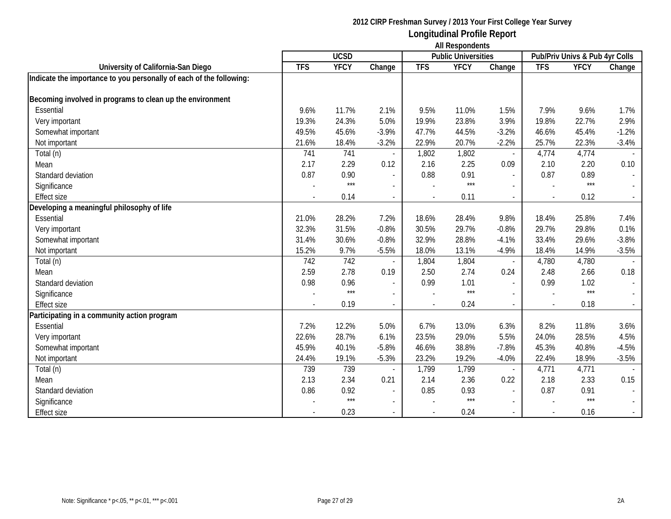|                                                                     | <b>UCSD</b> |             |                          |            | AIL INGSPOTIUGHIS<br><b>Public Universities</b> |                          | Pub/Priv Univs & Pub 4yr Colls |             |         |
|---------------------------------------------------------------------|-------------|-------------|--------------------------|------------|-------------------------------------------------|--------------------------|--------------------------------|-------------|---------|
| University of California-San Diego                                  | <b>TFS</b>  | <b>YFCY</b> | Change                   | <b>TFS</b> | <b>YFCY</b>                                     | Change                   | <b>TFS</b>                     | <b>YFCY</b> | Change  |
| Indicate the importance to you personally of each of the following: |             |             |                          |            |                                                 |                          |                                |             |         |
|                                                                     |             |             |                          |            |                                                 |                          |                                |             |         |
| Becoming involved in programs to clean up the environment           |             |             |                          |            |                                                 |                          |                                |             |         |
| Essential                                                           | 9.6%        | 11.7%       | 2.1%                     | 9.5%       | 11.0%                                           | 1.5%                     | 7.9%                           | 9.6%        | 1.7%    |
| Very important                                                      | 19.3%       | 24.3%       | 5.0%                     | 19.9%      | 23.8%                                           | 3.9%                     | 19.8%                          | 22.7%       | 2.9%    |
| Somewhat important                                                  | 49.5%       | 45.6%       | $-3.9%$                  | 47.7%      | 44.5%                                           | $-3.2%$                  | 46.6%                          | 45.4%       | $-1.2%$ |
| Not important                                                       | 21.6%       | 18.4%       | $-3.2%$                  | 22.9%      | 20.7%                                           | $-2.2%$                  | 25.7%                          | 22.3%       | $-3.4%$ |
| Total (n)                                                           | 741         | 741         |                          | 1,802      | 1,802                                           | $\overline{\phantom{a}}$ | 4,774                          | 4,774       |         |
| Mean                                                                | 2.17        | 2.29        | 0.12                     | 2.16       | 2.25                                            | 0.09                     | 2.10                           | 2.20        | 0.10    |
| Standard deviation                                                  | 0.87        | 0.90        | $\blacksquare$           | 0.88       | 0.91                                            | $\blacksquare$           | 0.87                           | 0.89        |         |
| Significance                                                        |             | $***$       |                          |            | $***$                                           |                          |                                | $***$       |         |
| <b>Effect size</b>                                                  |             | 0.14        |                          |            | 0.11                                            | $\blacksquare$           | $\overline{\phantom{a}}$       | 0.12        |         |
| Developing a meaningful philosophy of life                          |             |             |                          |            |                                                 |                          |                                |             |         |
| Essential                                                           | 21.0%       | 28.2%       | 7.2%                     | 18.6%      | 28.4%                                           | 9.8%                     | 18.4%                          | 25.8%       | 7.4%    |
| Very important                                                      | 32.3%       | 31.5%       | $-0.8%$                  | 30.5%      | 29.7%                                           | $-0.8%$                  | 29.7%                          | 29.8%       | 0.1%    |
| Somewhat important                                                  | 31.4%       | 30.6%       | $-0.8%$                  | 32.9%      | 28.8%                                           | $-4.1%$                  | 33.4%                          | 29.6%       | $-3.8%$ |
| Not important                                                       | 15.2%       | 9.7%        | $-5.5%$                  | 18.0%      | 13.1%                                           | $-4.9%$                  | 18.4%                          | 14.9%       | $-3.5%$ |
| Total (n)                                                           | 742         | 742         |                          | 1,804      | 1,804                                           |                          | 4,780                          | 4,780       |         |
| Mean                                                                | 2.59        | 2.78        | 0.19                     | 2.50       | 2.74                                            | 0.24                     | 2.48                           | 2.66        | 0.18    |
| Standard deviation                                                  | 0.98        | 0.96        | $\blacksquare$           | 0.99       | 1.01                                            | $\overline{a}$           | 0.99                           | 1.02        |         |
| Significance                                                        |             | $***$       |                          |            | $***$                                           |                          |                                | $***$       |         |
| <b>Effect size</b>                                                  |             | 0.19        |                          |            | 0.24                                            | $\overline{\phantom{a}}$ | $\overline{\phantom{a}}$       | 0.18        |         |
| Participating in a community action program                         |             |             |                          |            |                                                 |                          |                                |             |         |
| Essential                                                           | 7.2%        | 12.2%       | 5.0%                     | 6.7%       | 13.0%                                           | 6.3%                     | 8.2%                           | 11.8%       | 3.6%    |
| Very important                                                      | 22.6%       | 28.7%       | 6.1%                     | 23.5%      | 29.0%                                           | 5.5%                     | 24.0%                          | 28.5%       | 4.5%    |
| Somewhat important                                                  | 45.9%       | 40.1%       | $-5.8%$                  | 46.6%      | 38.8%                                           | $-7.8%$                  | 45.3%                          | 40.8%       | $-4.5%$ |
| Not important                                                       | 24.4%       | 19.1%       | $-5.3%$                  | 23.2%      | 19.2%                                           | $-4.0%$                  | 22.4%                          | 18.9%       | $-3.5%$ |
| Total (n)                                                           | 739         | 739         |                          | 1,799      | 1,799                                           | $\overline{\phantom{a}}$ | 4,771                          | 4,771       |         |
| Mean                                                                | 2.13        | 2.34        | 0.21                     | 2.14       | 2.36                                            | 0.22                     | 2.18                           | 2.33        | 0.15    |
| Standard deviation                                                  | 0.86        | 0.92        |                          | 0.85       | 0.93                                            |                          | 0.87                           | 0.91        |         |
| Significance                                                        |             | $***$       | $\overline{\phantom{a}}$ |            | $***$                                           | $\overline{\phantom{a}}$ |                                | $***$       |         |
| <b>Effect size</b>                                                  |             | 0.23        | $\overline{a}$           |            | 0.24                                            | $\sim$                   | $\sim$                         | 0.16        |         |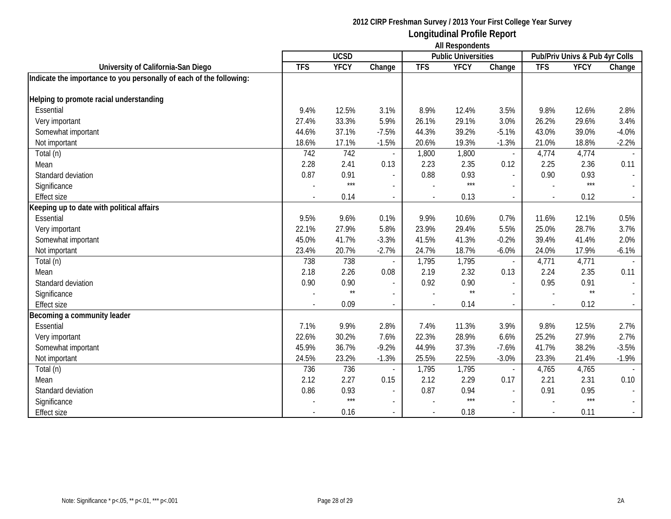|                                                                     | <b>UCSD</b> |               |                          |            | AIL INGSPOTIUGHIS<br><b>Public Universities</b> |                          | Pub/Priv Univs & Pub 4yr Colls |                 |         |
|---------------------------------------------------------------------|-------------|---------------|--------------------------|------------|-------------------------------------------------|--------------------------|--------------------------------|-----------------|---------|
| University of California-San Diego                                  | <b>TFS</b>  | <b>YFCY</b>   | Change                   | <b>TFS</b> | <b>YFCY</b>                                     | Change                   | <b>TFS</b>                     | <b>YFCY</b>     | Change  |
| Indicate the importance to you personally of each of the following: |             |               |                          |            |                                                 |                          |                                |                 |         |
| Helping to promote racial understanding                             |             |               |                          |            |                                                 |                          |                                |                 |         |
| Essential                                                           | 9.4%        | 12.5%         | 3.1%                     | 8.9%       | 12.4%                                           | 3.5%                     | 9.8%                           | 12.6%           | 2.8%    |
| Very important                                                      | 27.4%       | 33.3%         | 5.9%                     | 26.1%      | 29.1%                                           | 3.0%                     | 26.2%                          | 29.6%           | 3.4%    |
| Somewhat important                                                  | 44.6%       | 37.1%         | $-7.5%$                  | 44.3%      | 39.2%                                           | $-5.1%$                  | 43.0%                          | 39.0%           | $-4.0%$ |
| Not important                                                       | 18.6%       | 17.1%         | $-1.5%$                  | 20.6%      | 19.3%                                           | $-1.3%$                  | 21.0%                          | 18.8%           | $-2.2%$ |
| Total (n)                                                           | 742         | 742           |                          | 1,800      | 1,800                                           | $\overline{\phantom{a}}$ | 4,774                          | 4,774           |         |
| Mean                                                                | 2.28        | 2.41          | 0.13                     | 2.23       | 2.35                                            | 0.12                     | 2.25                           | 2.36            | 0.11    |
| Standard deviation                                                  | 0.87        | 0.91          | $\blacksquare$           | 0.88       | 0.93                                            | $\overline{\phantom{a}}$ | 0.90                           | 0.93            |         |
| Significance                                                        |             | $***$         |                          |            | $***$                                           |                          |                                | $***$           |         |
| <b>Effect size</b>                                                  |             | 0.14          |                          |            | 0.13                                            | $\blacksquare$           | $\sim$                         | 0.12            |         |
| Keeping up to date with political affairs                           |             |               |                          |            |                                                 |                          |                                |                 |         |
| Essential                                                           | 9.5%        | 9.6%          | 0.1%                     | 9.9%       | 10.6%                                           | 0.7%                     | 11.6%                          | 12.1%           | 0.5%    |
| Very important                                                      | 22.1%       | 27.9%         | 5.8%                     | 23.9%      | 29.4%                                           | 5.5%                     | 25.0%                          | 28.7%           | 3.7%    |
| Somewhat important                                                  | 45.0%       | 41.7%         | $-3.3%$                  | 41.5%      | 41.3%                                           | $-0.2%$                  | 39.4%                          | 41.4%           | 2.0%    |
| Not important                                                       | 23.4%       | 20.7%         | $-2.7%$                  | 24.7%      | 18.7%                                           | $-6.0\%$                 | 24.0%                          | 17.9%           | $-6.1%$ |
| Total (n)                                                           | 738         | 738           |                          | 1,795      | 1,795                                           |                          | 4,771                          | 4,771           |         |
| Mean                                                                | 2.18        | 2.26          | 0.08                     | 2.19       | 2.32                                            | 0.13                     | 2.24                           | 2.35            | 0.11    |
| Standard deviation                                                  | 0.90        | 0.90          | $\blacksquare$           | 0.92       | 0.90                                            | $\overline{a}$           | 0.95                           | 0.91            |         |
| Significance                                                        |             | $\star\star$  |                          |            | $^{\star\star}$                                 |                          |                                | $^{\star\star}$ |         |
| <b>Effect size</b>                                                  |             | 0.09          |                          |            | 0.14                                            | $\overline{\phantom{a}}$ | $\overline{\phantom{a}}$       | 0.12            |         |
| Becoming a community leader                                         |             |               |                          |            |                                                 |                          |                                |                 |         |
| Essential                                                           | 7.1%        | 9.9%          | 2.8%                     | 7.4%       | 11.3%                                           | 3.9%                     | 9.8%                           | 12.5%           | 2.7%    |
| Very important                                                      | 22.6%       | 30.2%         | 7.6%                     | 22.3%      | 28.9%                                           | 6.6%                     | 25.2%                          | 27.9%           | 2.7%    |
| Somewhat important                                                  | 45.9%       | 36.7%         | $-9.2%$                  | 44.9%      | 37.3%                                           | $-7.6%$                  | 41.7%                          | 38.2%           | $-3.5%$ |
| Not important                                                       | 24.5%       | 23.2%         | $-1.3%$                  | 25.5%      | 22.5%                                           | $-3.0%$                  | 23.3%                          | 21.4%           | $-1.9%$ |
| Total (n)                                                           | 736         | 736           |                          | 1,795      | 1,795                                           | $\blacksquare$           | 4,765                          | 4,765           |         |
| Mean                                                                | 2.12        | 2.27          | 0.15                     | 2.12       | 2.29                                            | 0.17                     | 2.21                           | 2.31            | 0.10    |
| Standard deviation                                                  | 0.86        | 0.93<br>$***$ |                          | 0.87       | 0.94                                            |                          | 0.91                           | 0.95<br>$***$   |         |
| Significance                                                        |             |               | $\overline{\phantom{a}}$ |            | $***$                                           | $\overline{\phantom{a}}$ |                                |                 |         |
| <b>Effect size</b>                                                  |             | 0.16          | $\overline{a}$           |            | 0.18                                            | $\sim$                   | $\sim$                         | 0.11            |         |